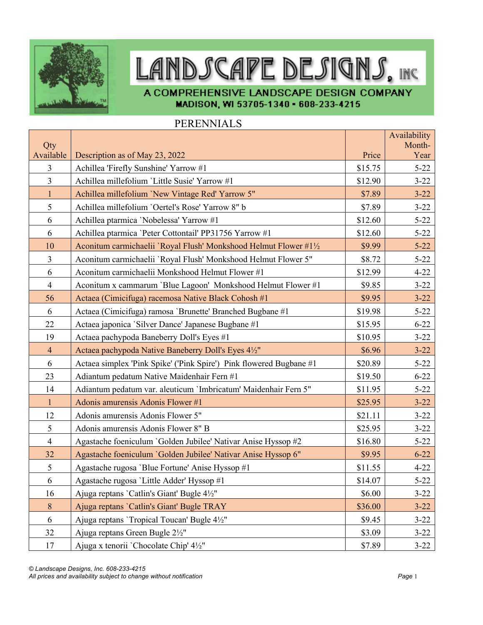

## LANDSCAPE DESIGNS, INC

A COMPREHENSIVE LANDSCAPE DESIGN COMPANY MADISON, WI 53705-1340 - 608-233-4215

## PERENNIALS

|                  |                                                                     |         | Availability<br>Month- |
|------------------|---------------------------------------------------------------------|---------|------------------------|
| Qty<br>Available | Description as of May 23, 2022                                      | Price   | Year                   |
| $\overline{3}$   | Achillea 'Firefly Sunshine' Yarrow #1                               | \$15.75 | $5 - 22$               |
| $\overline{3}$   | Achillea millefolium 'Little Susie' Yarrow #1                       | \$12.90 | $3 - 22$               |
| $\mathbf{1}$     | Achillea millefolium 'New Vintage Red' Yarrow 5"                    | \$7.89  | $3 - 22$               |
| 5                | Achillea millefolium 'Oertel's Rose' Yarrow 8" b                    | \$7.89  | $3 - 22$               |
| 6                | Achillea ptarmica 'Nobelessa' Yarrow #1                             | \$12.60 | $5 - 22$               |
| 6                | Achillea ptarmica 'Peter Cottontail' PP31756 Yarrow #1              | \$12.60 | $5 - 22$               |
| 10               | Aconitum carmichaelii `Royal Flush' Monkshood Helmut Flower #1½     | \$9.99  | $5 - 22$               |
| 3                | Aconitum carmichaelii 'Royal Flush' Monkshood Helmut Flower 5"      | \$8.72  | $5 - 22$               |
| 6                | Aconitum carmichaelii Monkshood Helmut Flower #1                    | \$12.99 | $4 - 22$               |
| $\overline{4}$   | Aconitum x cammarum 'Blue Lagoon' Monkshood Helmut Flower #1        | \$9.85  | $3 - 22$               |
| 56               | Actaea (Cimicifuga) racemosa Native Black Cohosh #1                 | \$9.95  | $3 - 22$               |
| 6                | Actaea (Cimicifuga) ramosa 'Brunette' Branched Bugbane #1           | \$19.98 | $5 - 22$               |
| 22               | Actaea japonica 'Silver Dance' Japanese Bugbane #1                  | \$15.95 | $6 - 22$               |
| 19               | Actaea pachypoda Baneberry Doll's Eyes #1                           | \$10.95 | $3 - 22$               |
| $\overline{4}$   | Actaea pachypoda Native Baneberry Doll's Eyes 4½"                   | \$6.96  | $3 - 22$               |
| 6                | Actaea simplex 'Pink Spike' ('Pink Spire') Pink flowered Bugbane #1 | \$20.89 | $5 - 22$               |
| 23               | Adiantum pedatum Native Maidenhair Fern #1                          | \$19.50 | $6 - 22$               |
| 14               | Adiantum pedatum var. aleuticum 'Imbricatum' Maidenhair Fern 5"     | \$11.95 | $5 - 22$               |
| $\mathbf{1}$     | Adonis amurensis Adonis Flower #1                                   | \$25.95 | $3 - 22$               |
| 12               | Adonis amurensis Adonis Flower 5"                                   | \$21.11 | $3 - 22$               |
| 5                | Adonis amurensis Adonis Flower 8" B                                 | \$25.95 | $3 - 22$               |
| $\overline{4}$   | Agastache foeniculum `Golden Jubilee' Nativar Anise Hyssop #2       | \$16.80 | $5 - 22$               |
| 32               | Agastache foeniculum 'Golden Jubilee' Nativar Anise Hyssop 6"       | \$9.95  | $6 - 22$               |
| 5                | Agastache rugosa 'Blue Fortune' Anise Hyssop #1                     | \$11.55 | $4 - 22$               |
| 6                | Agastache rugosa 'Little Adder' Hyssop #1                           | \$14.07 | $5 - 22$               |
| 16               | Ajuga reptans 'Catlin's Giant' Bugle 41/2"                          | \$6.00  | $3 - 22$               |
| 8                | Ajuga reptans 'Catlin's Giant' Bugle TRAY                           | \$36.00 | $3 - 22$               |
| 6                | Ajuga reptans 'Tropical Toucan' Bugle 41/2"                         | \$9.45  | $3 - 22$               |
| 32               | Ajuga reptans Green Bugle 21/2"                                     | \$3.09  | $3 - 22$               |
| 17               | Ajuga x tenorii `Chocolate Chip' 4½"                                | \$7.89  | $3 - 22$               |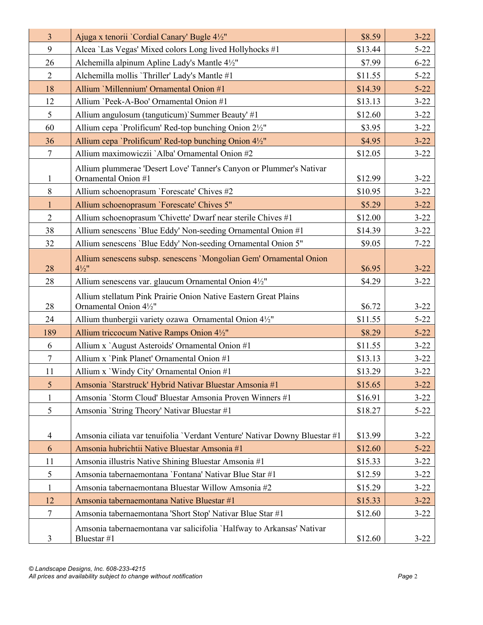| $\overline{3}$ | Ajuga x tenorii `Cordial Canary' Bugle 4½"                                                 | \$8.59  | $3 - 22$ |
|----------------|--------------------------------------------------------------------------------------------|---------|----------|
| 9              | Alcea 'Las Vegas' Mixed colors Long lived Hollyhocks #1                                    | \$13.44 | $5 - 22$ |
| 26             | Alchemilla alpinum Apline Lady's Mantle 41/2"                                              | \$7.99  | $6 - 22$ |
| $\overline{2}$ | Alchemilla mollis 'Thriller' Lady's Mantle #1                                              | \$11.55 | $5 - 22$ |
| 18             | Allium 'Millennium' Ornamental Onion #1                                                    | \$14.39 | $5 - 22$ |
| 12             | Allium 'Peek-A-Boo' Ornamental Onion #1                                                    | \$13.13 | $3 - 22$ |
| 5              | Allium angulosum (tanguticum)'Summer Beauty' #1                                            | \$12.60 | $3 - 22$ |
| 60             | Allium cepa 'Prolificum' Red-top bunching Onion 2½"                                        | \$3.95  | $3 - 22$ |
| 36             | Allium cepa 'Prolificum' Red-top bunching Onion 4½"                                        | \$4.95  | $3 - 22$ |
| $\tau$         | Allium maximowiczii `Alba' Ornamental Onion #2                                             | \$12.05 | $3 - 22$ |
| $\mathbf{1}$   | Allium plummerae 'Desert Love' Tanner's Canyon or Plummer's Nativar<br>Ornamental Onion #1 | \$12.99 | $3 - 22$ |
| $\,8\,$        | Allium schoenoprasum 'Forescate' Chives #2                                                 | \$10.95 | $3 - 22$ |
| $\mathbf{1}$   | Allium schoenoprasum 'Forescate' Chives 5"                                                 | \$5.29  | $3 - 22$ |
| $\overline{2}$ | Allium schoenoprasum 'Chivette' Dwarf near sterile Chives #1                               | \$12.00 | $3 - 22$ |
| 38             | Allium senescens 'Blue Eddy' Non-seeding Ornamental Onion #1                               | \$14.39 | $3 - 22$ |
| 32             | Allium senescens 'Blue Eddy' Non-seeding Ornamental Onion 5"                               | \$9.05  | $7 - 22$ |
| 28             | Allium senescens subsp. senescens 'Mongolian Gem' Ornamental Onion<br>$4\frac{1}{2}$ "     | \$6.95  | $3 - 22$ |
| 28             | Allium senescens var. glaucum Ornamental Onion 41/2"                                       | \$4.29  | $3 - 22$ |
| 28             | Allium stellatum Pink Prairie Onion Native Eastern Great Plains<br>Ornamental Onion 41/2"  | \$6.72  | $3 - 22$ |
| 24             | Allium thunbergii variety ozawa Ornamental Onion 41/2"                                     | \$11.55 | $5 - 22$ |
| 189            | Allium triccocum Native Ramps Onion 41/2"                                                  | \$8.29  | $5 - 22$ |
| 6              | Allium x `August Asteroids' Ornamental Onion #1                                            | \$11.55 | $3 - 22$ |
| $\overline{7}$ | Allium x `Pink Planet' Ornamental Onion #1                                                 | \$13.13 | $3 - 22$ |
| 11             | Allium x 'Windy City' Ornamental Onion #1                                                  | \$13.29 | $3 - 22$ |
| 5              | Amsonia 'Starstruck' Hybrid Nativar Bluestar Amsonia #1                                    | \$15.65 | $3 - 22$ |
| $\mathbf 1$    | Amsonia 'Storm Cloud' Bluestar Amsonia Proven Winners #1                                   | \$16.91 | $3 - 22$ |
| 5              | Amsonia `String Theory' Nativar Bluestar #1                                                | \$18.27 | $5 - 22$ |
| 4              | Amsonia ciliata var tenuifolia 'Verdant Venture' Nativar Downy Bluestar #1                 | \$13.99 | $3 - 22$ |
| 6              | Amsonia hubrichtii Native Bluestar Amsonia #1                                              | \$12.60 | $5 - 22$ |
| 11             | Amsonia illustris Native Shining Bluestar Amsonia #1                                       | \$15.33 | $3 - 22$ |
| 5              | Amsonia tabernaemontana 'Fontana' Nativar Blue Star #1                                     | \$12.59 | $3 - 22$ |
| $\mathbf{1}$   | Amsonia tabernaemontana Bluestar Willow Amsonia #2                                         | \$15.29 | $3 - 22$ |
| 12             | Amsonia tabernaemontana Native Bluestar #1                                                 | \$15.33 | $3 - 22$ |
| $\tau$         | Amsonia tabernaemontana 'Short Stop' Nativar Blue Star #1                                  | \$12.60 | $3 - 22$ |
| 3              | Amsonia tabernaemontana var salicifolia 'Halfway to Arkansas' Nativar<br>Bluestar #1       | \$12.60 | $3 - 22$ |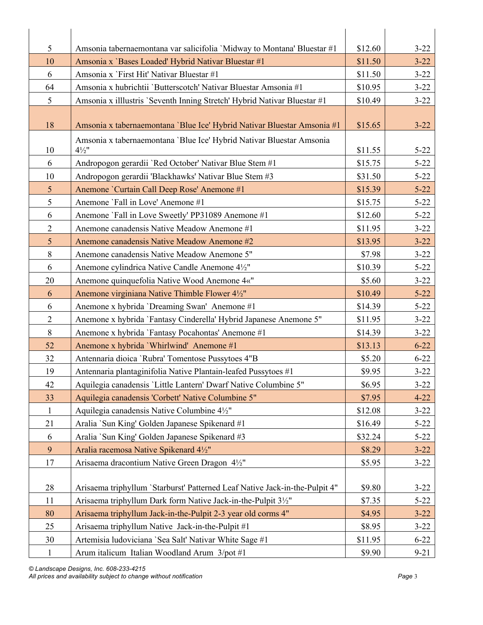| 5               | Amsonia tabernaemontana var salicifolia 'Midway to Montana' Bluestar #1                  | \$12.60 | $3 - 22$ |
|-----------------|------------------------------------------------------------------------------------------|---------|----------|
| 10              | Amsonia x 'Bases Loaded' Hybrid Nativar Bluestar #1                                      | \$11.50 | $3 - 22$ |
| 6               | Amsonia x `First Hit' Nativar Bluestar #1                                                | \$11.50 | $3 - 22$ |
| 64              | Amsonia x hubrichtii 'Butterscotch' Nativar Bluestar Amsonia #1                          | \$10.95 | $3 - 22$ |
| 5               | Amsonia x illlustris 'Seventh Inning Stretch' Hybrid Nativar Bluestar #1                 | \$10.49 | $3 - 22$ |
| 18              | Amsonia x tabernaemontana 'Blue Ice' Hybrid Nativar Bluestar Amsonia #1                  | \$15.65 | $3 - 22$ |
| 10              | Amsonia x tabernaemontana 'Blue Ice' Hybrid Nativar Bluestar Amsonia<br>$4\frac{1}{2}$ " | \$11.55 | $5 - 22$ |
| 6               | Andropogon gerardii 'Red October' Nativar Blue Stem #1                                   | \$15.75 | $5 - 22$ |
| 10              | Andropogon gerardii 'Blackhawks' Nativar Blue Stem #3                                    | \$31.50 | $5 - 22$ |
| $5\overline{)}$ | Anemone 'Curtain Call Deep Rose' Anemone #1                                              | \$15.39 | $5 - 22$ |
| 5               | Anemone 'Fall in Love' Anemone #1                                                        | \$15.75 | $5 - 22$ |
| 6               | Anemone `Fall in Love Sweetly' PP31089 Anemone #1                                        | \$12.60 | $5 - 22$ |
| $\overline{2}$  | Anemone canadensis Native Meadow Anemone #1                                              | \$11.95 | $3 - 22$ |
| $5\overline{)}$ | Anemone canadensis Native Meadow Anemone #2                                              | \$13.95 | $3 - 22$ |
| $8\,$           | Anemone canadensis Native Meadow Anemone 5"                                              | \$7.98  | $3 - 22$ |
| 6               | Anemone cylindrica Native Candle Anemone 41/2"                                           | \$10.39 | $5 - 22$ |
| 20              | Anemone quinquefolia Native Wood Anemone 4«"                                             | \$5.60  | $3 - 22$ |
| 6               | Anemone virginiana Native Thimble Flower 41/2"                                           | \$10.49 | $5 - 22$ |
| 6               | Anemone x hybrida 'Dreaming Swan' Anemone #1                                             | \$14.39 | $5 - 22$ |
| $\overline{2}$  | Anemone x hybrida 'Fantasy Cinderella' Hybrid Japanese Anemone 5"                        | \$11.95 | $3 - 22$ |
| $8\,$           | Anemone x hybrida `Fantasy Pocahontas' Anemone #1                                        | \$14.39 | $3 - 22$ |
| 52              | Anemone x hybrida 'Whirlwind' Anemone #1                                                 | \$13.13 | $6 - 22$ |
| 32              | Antennaria dioica 'Rubra' Tomentose Pussytoes 4"B                                        | \$5.20  | $6 - 22$ |
| 19              | Antennaria plantaginifolia Native Plantain-leafed Pussytoes #1                           | \$9.95  | $3 - 22$ |
| 42              | Aquilegia canadensis 'Little Lantern' Dwarf Native Columbine 5"                          | \$6.95  | $3 - 22$ |
| 33              | Aquilegia canadensis 'Corbett' Native Columbine 5"                                       | \$7.95  | $4 - 22$ |
| $\mathbf{1}$    | Aquilegia canadensis Native Columbine 4½"                                                | \$12.08 | $3 - 22$ |
| 21              | Aralia 'Sun King' Golden Japanese Spikenard #1                                           | \$16.49 | $5 - 22$ |
| 6               | Aralia `Sun King' Golden Japanese Spikenard #3                                           | \$32.24 | $5 - 22$ |
| 9               | Aralia racemosa Native Spikenard 41/2"                                                   | \$8.29  | $3 - 22$ |
| 17              | Arisaema dracontium Native Green Dragon 41/2"                                            | \$5.95  | $3 - 22$ |
| 28              | Arisaema triphyllum 'Starburst' Patterned Leaf Native Jack-in-the-Pulpit 4"              | \$9.80  | $3 - 22$ |
| 11              | Arisaema triphyllum Dark form Native Jack-in-the-Pulpit 31/2"                            | \$7.35  | $5 - 22$ |
| 80              | Arisaema triphyllum Jack-in-the-Pulpit 2-3 year old corms 4"                             | \$4.95  | $3 - 22$ |
| 25              | Arisaema triphyllum Native Jack-in-the-Pulpit #1                                         | \$8.95  | $3 - 22$ |
| 30              | Artemisia ludoviciana `Sea Salt' Nativar White Sage #1                                   | \$11.95 | $6 - 22$ |
| $\mathbf{1}$    | Arum italicum Italian Woodland Arum 3/pot #1                                             | \$9.90  | $9 - 21$ |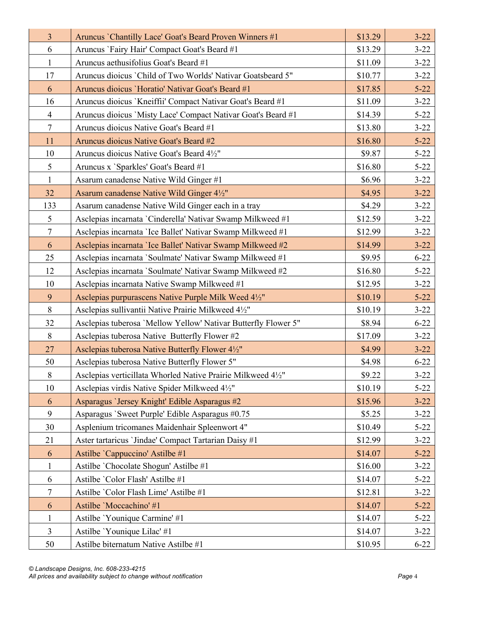| $\overline{3}$ | Aruncus `Chantilly Lace' Goat's Beard Proven Winners #1        | \$13.29 | $3 - 22$ |
|----------------|----------------------------------------------------------------|---------|----------|
| 6              | Aruncus 'Fairy Hair' Compact Goat's Beard #1                   | \$13.29 | $3 - 22$ |
| $\mathbf{1}$   | Aruncus aethusifolius Goat's Beard #1                          | \$11.09 | $3 - 22$ |
| 17             | Aruncus dioicus 'Child of Two Worlds' Nativar Goatsbeard 5"    | \$10.77 | $3 - 22$ |
| 6              | Aruncus dioicus 'Horatio' Nativar Goat's Beard #1              | \$17.85 | $5 - 22$ |
| 16             | Aruncus dioicus `Kneiffii' Compact Nativar Goat's Beard #1     | \$11.09 | $3 - 22$ |
| $\overline{4}$ | Aruncus dioicus 'Misty Lace' Compact Nativar Goat's Beard #1   | \$14.39 | $5 - 22$ |
| $\tau$         | Aruncus dioicus Native Goat's Beard #1                         | \$13.80 | $3 - 22$ |
| 11             | Aruncus dioicus Native Goat's Beard #2                         | \$16.80 | $5 - 22$ |
| 10             | Aruncus dioicus Native Goat's Beard 4½"                        | \$9.87  | $5 - 22$ |
| 5              | Aruncus x 'Sparkles' Goat's Beard #1                           | \$16.80 | $5 - 22$ |
| $\mathbf{1}$   | Asarum canadense Native Wild Ginger #1                         | \$6.96  | $3 - 22$ |
| 32             | Asarum canadense Native Wild Ginger 41/2"                      | \$4.95  | $3 - 22$ |
| 133            | Asarum canadense Native Wild Ginger each in a tray             | \$4.29  | $3 - 22$ |
| 5              | Asclepias incarnata `Cinderella' Nativar Swamp Milkweed #1     | \$12.59 | $3 - 22$ |
| $\tau$         | Asclepias incarnata 'Ice Ballet' Nativar Swamp Milkweed #1     | \$12.99 | $3 - 22$ |
| 6              | Asclepias incarnata 'Ice Ballet' Nativar Swamp Milkweed #2     | \$14.99 | $3 - 22$ |
| 25             | Asclepias incarnata 'Soulmate' Nativar Swamp Milkweed #1       | \$9.95  | $6 - 22$ |
| 12             | Asclepias incarnata 'Soulmate' Nativar Swamp Milkweed #2       | \$16.80 | $5 - 22$ |
| 10             | Asclepias incarnata Native Swamp Milkweed #1                   | \$12.95 | $3 - 22$ |
| 9              | Asclepias purpurascens Native Purple Milk Weed 4½"             | \$10.19 | $5 - 22$ |
| 8              | Asclepias sullivantii Native Prairie Milkweed 41/2"            | \$10.19 | $3 - 22$ |
| 32             | Asclepias tuberosa 'Mellow Yellow' Nativar Butterfly Flower 5" | \$8.94  | $6 - 22$ |
| 8              | Asclepias tuberosa Native Butterfly Flower #2                  | \$17.09 | $3 - 22$ |
| 27             | Asclepias tuberosa Native Butterfly Flower 41/2"               | \$4.99  | $3 - 22$ |
| 50             | Asclepias tuberosa Native Butterfly Flower 5"                  | \$4.98  | $6 - 22$ |
| $8\,$          | Asclepias verticillata Whorled Native Prairie Milkweed 41/2"   | \$9.22  | $3 - 22$ |
| 10             | Asclepias virdis Native Spider Milkweed 41/2"                  | \$10.19 | $5 - 22$ |
| 6              | Asparagus 'Jersey Knight' Edible Asparagus #2                  | \$15.96 | $3 - 22$ |
| 9              | Asparagus 'Sweet Purple' Edible Asparagus #0.75                | \$5.25  | $3 - 22$ |
| 30             | Asplenium tricomanes Maidenhair Spleenwort 4"                  | \$10.49 | $5 - 22$ |
| 21             | Aster tartaricus 'Jindae' Compact Tartarian Daisy #1           | \$12.99 | $3 - 22$ |
| 6              | Astilbe 'Cappuccino' Astilbe #1                                | \$14.07 | $5 - 22$ |
| $\mathbf{1}$   | Astilbe 'Chocolate Shogun' Astilbe #1                          | \$16.00 | $3 - 22$ |
| 6              | Astilbe 'Color Flash' Astilbe #1                               | \$14.07 | $5 - 22$ |
| 7              | Astilbe 'Color Flash Lime' Astilbe #1                          | \$12.81 | $3 - 22$ |
| 6              | Astilbe 'Moccachino' #1                                        | \$14.07 | $5 - 22$ |
| $\mathbf{1}$   | Astilbe 'Younique Carmine' #1                                  | \$14.07 | $5 - 22$ |
| 3              | Astilbe 'Younique Lilac' #1                                    | \$14.07 | $3 - 22$ |
| 50             | Astilbe biternatum Native Astilbe #1                           | \$10.95 | $6 - 22$ |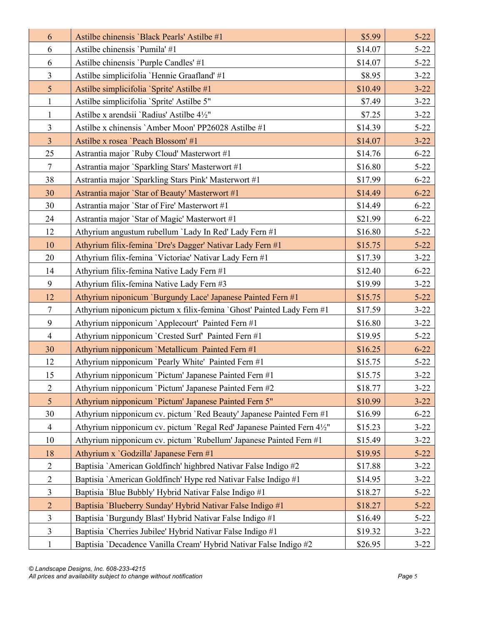| 6              | Astilbe chinensis 'Black Pearls' Astilbe #1                           | \$5.99  | $5 - 22$ |
|----------------|-----------------------------------------------------------------------|---------|----------|
| 6              | Astilbe chinensis 'Pumila' #1                                         | \$14.07 | $5 - 22$ |
| 6              | Astilbe chinensis 'Purple Candles' #1                                 | \$14.07 | $5 - 22$ |
| $\overline{3}$ | Astilbe simplicifolia 'Hennie Graafland' #1                           | \$8.95  | $3 - 22$ |
| $\overline{5}$ | Astilbe simplicifolia `Sprite' Astilbe #1                             | \$10.49 | $3 - 22$ |
| $\mathbf{1}$   | Astilbe simplicifolia 'Sprite' Astilbe 5"                             | \$7.49  | $3 - 22$ |
| $\mathbf{1}$   | Astilbe x arendsii 'Radius' Astilbe 41/2"                             | \$7.25  | $3 - 22$ |
| $\overline{3}$ | Astilbe x chinensis `Amber Moon' PP26028 Astilbe #1                   | \$14.39 | $5 - 22$ |
| $\overline{3}$ | Astilbe x rosea 'Peach Blossom' #1                                    | \$14.07 | $3 - 22$ |
| 25             | Astrantia major `Ruby Cloud' Masterwort #1                            | \$14.76 | $6 - 22$ |
| $\tau$         | Astrantia major `Sparkling Stars' Masterwort #1                       | \$16.80 | $5 - 22$ |
| 38             | Astrantia major `Sparkling Stars Pink' Masterwort #1                  | \$17.99 | $6 - 22$ |
| 30             | Astrantia major `Star of Beauty' Masterwort #1                        | \$14.49 | $6 - 22$ |
| 30             | Astrantia major 'Star of Fire' Masterwort #1                          | \$14.49 | $6 - 22$ |
| 24             | Astrantia major 'Star of Magic' Masterwort #1                         | \$21.99 | $6 - 22$ |
| 12             | Athyrium angustum rubellum 'Lady In Red' Lady Fern #1                 | \$16.80 | $5 - 22$ |
| 10             | Athyrium filix-femina 'Dre's Dagger' Nativar Lady Fern #1             | \$15.75 | $5 - 22$ |
| 20             | Athyrium filix-femina 'Victoriae' Nativar Lady Fern #1                | \$17.39 | $3 - 22$ |
| 14             | Athyrium filix-femina Native Lady Fern #1                             | \$12.40 | $6 - 22$ |
| 9              | Athyrium filix-femina Native Lady Fern #3                             | \$19.99 | $3 - 22$ |
| 12             | Athyrium niponicum 'Burgundy Lace' Japanese Painted Fern #1           | \$15.75 | $5 - 22$ |
| $\tau$         | Athyrium niponicum pictum x filix-femina `Ghost' Painted Lady Fern #1 | \$17.59 | $3 - 22$ |
| 9              | Athyrium nipponicum `Applecourt' Painted Fern #1                      | \$16.80 | $3 - 22$ |
| $\overline{4}$ | Athyrium nipponicum `Crested Surf` Painted Fern #1                    | \$19.95 | $5 - 22$ |
| 30             | Athyrium nipponicum 'Metallicum Painted Fern #1                       | \$16.25 | $6 - 22$ |
| 12             | Athyrium nipponicum 'Pearly White' Painted Fern #1                    | \$15.75 | $5 - 22$ |
| 15             | Athyrium nipponicum 'Pictum' Japanese Painted Fern #1                 | \$15.75 | $3 - 22$ |
| $\mathbf{2}$   | Athyrium nipponicum 'Pictum' Japanese Painted Fern #2                 | \$18.77 | $3 - 22$ |
| 5 <sup>5</sup> | Athyrium nipponicum 'Pictum' Japanese Painted Fern 5"                 | \$10.99 | $3 - 22$ |
| 30             | Athyrium nipponicum cv. pictum `Red Beauty' Japanese Painted Fern #1  | \$16.99 | $6 - 22$ |
| $\overline{4}$ | Athyrium nipponicum cv. pictum `Regal Red' Japanese Painted Fern 4½"  | \$15.23 | $3 - 22$ |
| 10             | Athyrium nipponicum cv. pictum 'Rubellum' Japanese Painted Fern #1    | \$15.49 | $3 - 22$ |
| 18             | Athyrium x 'Godzilla' Japanese Fern #1                                | \$19.95 | $5 - 22$ |
| $\overline{2}$ | Baptisia `American Goldfinch' highbred Nativar False Indigo #2        | \$17.88 | $3 - 22$ |
| $\overline{2}$ | Baptisia `American Goldfinch' Hype red Nativar False Indigo #1        | \$14.95 | $3 - 22$ |
| $\mathfrak{Z}$ | Baptisia 'Blue Bubbly' Hybrid Nativar False Indigo #1                 | \$18.27 | $5 - 22$ |
| $\overline{2}$ | Baptisia 'Blueberry Sunday' Hybrid Nativar False Indigo #1            | \$18.27 | $5 - 22$ |
| 3              | Baptisia 'Burgundy Blast' Hybrid Nativar False Indigo #1              | \$16.49 | $5 - 22$ |
| $\mathfrak{Z}$ | Baptisia `Cherries Jubilee' Hybrid Nativar False Indigo #1            | \$19.32 | $3 - 22$ |
| $\mathbf{1}$   | Baptisia 'Decadence Vanilla Cream' Hybrid Nativar False Indigo #2     | \$26.95 | $3 - 22$ |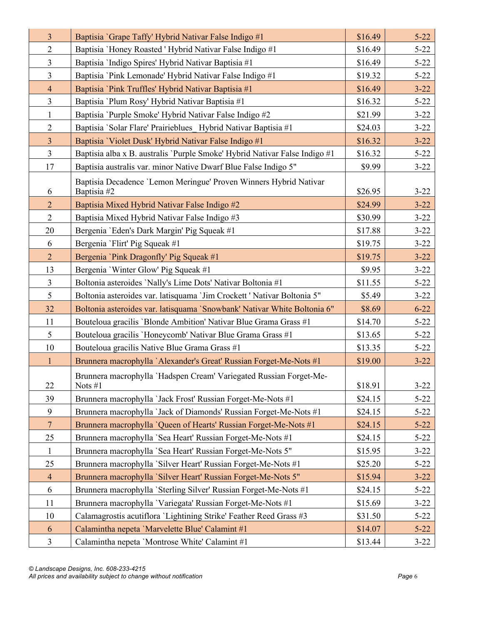| $\overline{3}$ | Baptisia 'Grape Taffy' Hybrid Nativar False Indigo #1                            | \$16.49 | $5 - 22$ |
|----------------|----------------------------------------------------------------------------------|---------|----------|
| $\overline{2}$ | Baptisia 'Honey Roasted ' Hybrid Nativar False Indigo #1                         | \$16.49 | $5 - 22$ |
| $\overline{3}$ | Baptisia 'Indigo Spires' Hybrid Nativar Baptisia #1                              | \$16.49 | $5 - 22$ |
| $\overline{3}$ | Baptisia 'Pink Lemonade' Hybrid Nativar False Indigo #1                          | \$19.32 | $5 - 22$ |
| $\overline{4}$ | Baptisia `Pink Truffles' Hybrid Nativar Baptisia #1                              | \$16.49 | $3 - 22$ |
| $\mathfrak{Z}$ | Baptisia 'Plum Rosy' Hybrid Nativar Baptisia #1                                  | \$16.32 | $5 - 22$ |
| $\mathbf{1}$   | Baptisia 'Purple Smoke' Hybrid Nativar False Indigo #2                           | \$21.99 | $3 - 22$ |
| $\overline{2}$ | Baptisia 'Solar Flare' Prairieblues Hybrid Nativar Baptisia #1                   | \$24.03 | $3 - 22$ |
| $\overline{3}$ | Baptisia 'Violet Dusk' Hybrid Nativar False Indigo #1                            | \$16.32 | $3 - 22$ |
| $\mathfrak{Z}$ | Baptisia alba x B. australis 'Purple Smoke' Hybrid Nativar False Indigo #1       | \$16.32 | $5 - 22$ |
| 17             | Baptisia australis var. minor Native Dwarf Blue False Indigo 5"                  | \$9.99  | $3 - 22$ |
| 6              | Baptisia Decadence 'Lemon Meringue' Proven Winners Hybrid Nativar<br>Baptisia #2 | \$26.95 | $3 - 22$ |
| $\overline{2}$ | Baptisia Mixed Hybrid Nativar False Indigo #2                                    | \$24.99 | $3 - 22$ |
| $\overline{2}$ | Baptisia Mixed Hybrid Nativar False Indigo #3                                    | \$30.99 | $3 - 22$ |
| 20             | Bergenia 'Eden's Dark Margin' Pig Squeak #1                                      | \$17.88 | $3 - 22$ |
| 6              | Bergenia 'Flirt' Pig Squeak #1                                                   | \$19.75 | $3 - 22$ |
| $\overline{2}$ | Bergenia 'Pink Dragonfly' Pig Squeak #1                                          | \$19.75 | $3 - 22$ |
| 13             | Bergenia 'Winter Glow' Pig Squeak #1                                             | \$9.95  | $3 - 22$ |
| $\overline{3}$ | Boltonia asteroides 'Nally's Lime Dots' Nativar Boltonia #1                      | \$11.55 | $5 - 22$ |
| 5              | Boltonia asteroides var. latisquama `Jim Crockett ' Nativar Boltonia 5"          | \$5.49  | $3 - 22$ |
| 32             | Boltonia asteroides var. latisquama 'Snowbank' Nativar White Boltonia 6"         | \$8.69  | $6 - 22$ |
| 11             | Bouteloua gracilis 'Blonde Ambition' Nativar Blue Grama Grass #1                 | \$14.70 | $5 - 22$ |
| 5              | Bouteloua gracilis 'Honeycomb' Nativar Blue Grama Grass #1                       | \$13.65 | $5 - 22$ |
| 10             | Bouteloua gracilis Native Blue Grama Grass #1                                    | \$13.35 | $5 - 22$ |
| $\mathbf{1}$   | Brunnera macrophylla `Alexander's Great' Russian Forget-Me-Nots #1               | \$19.00 | $3 - 22$ |
| 22             | Brunnera macrophylla 'Hadspen Cream' Variegated Russian Forget-Me-<br>Nots #1    | \$18.91 | $3 - 22$ |
| 39             | Brunnera macrophylla `Jack Frost' Russian Forget-Me-Nots #1                      | \$24.15 | $5 - 22$ |
| 9              | Brunnera macrophylla 'Jack of Diamonds' Russian Forget-Me-Nots #1                | \$24.15 | $5 - 22$ |
| $7\phantom{.}$ | Brunnera macrophylla `Queen of Hearts' Russian Forget-Me-Nots #1                 | \$24.15 | $5 - 22$ |
| 25             | Brunnera macrophylla 'Sea Heart' Russian Forget-Me-Nots #1                       | \$24.15 | $5 - 22$ |
| $\mathbf{1}$   | Brunnera macrophylla 'Sea Heart' Russian Forget-Me-Nots 5"                       | \$15.95 | $3 - 22$ |
| 25             | Brunnera macrophylla 'Silver Heart' Russian Forget-Me-Nots #1                    | \$25.20 | $5 - 22$ |
| $\overline{4}$ | Brunnera macrophylla 'Silver Heart' Russian Forget-Me-Nots 5"                    | \$15.94 | $3 - 22$ |
| 6              | Brunnera macrophylla 'Sterling Silver' Russian Forget-Me-Nots #1                 | \$24.15 | $5 - 22$ |
| 11             | Brunnera macrophylla 'Variegata' Russian Forget-Me-Nots #1                       | \$15.69 | $3 - 22$ |
| 10             | Calamagrostis acutiflora 'Lightining Strike' Feather Reed Grass #3               | \$31.50 | $5 - 22$ |
| 6              | Calamintha nepeta 'Marvelette Blue' Calamint #1                                  | \$14.07 | $5 - 22$ |
| $\mathfrak{Z}$ | Calamintha nepeta 'Montrose White' Calamint #1                                   | \$13.44 | $3 - 22$ |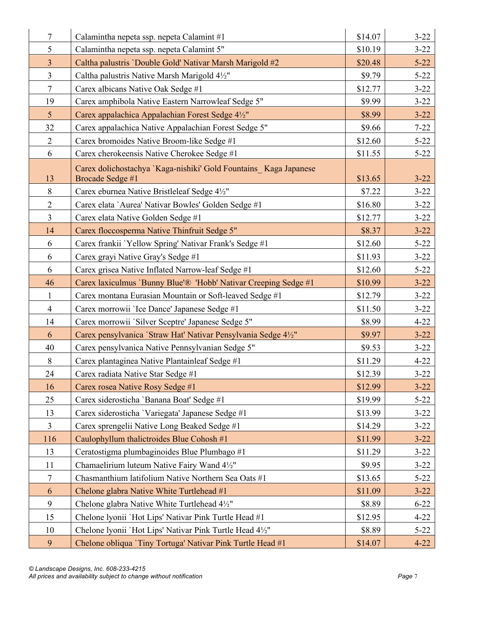| $\overline{7}$ | Calamintha nepeta ssp. nepeta Calamint #1                                            | \$14.07 | $3 - 22$ |
|----------------|--------------------------------------------------------------------------------------|---------|----------|
| 5              | Calamintha nepeta ssp. nepeta Calamint 5"                                            | \$10.19 | $3 - 22$ |
| $\overline{3}$ | Caltha palustris 'Double Gold' Nativar Marsh Marigold #2                             | \$20.48 | $5 - 22$ |
| $\overline{3}$ | Caltha palustris Native Marsh Marigold 41/2"                                         | \$9.79  | $5 - 22$ |
| $\overline{7}$ | Carex albicans Native Oak Sedge #1                                                   | \$12.77 | $3 - 22$ |
| 19             | Carex amphibola Native Eastern Narrowleaf Sedge 5"                                   | \$9.99  | $3 - 22$ |
| 5 <sup>5</sup> | Carex appalachica Appalachian Forest Sedge 4½"                                       | \$8.99  | $3 - 22$ |
| 32             | Carex appalachica Native Appalachian Forest Sedge 5"                                 | \$9.66  | $7 - 22$ |
| $\overline{2}$ | Carex bromoides Native Broom-like Sedge #1                                           | \$12.60 | $5 - 22$ |
| 6              | Carex cherokeensis Native Cherokee Sedge #1                                          | \$11.55 | $5 - 22$ |
| 13             | Carex dolichostachya `Kaga-nishiki' Gold Fountains Kaga Japanese<br>Brocade Sedge #1 | \$13.65 | $3 - 22$ |
| 8              | Carex eburnea Native Bristleleaf Sedge 41/2"                                         | \$7.22  | $3 - 22$ |
| $\overline{2}$ | Carex elata 'Aurea' Nativar Bowles' Golden Sedge #1                                  | \$16.80 | $3 - 22$ |
| $\overline{3}$ | Carex elata Native Golden Sedge #1                                                   | \$12.77 | $3 - 22$ |
| 14             | Carex floccosperma Native Thinfruit Sedge 5"                                         | \$8.37  | $3 - 22$ |
| 6              | Carex frankii 'Yellow Spring' Nativar Frank's Sedge #1                               | \$12.60 | $5 - 22$ |
| 6              | Carex grayi Native Gray's Sedge #1                                                   | \$11.93 | $3 - 22$ |
| 6              | Carex grisea Native Inflated Narrow-leaf Sedge #1                                    | \$12.60 | $5 - 22$ |
| 46             | Carex laxiculmus 'Bunny Blue'® 'Hobb' Nativar Creeping Sedge #1                      | \$10.99 | $3 - 22$ |
| $\mathbf{1}$   | Carex montana Eurasian Mountain or Soft-leaved Sedge #1                              | \$12.79 | $3 - 22$ |
| $\overline{4}$ | Carex morrowii 'Ice Dance' Japanese Sedge #1                                         | \$11.50 | $3 - 22$ |
| 14             | Carex morrowii 'Silver Sceptre' Japanese Sedge 5"                                    | \$8.99  | $4 - 22$ |
| 6              | Carex pensylvanica 'Straw Hat' Nativar Pensylvania Sedge 41/2"                       | \$9.97  | $3 - 22$ |
| 40             | Carex pensylvanica Native Pennsylvanian Sedge 5"                                     | \$9.53  | $3 - 22$ |
| 8              | Carex plantaginea Native Plantainleaf Sedge #1                                       | \$11.29 | $4 - 22$ |
| 24             | Carex radiata Native Star Sedge #1                                                   | \$12.39 | $3 - 22$ |
| 16             | Carex rosea Native Rosy Sedge #1                                                     | \$12.99 | $3 - 22$ |
| 25             | Carex siderosticha 'Banana Boat' Sedge #1                                            | \$19.99 | $5 - 22$ |
| 13             | Carex siderosticha 'Variegata' Japanese Sedge #1                                     | \$13.99 | $3 - 22$ |
| $\overline{3}$ | Carex sprengelii Native Long Beaked Sedge #1                                         | \$14.29 | $3 - 22$ |
| 116            | Caulophyllum thalictroides Blue Cohosh #1                                            | \$11.99 | $3 - 22$ |
| 13             | Ceratostigma plumbaginoides Blue Plumbago #1                                         | \$11.29 | $3 - 22$ |
| 11             | Chamaelirium luteum Native Fairy Wand 41/2"                                          | \$9.95  | $3 - 22$ |
| $\tau$         | Chasmanthium latifolium Native Northern Sea Oats #1                                  | \$13.65 | $5 - 22$ |
| 6              | Chelone glabra Native White Turtlehead #1                                            | \$11.09 | $3 - 22$ |
| 9              | Chelone glabra Native White Turtlehead 41/2"                                         | \$8.89  | $6 - 22$ |
| 15             | Chelone lyonii `Hot Lips' Nativar Pink Turtle Head #1                                | \$12.95 | $4 - 22$ |
| 10             | Chelone lyonii 'Hot Lips' Nativar Pink Turtle Head 4½"                               | \$8.89  | $5 - 22$ |
| 9              | Chelone obliqua 'Tiny Tortuga' Nativar Pink Turtle Head #1                           | \$14.07 | $4 - 22$ |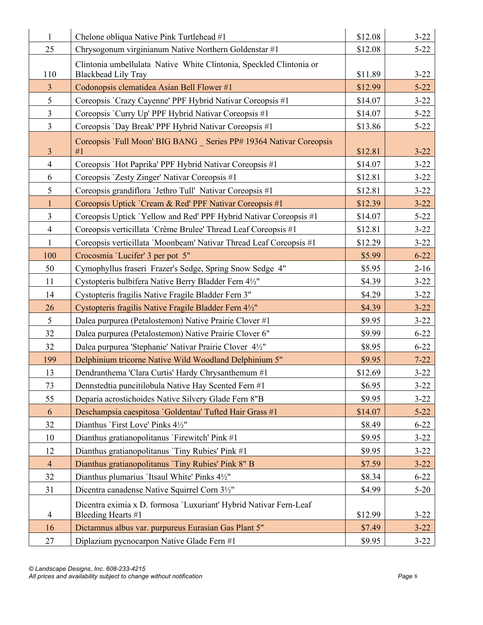| $\mathbf{1}$   | Chelone obliqua Native Pink Turtlehead #1                                               | \$12.08 | $3 - 22$ |
|----------------|-----------------------------------------------------------------------------------------|---------|----------|
| 25             | Chrysogonum virginianum Native Northern Goldenstar #1                                   | \$12.08 | $5 - 22$ |
|                | Clintonia umbellulata Native White Clintonia, Speckled Clintonia or                     |         |          |
| 110            | <b>Blackbead Lily Tray</b>                                                              | \$11.89 | $3 - 22$ |
| $\mathfrak{Z}$ | Codonopsis clematidea Asian Bell Flower #1                                              | \$12.99 | $5 - 22$ |
| 5              | Coreopsis `Crazy Cayenne' PPF Hybrid Nativar Coreopsis #1                               | \$14.07 | $3 - 22$ |
| $\mathfrak{Z}$ | Coreopsis 'Curry Up' PPF Hybrid Nativar Coreopsis #1                                    | \$14.07 | $5 - 22$ |
| $\overline{3}$ | Coreopsis 'Day Break' PPF Hybrid Nativar Coreopsis #1                                   | \$13.86 | $5 - 22$ |
|                | Coreopsis 'Full Moon' BIG BANG _ Series PP# 19364 Nativar Coreopsis                     |         |          |
| $\overline{3}$ | #1                                                                                      | \$12.81 | $3 - 22$ |
| $\overline{4}$ | Coreopsis 'Hot Paprika' PPF Hybrid Nativar Coreopsis #1                                 | \$14.07 | $3 - 22$ |
| 6              | Coreopsis 'Zesty Zinger' Nativar Coreopsis #1                                           | \$12.81 | $3 - 22$ |
| 5              | Coreopsis grandiflora 'Jethro Tull' Nativar Coreopsis #1                                | \$12.81 | $3 - 22$ |
| $\mathbf{1}$   | Coreopsis Uptick `Cream & Red' PPF Nativar Coreopsis #1                                 | \$12.39 | $3 - 22$ |
| $\overline{3}$ | Coreopsis Uptick 'Yellow and Red' PPF Hybrid Nativar Coreopsis #1                       | \$14.07 | $5 - 22$ |
| $\overline{4}$ | Coreopsis verticillata 'Crème Brulee' Thread Leaf Coreopsis #1                          | \$12.81 | $3 - 22$ |
| $\mathbf{1}$   | Coreopsis verticillata 'Moonbeam' Nativar Thread Leaf Coreopsis #1                      | \$12.29 | $3 - 22$ |
| 100            | Crocosmia 'Lucifer' 3 per pot 5"                                                        | \$5.99  | $6 - 22$ |
| 50             | Cymophyllus fraseri Frazer's Sedge, Spring Snow Sedge 4"                                | \$5.95  | $2 - 16$ |
| 11             | Cystopteris bulbifera Native Berry Bladder Fern 4½"                                     | \$4.39  | $3 - 22$ |
| 14             | Cystopteris fragilis Native Fragile Bladder Fern 3"                                     | \$4.29  | $3 - 22$ |
| 26             | Cystopteris fragilis Native Fragile Bladder Fern 4½"                                    | \$4.39  | $3 - 22$ |
| 5              | Dalea purpurea (Petalostemon) Native Prairie Clover #1                                  | \$9.95  | $3 - 22$ |
| 32             | Dalea purpurea (Petalostemon) Native Prairie Clover 6"                                  | \$9.99  | $6 - 22$ |
| 32             | Dalea purpurea 'Stephanie' Nativar Prairie Clover 4½"                                   | \$8.95  | $6 - 22$ |
| 199            | Delphinium tricorne Native Wild Woodland Delphinium 5"                                  | \$9.95  | $7 - 22$ |
| 13             | Dendranthema 'Clara Curtis' Hardy Chrysanthemum #1                                      | \$12.69 | $3 - 22$ |
| 73             | Dennstedtia puncitilobula Native Hay Scented Fern #1                                    | \$6.95  | $3 - 22$ |
| 55             | Deparia acrostichoides Native Silvery Glade Fern 8"B                                    | \$9.95  | $3 - 22$ |
| 6              | Deschampsia caespitosa 'Goldentau' Tufted Hair Grass #1                                 | \$14.07 | $5 - 22$ |
| 32             | Dianthus 'First Love' Pinks 4½"                                                         | \$8.49  | $6 - 22$ |
| 10             | Dianthus gratianopolitanus 'Firewitch' Pink #1                                          | \$9.95  | $3 - 22$ |
| 12             | Dianthus gratianopolitanus 'Tiny Rubies' Pink #1                                        | \$9.95  | $3 - 22$ |
| $\overline{4}$ | Dianthus gratianopolitanus 'Tiny Rubies' Pink 8" B                                      | \$7.59  | $3 - 22$ |
| 32             | Dianthus plumarius 'Itsaul White' Pinks 41/2"                                           | \$8.34  | $6 - 22$ |
| 31             | Dicentra canadense Native Squirrel Corn 3½"                                             | \$4.99  | $5 - 20$ |
| 4              | Dicentra eximia x D. formosa 'Luxuriant' Hybrid Nativar Fern-Leaf<br>Bleeding Hearts #1 | \$12.99 | $3 - 22$ |
| 16             | Dictamnus albus var. purpureus Eurasian Gas Plant 5"                                    | \$7.49  | $3 - 22$ |
| 27             | Diplazium pycnocarpon Native Glade Fern #1                                              | \$9.95  | $3 - 22$ |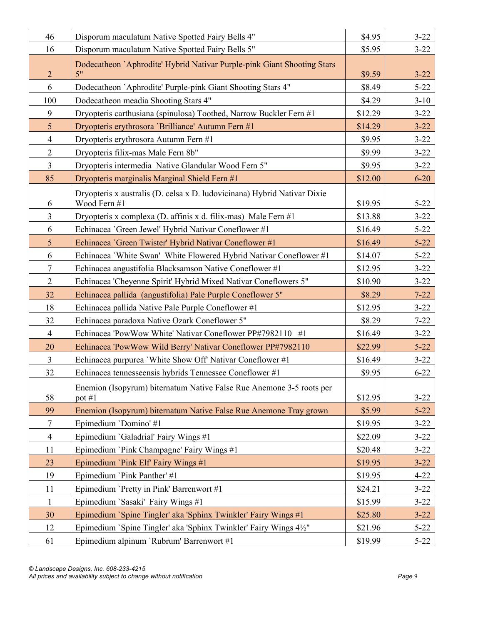| 46              | Disporum maculatum Native Spotted Fairy Bells 4"                                         | \$4.95  | $3 - 22$ |
|-----------------|------------------------------------------------------------------------------------------|---------|----------|
| 16              | Disporum maculatum Native Spotted Fairy Bells 5"                                         | \$5.95  | $3 - 22$ |
|                 | Dodecatheon `Aphrodite' Hybrid Nativar Purple-pink Giant Shooting Stars                  |         |          |
| $\overline{2}$  | 5"                                                                                       | \$9.59  | $3 - 22$ |
| 6               | Dodecatheon 'Aphrodite' Purple-pink Giant Shooting Stars 4"                              | \$8.49  | $5 - 22$ |
| 100             | Dodecatheon meadia Shooting Stars 4"                                                     | \$4.29  | $3 - 10$ |
| 9               | Dryopteris carthusiana (spinulosa) Toothed, Narrow Buckler Fern #1                       | \$12.29 | $3 - 22$ |
| $5\overline{)}$ | Dryopteris erythrosora 'Brilliance' Autumn Fern #1                                       | \$14.29 | $3 - 22$ |
| $\overline{4}$  | Dryopteris erythrosora Autumn Fern #1                                                    | \$9.95  | $3 - 22$ |
| $\overline{2}$  | Dryopteris filix-mas Male Fern 8b"                                                       | \$9.99  | $3 - 22$ |
| $\mathfrak{Z}$  | Dryopteris intermedia Native Glandular Wood Fern 5"                                      | \$9.95  | $3 - 22$ |
| 85              | Dryopteris marginalis Marginal Shield Fern #1                                            | \$12.00 | $6 - 20$ |
| 6               | Dryopteris x australis (D. celsa x D. ludovicinana) Hybrid Nativar Dixie<br>Wood Fern #1 | \$19.95 | $5 - 22$ |
| $\overline{3}$  | Dryopteris x complexa (D. affinis x d. filix-mas) Male Fern #1                           | \$13.88 | $3 - 22$ |
| 6               | Echinacea 'Green Jewel' Hybrid Nativar Coneflower #1                                     | \$16.49 | $5 - 22$ |
| $5\overline{)}$ | Echinacea 'Green Twister' Hybrid Nativar Coneflower #1                                   | \$16.49 | $5 - 22$ |
| 6               | Echinacea 'White Swan' White Flowered Hybrid Nativar Coneflower #1                       | \$14.07 | $5 - 22$ |
| $\tau$          | Echinacea angustifolia Blacksamson Native Coneflower #1                                  | \$12.95 | $3 - 22$ |
| $\overline{2}$  | Echinacea 'Cheyenne Spirit' Hybrid Mixed Nativar Coneflowers 5"                          | \$10.90 | $3 - 22$ |
| 32              | Echinacea pallida (angustifolia) Pale Purple Coneflower 5"                               | \$8.29  | $7 - 22$ |
| 18              | Echinacea pallida Native Pale Purple Coneflower #1                                       | \$12.95 | $3 - 22$ |
| 32              | Echinacea paradoxa Native Ozark Coneflower 5"                                            | \$8.29  | $7 - 22$ |
| $\overline{4}$  | Echinacea 'PowWow White' Nativar Coneflower PP#7982110 #1                                | \$16.49 | $3 - 22$ |
| 20              | Echinacea 'PowWow Wild Berry' Nativar Coneflower PP#7982110                              | \$22.99 | $5 - 22$ |
| $\mathfrak{Z}$  | Echinacea purpurea 'White Show Off' Nativar Coneflower #1                                | \$16.49 | $3 - 22$ |
| 32              | Echinacea tennesseensis hybrids Tennessee Coneflower #1                                  | \$9.95  | $6 - 22$ |
| 58              | Enemion (Isopyrum) biternatum Native False Rue Anemone 3-5 roots per<br>pot #1           | \$12.95 | $3 - 22$ |
| 99              | Enemion (Isopyrum) biternatum Native False Rue Anemone Tray grown                        | \$5.99  | $5 - 22$ |
| $\tau$          | Epimedium 'Domino' #1                                                                    | \$19.95 | $3 - 22$ |
| $\overline{4}$  | Epimedium `Galadrial' Fairy Wings #1                                                     | \$22.09 | $3 - 22$ |
| 11              | Epimedium `Pink Champagne' Fairy Wings #1                                                | \$20.48 | $3 - 22$ |
| 23              | Epimedium `Pink Elf` Fairy Wings #1                                                      | \$19.95 | $3 - 22$ |
| 19              | Epimedium `Pink Panther' #1                                                              | \$19.95 | $4 - 22$ |
| 11              | Epimedium 'Pretty in Pink' Barrenwort #1                                                 | \$24.21 | $3 - 22$ |
| $\mathbf{1}$    | Epimedium `Sasaki' Fairy Wings #1                                                        | \$15.99 | $3 - 22$ |
| 30              | Epimedium `Spine Tingler' aka 'Sphinx Twinkler' Fairy Wings #1                           | \$25.80 | $3 - 22$ |
| 12              | Epimedium `Spine Tingler' aka 'Sphinx Twinkler' Fairy Wings 4½"                          | \$21.96 | $5 - 22$ |
| 61              | Epimedium alpinum 'Rubrum' Barrenwort #1                                                 | \$19.99 | $5 - 22$ |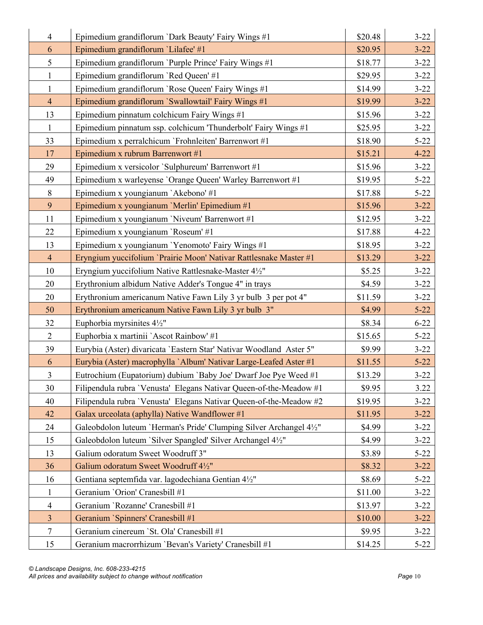| $\overline{4}$ | Epimedium grandiflorum `Dark Beauty' Fairy Wings #1                 | \$20.48 | $3 - 22$ |
|----------------|---------------------------------------------------------------------|---------|----------|
| 6              | Epimedium grandiflorum 'Lilafee' #1                                 | \$20.95 | $3 - 22$ |
| 5              | Epimedium grandiflorum `Purple Prince' Fairy Wings #1               | \$18.77 | $3 - 22$ |
| $\mathbf{1}$   | Epimedium grandiflorum `Red Queen' #1                               | \$29.95 | $3 - 22$ |
| $\mathbf{1}$   | Epimedium grandiflorum 'Rose Queen' Fairy Wings #1                  | \$14.99 | $3 - 22$ |
| $\overline{4}$ | Epimedium grandiflorum `Swallowtail' Fairy Wings #1                 | \$19.99 | $3 - 22$ |
| 13             | Epimedium pinnatum colchicum Fairy Wings #1                         | \$15.96 | $3 - 22$ |
| $\mathbf{1}$   | Epimedium pinnatum ssp. colchicum 'Thunderbolt' Fairy Wings #1      | \$25.95 | $3 - 22$ |
| 33             | Epimedium x perralchicum 'Frohnleiten' Barrenwort #1                | \$18.90 | $5 - 22$ |
| 17             | Epimedium x rubrum Barrenwort #1                                    | \$15.21 | $4 - 22$ |
| 29             | Epimedium x versicolor `Sulphureum' Barrenwort #1                   | \$15.96 | $3 - 22$ |
| 49             | Epimedium x warleyense 'Orange Queen' Warley Barrenwort #1          | \$19.95 | $5 - 22$ |
| 8              | Epimedium x youngianum `Akebono' #1                                 | \$17.88 | $5 - 22$ |
| 9              | Epimedium x youngianum 'Merlin' Epimedium #1                        | \$15.96 | $3 - 22$ |
| 11             | Epimedium x youngianum 'Niveum' Barrenwort #1                       | \$12.95 | $3 - 22$ |
| 22             | Epimedium x youngianum 'Roseum' #1                                  | \$17.88 | $4 - 22$ |
| 13             | Epimedium x youngianum 'Yenomoto' Fairy Wings #1                    | \$18.95 | $3 - 22$ |
| $\overline{4}$ | Eryngium yuccifolium 'Prairie Moon' Nativar Rattlesnake Master #1   | \$13.29 | $3 - 22$ |
| 10             | Eryngium yuccifolium Native Rattlesnake-Master 4½"                  | \$5.25  | $3 - 22$ |
| 20             | Erythronium albidum Native Adder's Tongue 4" in trays               | \$4.59  | $3 - 22$ |
| 20             | Erythronium americanum Native Fawn Lily 3 yr bulb 3 per pot 4"      | \$11.59 | $3 - 22$ |
| 50             | Erythronium americanum Native Fawn Lily 3 yr bulb 3"                | \$4.99  | $5 - 22$ |
| 32             | Euphorbia myrsinites 41/2"                                          | \$8.34  | $6 - 22$ |
| $\overline{2}$ | Euphorbia x martinii `Ascot Rainbow' #1                             | \$15.65 | $5 - 22$ |
| 39             | Eurybia (Aster) divaricata 'Eastern Star' Nativar Woodland Aster 5" | \$9.99  | $3 - 22$ |
| 6              | Eurybia (Aster) macrophylla `Album' Nativar Large-Leafed Aster #1   | \$11.55 | $5 - 22$ |
| $\overline{3}$ | Eutrochium (Eupatorium) dubium 'Baby Joe' Dwarf Joe Pye Weed #1     | \$13.29 | $3 - 22$ |
| 30             | Filipendula rubra 'Venusta' Elegans Nativar Queen-of-the-Meadow #1  | \$9.95  | 3.22     |
| 40             | Filipendula rubra 'Venusta' Elegans Nativar Queen-of-the-Meadow #2  | \$19.95 | $3 - 22$ |
| 42             | Galax urceolata (aphylla) Native Wandflower #1                      | \$11.95 | $3 - 22$ |
| 24             | Galeobdolon luteum 'Herman's Pride' Clumping Silver Archangel 41/2" | \$4.99  | $3 - 22$ |
| 15             | Galeobdolon luteum 'Silver Spangled' Silver Archangel 4½"           | \$4.99  | $3 - 22$ |
| 13             | Galium odoratum Sweet Woodruff 3"                                   | \$3.89  | $5 - 22$ |
| 36             | Galium odoratum Sweet Woodruff 4½"                                  | \$8.32  | $3 - 22$ |
| 16             | Gentiana septemfida var. lagodechiana Gentian 41/2"                 | \$8.69  | $5 - 22$ |
| $\mathbf{1}$   | Geranium 'Orion' Cranesbill #1                                      | \$11.00 | $3 - 22$ |
| $\overline{4}$ | Geranium 'Rozanne' Cranesbill #1                                    | \$13.97 | $3 - 22$ |
| $\mathfrak{Z}$ | Geranium `Spinners' Cranesbill #1                                   | \$10.00 | $3 - 22$ |
| 7              | Geranium cinereum 'St. Ola' Cranesbill #1                           | \$9.95  | $3 - 22$ |
| 15             | Geranium macrorrhizum 'Bevan's Variety' Cranesbill #1               | \$14.25 | $5 - 22$ |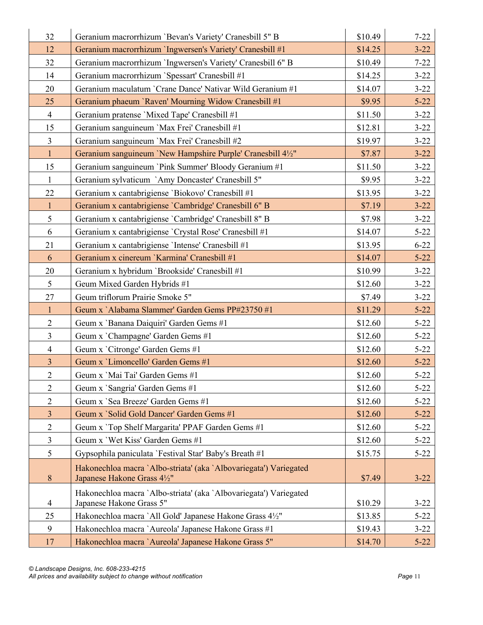| 32             | Geranium macrorrhizum 'Bevan's Variety' Cranesbill 5" B                                       | \$10.49 | $7 - 22$ |
|----------------|-----------------------------------------------------------------------------------------------|---------|----------|
| 12             | Geranium macrorrhizum 'Ingwersen's Variety' Cranesbill #1                                     | \$14.25 | $3 - 22$ |
| 32             | Geranium macrorrhizum 'Ingwersen's Variety' Cranesbill 6" B                                   | \$10.49 | $7 - 22$ |
| 14             | Geranium macrorrhizum `Spessart' Cranesbill #1                                                | \$14.25 | $3 - 22$ |
| 20             | Geranium maculatum 'Crane Dance' Nativar Wild Geranium #1                                     | \$14.07 | $3 - 22$ |
| 25             | Geranium phaeum 'Raven' Mourning Widow Cranesbill #1                                          | \$9.95  | $5 - 22$ |
| $\overline{4}$ | Geranium pratense 'Mixed Tape' Cranesbill #1                                                  | \$11.50 | $3 - 22$ |
| 15             | Geranium sanguineum 'Max Frei' Cranesbill #1                                                  | \$12.81 | $3 - 22$ |
| $\overline{3}$ | Geranium sanguineum 'Max Frei' Cranesbill #2                                                  | \$19.97 | $3 - 22$ |
| $\mathbf{1}$   | Geranium sanguineum 'New Hampshire Purple' Cranesbill 4½"                                     | \$7.87  | $3 - 22$ |
| 15             | Geranium sanguineum `Pink Summer' Bloody Geranium #1                                          | \$11.50 | $3 - 22$ |
| $\mathbf{1}$   | Geranium sylvaticum `Amy Doncaster' Cranesbill 5"                                             | \$9.95  | $3 - 22$ |
| 22             | Geranium x cantabrigiense 'Biokovo' Cranesbill #1                                             | \$13.95 | $3 - 22$ |
| $\mathbf{1}$   | Geranium x cantabrigiense 'Cambridge' Cranesbill 6" B                                         | \$7.19  | $3 - 22$ |
| 5              | Geranium x cantabrigiense 'Cambridge' Cranesbill 8" B                                         | \$7.98  | $3 - 22$ |
| 6              | Geranium x cantabrigiense 'Crystal Rose' Cranesbill #1                                        | \$14.07 | $5 - 22$ |
| 21             | Geranium x cantabrigiense 'Intense' Cranesbill #1                                             | \$13.95 | $6 - 22$ |
| 6              | Geranium x cinereum 'Karmina' Cranesbill #1                                                   | \$14.07 | $5 - 22$ |
| 20             | Geranium x hybridum 'Brookside' Cranesbill #1                                                 | \$10.99 | $3 - 22$ |
| 5              | Geum Mixed Garden Hybrids #1                                                                  | \$12.60 | $3 - 22$ |
| 27             | Geum triflorum Prairie Smoke 5"                                                               | \$7.49  | $3 - 22$ |
| $\mathbf{1}$   | Geum x `Alabama Slammer' Garden Gems PP#23750 #1                                              | \$11.29 | $5 - 22$ |
| $\overline{2}$ | Geum x 'Banana Daiquiri' Garden Gems #1                                                       | \$12.60 | $5 - 22$ |
| $\mathfrak{Z}$ | Geum x 'Champagne' Garden Gems #1                                                             | \$12.60 | $5 - 22$ |
| $\overline{4}$ | Geum x 'Citronge' Garden Gems #1                                                              | \$12.60 | $5 - 22$ |
| $\overline{3}$ | Geum x 'Limoncello' Garden Gems #1                                                            | \$12.60 | $5 - 22$ |
| $\overline{2}$ | Geum x 'Mai Tai' Garden Gems #1                                                               | \$12.60 | $5 - 22$ |
| $\mathbf{2}$   | Geum x 'Sangria' Garden Gems #1                                                               | \$12.60 | $5 - 22$ |
| $\overline{2}$ | Geum x 'Sea Breeze' Garden Gems #1                                                            | \$12.60 | $5 - 22$ |
| $\mathfrak{Z}$ | Geum x 'Solid Gold Dancer' Garden Gems #1                                                     | \$12.60 | $5 - 22$ |
| $\mathbf{2}$   | Geum x 'Top Shelf Margarita' PPAF Garden Gems #1                                              | \$12.60 | $5 - 22$ |
| 3              | Geum x 'Wet Kiss' Garden Gems #1                                                              | \$12.60 | $5 - 22$ |
| 5              | Gypsophila paniculata 'Festival Star' Baby's Breath #1                                        | \$15.75 | $5 - 22$ |
| 8              | Hakonechloa macra `Albo-striata' (aka `Albovariegata') Variegated                             |         |          |
|                | Japanese Hakone Grass 4½"                                                                     | \$7.49  | $3 - 22$ |
| 4              | Hakonechloa macra `Albo-striata' (aka `Albovariegata') Variegated<br>Japanese Hakone Grass 5" | \$10.29 | $3 - 22$ |
| 25             | Hakonechloa macra `All Gold' Japanese Hakone Grass 41/2"                                      | \$13.85 | $5 - 22$ |
| 9              | Hakonechloa macra 'Aureola' Japanese Hakone Grass #1                                          | \$19.43 | $3 - 22$ |
| 17             | Hakonechloa macra 'Aureola' Japanese Hakone Grass 5"                                          | \$14.70 | $5 - 22$ |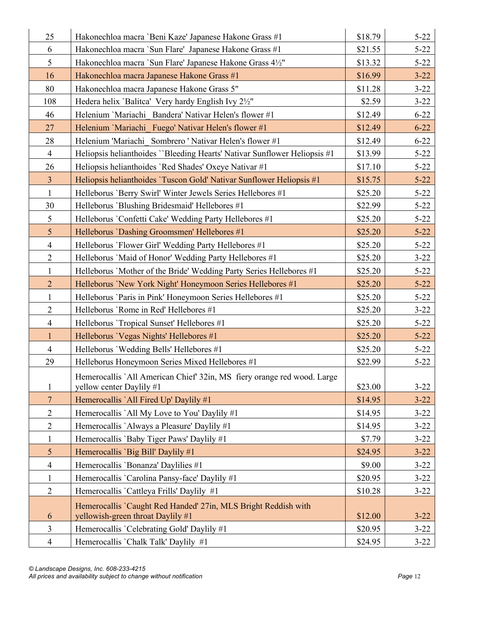| 25                  | Hakonechloa macra 'Beni Kaze' Japanese Hakone Grass #1                                              | \$18.79 | $5 - 22$ |
|---------------------|-----------------------------------------------------------------------------------------------------|---------|----------|
| 6                   | Hakonechloa macra 'Sun Flare' Japanese Hakone Grass #1                                              | \$21.55 | $5 - 22$ |
| 5                   | Hakonechloa macra 'Sun Flare' Japanese Hakone Grass 4½"                                             | \$13.32 | $5 - 22$ |
| 16                  | Hakonechloa macra Japanese Hakone Grass #1                                                          | \$16.99 | $3 - 22$ |
| 80                  | Hakonechloa macra Japanese Hakone Grass 5"                                                          | \$11.28 | $3 - 22$ |
| 108                 | Hedera helix 'Balitca' Very hardy English Ivy 2½"                                                   | \$2.59  | $3 - 22$ |
| 46                  | Helenium 'Mariachi Bandera' Nativar Helen's flower #1                                               | \$12.49 | $6 - 22$ |
| 27                  | Helenium 'Mariachi Fuego' Nativar Helen's flower #1                                                 | \$12.49 | $6 - 22$ |
| 28                  | Helenium 'Mariachi Sombrero ' Nativar Helen's flower #1                                             | \$12.49 | $6 - 22$ |
| $\overline{4}$      | Heliopsis helianthoides "Bleeding Hearts' Nativar Sunflower Heliopsis #1                            | \$13.99 | $5 - 22$ |
| 26                  | Heliopsis helianthoides 'Red Shades' Oxeye Nativar #1                                               | \$17.10 | $5 - 22$ |
| $\overline{3}$      | Heliopsis helianthoides 'Tuscon Gold' Nativar Sunflower Heliopsis #1                                | \$15.75 | $5 - 22$ |
| $\mathbf{1}$        | Helleborus 'Berry Swirl' Winter Jewels Series Hellebores #1                                         | \$25.20 | $5 - 22$ |
| 30                  | Helleborus 'Blushing Bridesmaid' Hellebores #1                                                      | \$22.99 | $5 - 22$ |
| 5                   | Helleborus 'Confetti Cake' Wedding Party Hellebores #1                                              | \$25.20 | $5 - 22$ |
| 5                   | Helleborus 'Dashing Groomsmen' Hellebores #1                                                        | \$25.20 | $5 - 22$ |
| $\overline{4}$      | Helleborus 'Flower Girl' Wedding Party Hellebores #1                                                | \$25.20 | $5 - 22$ |
| $\overline{2}$      | Helleborus 'Maid of Honor' Wedding Party Hellebores #1                                              | \$25.20 | $3 - 22$ |
| $\mathbf{1}$        | Helleborus 'Mother of the Bride' Wedding Party Series Hellebores #1                                 | \$25.20 | $5 - 22$ |
| $\overline{2}$      | Helleborus 'New York Night' Honeymoon Series Hellebores #1                                          | \$25.20 | $5 - 22$ |
| $\mathbf{1}$        | Helleborus 'Paris in Pink' Honeymoon Series Hellebores #1                                           | \$25.20 | $5 - 22$ |
| $\overline{2}$      | Helleborus 'Rome in Red' Hellebores #1                                                              | \$25.20 | $3 - 22$ |
| $\overline{4}$      | Helleborus 'Tropical Sunset' Hellebores #1                                                          | \$25.20 | $5 - 22$ |
| $\mathbf{1}$        | Helleborus 'Vegas Nights' Hellebores #1                                                             | \$25.20 | $5 - 22$ |
| $\overline{4}$      | Helleborus 'Wedding Bells' Hellebores #1                                                            | \$25.20 | $5 - 22$ |
| 29                  | Helleborus Honeymoon Series Mixed Hellebores #1                                                     | \$22.99 | $5 - 22$ |
| $\mathbf{1}$        | Hemerocallis `All American Chief' 32in, MS fiery orange red wood. Large<br>yellow center Daylily #1 | \$23.00 | $3 - 22$ |
| $\overline{7}$      | Hemerocallis `All Fired Up' Daylily #1                                                              | \$14.95 | $3 - 22$ |
| $\mathfrak{2}$      | Hemerocallis `All My Love to You' Daylily #1                                                        | \$14.95 | $3 - 22$ |
| $\overline{2}$      | Hemerocallis `Always a Pleasure' Daylily #1                                                         | \$14.95 | $3 - 22$ |
| $\mathbf{1}$        | Hemerocallis 'Baby Tiger Paws' Daylily #1                                                           | \$7.79  | $3 - 22$ |
| $\mathfrak{S}$      | Hemerocallis 'Big Bill' Daylily #1                                                                  | \$24.95 | $3 - 22$ |
| $\overline{4}$      | Hemerocallis 'Bonanza' Daylilies #1                                                                 | \$9.00  | $3 - 22$ |
| $\mathbf{1}$        | Hemerocallis `Carolina Pansy-face' Daylily #1                                                       | \$20.95 | $3 - 22$ |
| $\overline{2}$      | Hemerocallis `Cattleya Frills' Daylily #1                                                           | \$10.28 | $3 - 22$ |
|                     | Hemerocallis `Caught Red Handed' 27in, MLS Bright Reddish with                                      |         |          |
| 6<br>$\overline{3}$ | yellowish-green throat Daylily #1                                                                   | \$12.00 | $3 - 22$ |
|                     | Hemerocallis 'Celebrating Gold' Daylily #1                                                          | \$20.95 | $3 - 22$ |
| $\overline{4}$      | Hemerocallis 'Chalk Talk' Daylily #1                                                                | \$24.95 | $3 - 22$ |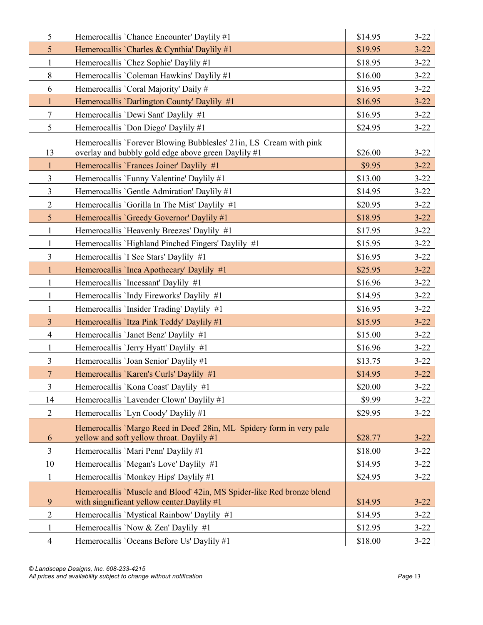| 5               | Hemerocallis 'Chance Encounter' Daylily #1                                                                                | \$14.95 | $3 - 22$ |
|-----------------|---------------------------------------------------------------------------------------------------------------------------|---------|----------|
| $5\overline{)}$ | Hemerocallis `Charles & Cynthia' Daylily #1                                                                               | \$19.95 | $3 - 22$ |
| $\mathbf{1}$    | Hemerocallis 'Chez Sophie' Daylily #1                                                                                     | \$18.95 | $3 - 22$ |
| $\,8\,$         | Hemerocallis 'Coleman Hawkins' Daylily #1                                                                                 | \$16.00 | $3 - 22$ |
| 6               | Hemerocallis 'Coral Majority' Daily #                                                                                     | \$16.95 | $3 - 22$ |
| $\mathbf{1}$    | Hemerocallis 'Darlington County' Daylily #1                                                                               | \$16.95 | $3 - 22$ |
| $\tau$          | Hemerocallis 'Dewi Sant' Daylily #1                                                                                       | \$16.95 | $3 - 22$ |
| 5               | Hemerocallis 'Don Diego' Daylily #1                                                                                       | \$24.95 | $3 - 22$ |
| 13              | Hemerocallis 'Forever Blowing Bubblesles' 21in, LS Cream with pink<br>overlay and bubbly gold edge above green Daylily #1 | \$26.00 | $3 - 22$ |
| $\mathbf{1}$    | Hemerocallis 'Frances Joiner' Daylily #1                                                                                  | \$9.95  | $3 - 22$ |
| $\overline{3}$  | Hemerocallis 'Funny Valentine' Daylily #1                                                                                 | \$13.00 | $3 - 22$ |
| $\overline{3}$  | Hemerocallis 'Gentle Admiration' Daylily #1                                                                               | \$14.95 | $3 - 22$ |
| $\overline{2}$  | Hemerocallis 'Gorilla In The Mist' Daylily #1                                                                             | \$20.95 | $3 - 22$ |
| $5\overline{)}$ | Hemerocallis 'Greedy Governor' Daylily #1                                                                                 | \$18.95 | $3 - 22$ |
| $\mathbf{1}$    | Hemerocallis 'Heavenly Breezes' Daylily #1                                                                                | \$17.95 | $3 - 22$ |
| $\mathbf{1}$    | Hemerocallis 'Highland Pinched Fingers' Daylily #1                                                                        | \$15.95 | $3 - 22$ |
| $\overline{3}$  | Hemerocallis 'I See Stars' Daylily #1                                                                                     | \$16.95 | $3 - 22$ |
| $\mathbf{1}$    | Hemerocallis 'Inca Apothecary' Daylily #1                                                                                 | \$25.95 | $3 - 22$ |
| $\mathbf{1}$    | Hemerocallis 'Incessant' Daylily #1                                                                                       | \$16.96 | $3 - 22$ |
| $\mathbf{1}$    | Hemerocallis 'Indy Fireworks' Daylily #1                                                                                  | \$14.95 | $3 - 22$ |
| 1               | Hemerocallis 'Insider Trading' Daylily #1                                                                                 | \$16.95 | $3 - 22$ |
| $\overline{3}$  | Hemerocallis 'Itza Pink Teddy' Daylily #1                                                                                 | \$15.95 | $3 - 22$ |
| $\overline{4}$  | Hemerocallis 'Janet Benz' Daylily #1                                                                                      | \$15.00 | $3 - 22$ |
| $\mathbf{1}$    | Hemerocallis 'Jerry Hyatt' Daylily #1                                                                                     | \$16.96 | $3 - 22$ |
| $\overline{3}$  | Hemerocallis 'Joan Senior' Daylily #1                                                                                     | \$13.75 | $3 - 22$ |
| $\overline{7}$  | Hemerocallis 'Karen's Curls' Daylily #1                                                                                   | \$14.95 | $3 - 22$ |
| $\overline{3}$  | Hemerocallis 'Kona Coast' Daylily #1                                                                                      | \$20.00 | $3 - 22$ |
| 14              | Hemerocallis 'Lavender Clown' Daylily #1                                                                                  | \$9.99  | $3 - 22$ |
| $\overline{2}$  | Hemerocallis 'Lyn Coody' Daylily #1                                                                                       | \$29.95 | $3 - 22$ |
| 6               | Hemerocallis 'Margo Reed in Deed' 28in, ML Spidery form in very pale<br>yellow and soft yellow throat. Daylily #1         | \$28.77 | $3 - 22$ |
| $\mathfrak{Z}$  | Hemerocallis 'Mari Penn' Daylily #1                                                                                       | \$18.00 | $3 - 22$ |
| 10              | Hemerocallis 'Megan's Love' Daylily #1                                                                                    | \$14.95 | $3 - 22$ |
| $\mathbf{1}$    | Hemerocallis 'Monkey Hips' Daylily #1                                                                                     | \$24.95 | $3 - 22$ |
| 9               | Hemerocallis `Muscle and Blood' 42in, MS Spider-like Red bronze blend<br>with singnificant yellow center. Daylily #1      | \$14.95 | $3 - 22$ |
| $\overline{2}$  | Hemerocallis 'Mystical Rainbow' Daylily #1                                                                                | \$14.95 | $3 - 22$ |
| $\mathbf{1}$    | Hemerocallis 'Now & Zen' Daylily #1                                                                                       | \$12.95 | $3 - 22$ |
| $\overline{4}$  | Hemerocallis 'Oceans Before Us' Daylily #1                                                                                | \$18.00 | $3 - 22$ |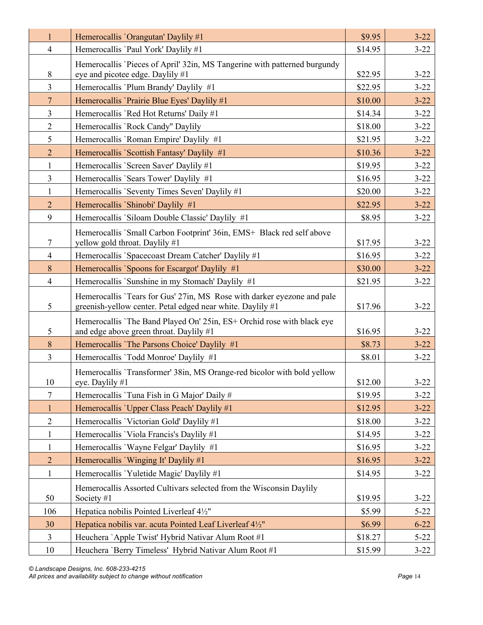| $\mathbf{1}$   | Hemerocallis 'Orangutan' Daylily #1                                                                                                   | \$9.95  | $3 - 22$ |
|----------------|---------------------------------------------------------------------------------------------------------------------------------------|---------|----------|
| $\overline{4}$ | Hemerocallis 'Paul York' Daylily #1                                                                                                   | \$14.95 | $3 - 22$ |
|                | Hemerocallis 'Pieces of April' 32in, MS Tangerine with patterned burgundy                                                             |         |          |
| 8              | eye and picotee edge. Daylily #1                                                                                                      | \$22.95 | $3 - 22$ |
| $\overline{3}$ | Hemerocallis 'Plum Brandy' Daylily #1                                                                                                 | \$22.95 | $3 - 22$ |
| $\overline{7}$ | Hemerocallis 'Prairie Blue Eyes' Daylily #1                                                                                           | \$10.00 | $3 - 22$ |
| $\overline{3}$ | Hemerocallis 'Red Hot Returns' Daily #1                                                                                               | \$14.34 | $3 - 22$ |
| $\overline{2}$ | Hemerocallis 'Rock Candy" Daylily                                                                                                     | \$18.00 | $3 - 22$ |
| 5              | Hemerocallis 'Roman Empire' Daylily #1                                                                                                | \$21.95 | $3 - 22$ |
| $\overline{2}$ | Hemerocallis 'Scottish Fantasy' Daylily #1                                                                                            | \$10.36 | $3 - 22$ |
| $\mathbf{1}$   | Hemerocallis 'Screen Saver' Daylily #1                                                                                                | \$19.95 | $3 - 22$ |
| $\overline{3}$ | Hemerocallis 'Sears Tower' Daylily #1                                                                                                 | \$16.95 | $3 - 22$ |
| $\mathbf{1}$   | Hemerocallis 'Seventy Times Seven' Daylily #1                                                                                         | \$20.00 | $3 - 22$ |
| $\overline{2}$ | Hemerocallis 'Shinobi' Daylily #1                                                                                                     | \$22.95 | $3 - 22$ |
| 9              | Hemerocallis 'Siloam Double Classic' Daylily #1                                                                                       | \$8.95  | $3 - 22$ |
|                | Hemerocallis `Small Carbon Footprint' 36in, EMS+ Black red self above                                                                 |         |          |
| 7              | yellow gold throat. Daylily #1                                                                                                        | \$17.95 | $3 - 22$ |
| $\overline{4}$ | Hemerocallis `Spacecoast Dream Catcher' Daylily #1                                                                                    | \$16.95 | $3 - 22$ |
| 8              | Hemerocallis `Spoons for Escargot' Daylily #1                                                                                         | \$30.00 | $3 - 22$ |
| $\overline{4}$ | Hemerocallis 'Sunshine in my Stomach' Daylily #1                                                                                      | \$21.95 | $3 - 22$ |
| 5              | Hemerocallis 'Tears for Gus' 27in, MS Rose with darker eyezone and pale<br>greenish-yellow center. Petal edged near white. Daylily #1 | \$17.96 | $3 - 22$ |
| 5              | Hemerocallis 'The Band Played On' 25in, ES+ Orchid rose with black eye<br>and edge above green throat. Daylily #1                     | \$16.95 | $3 - 22$ |
| 8              | Hemerocallis 'The Parsons Choice' Daylily #1                                                                                          | \$8.73  | $3 - 22$ |
| $\overline{3}$ | Hemerocallis 'Todd Monroe' Daylily #1                                                                                                 | \$8.01  | $3 - 22$ |
| 10             | Hemerocallis 'Transformer' 38in, MS Orange-red bicolor with bold yellow<br>eye. Daylily #1                                            | \$12.00 | $3 - 22$ |
| 7              | Hemerocallis 'Tuna Fish in G Major' Daily #                                                                                           | \$19.95 | $3 - 22$ |
| 1              | Hemerocallis 'Upper Class Peach' Daylily #1                                                                                           | \$12.95 | $3 - 22$ |
| $\mathbf{2}$   | Hemerocallis 'Victorian Gold' Daylily #1                                                                                              | \$18.00 | $3 - 22$ |
| $\mathbf{1}$   | Hemerocallis 'Viola Francis's Daylily #1                                                                                              | \$14.95 | $3 - 22$ |
| $\mathbf{1}$   | Hemerocallis 'Wayne Felgar' Daylily #1                                                                                                | \$16.95 | $3 - 22$ |
| $\overline{2}$ | Hemerocallis 'Winging It' Daylily #1                                                                                                  | \$16.95 | $3 - 22$ |
| $\mathbf{1}$   | Hemerocallis 'Yuletide Magic' Daylily #1                                                                                              | \$14.95 | $3 - 22$ |
| 50             | Hemerocallis Assorted Cultivars selected from the Wisconsin Daylily<br>Society #1                                                     | \$19.95 | $3 - 22$ |
| 106            | Hepatica nobilis Pointed Liverleaf 41/2"                                                                                              | \$5.99  | $5 - 22$ |
| 30             | Hepatica nobilis var. acuta Pointed Leaf Liverleaf 4½"                                                                                | \$6.99  | $6 - 22$ |
| 3              | Heuchera `Apple Twist' Hybrid Nativar Alum Root #1                                                                                    | \$18.27 | $5 - 22$ |
| 10             | Heuchera 'Berry Timeless' Hybrid Nativar Alum Root #1                                                                                 | \$15.99 | $3 - 22$ |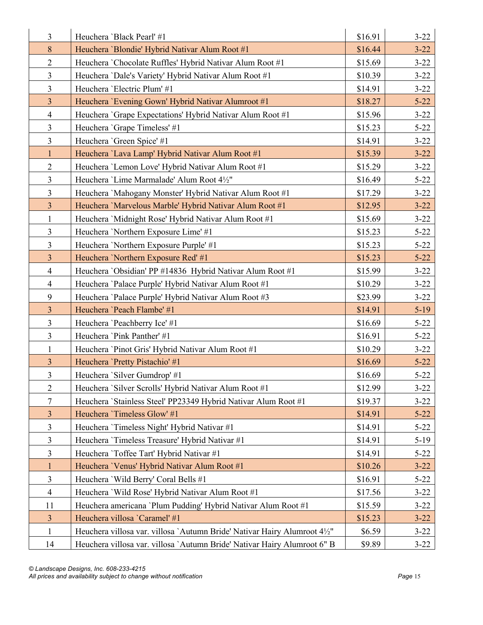| $\overline{3}$ | Heuchera 'Black Pearl' #1                                                | \$16.91 | $3 - 22$ |
|----------------|--------------------------------------------------------------------------|---------|----------|
| 8              | Heuchera 'Blondie' Hybrid Nativar Alum Root #1                           | \$16.44 | $3 - 22$ |
| $\overline{2}$ | Heuchera 'Chocolate Ruffles' Hybrid Nativar Alum Root #1                 | \$15.69 | $3 - 22$ |
| $\mathfrak{Z}$ | Heuchera 'Dale's Variety' Hybrid Nativar Alum Root #1                    | \$10.39 | $3 - 22$ |
| $\overline{3}$ | Heuchera 'Electric Plum' #1                                              | \$14.91 | $3 - 22$ |
| $\overline{3}$ | Heuchera 'Evening Gown' Hybrid Nativar Alumroot #1                       | \$18.27 | $5 - 22$ |
| $\overline{4}$ | Heuchera 'Grape Expectations' Hybrid Nativar Alum Root #1                | \$15.96 | $3 - 22$ |
| $\overline{3}$ | Heuchera 'Grape Timeless' #1                                             | \$15.23 | $5 - 22$ |
| $\overline{3}$ | Heuchera 'Green Spice' #1                                                | \$14.91 | $3 - 22$ |
| $\mathbf{1}$   | Heuchera 'Lava Lamp' Hybrid Nativar Alum Root #1                         | \$15.39 | $3 - 22$ |
| $\overline{2}$ | Heuchera 'Lemon Love' Hybrid Nativar Alum Root #1                        | \$15.29 | $3 - 22$ |
| $\overline{3}$ | Heuchera 'Lime Marmalade' Alum Root 41/2"                                | \$16.49 | $5 - 22$ |
| $\overline{3}$ | Heuchera 'Mahogany Monster' Hybrid Nativar Alum Root #1                  | \$17.29 | $3 - 22$ |
| $\overline{3}$ | Heuchera 'Marvelous Marble' Hybrid Nativar Alum Root #1                  | \$12.95 | $3 - 22$ |
| $\mathbf{1}$   | Heuchera 'Midnight Rose' Hybrid Nativar Alum Root #1                     | \$15.69 | $3 - 22$ |
| $\overline{3}$ | Heuchera 'Northern Exposure Lime' #1                                     | \$15.23 | $5 - 22$ |
| $\overline{3}$ | Heuchera 'Northern Exposure Purple' #1                                   | \$15.23 | $5 - 22$ |
| $\overline{3}$ | Heuchera 'Northern Exposure Red' #1                                      | \$15.23 | $5 - 22$ |
| $\overline{4}$ | Heuchera 'Obsidian' PP #14836 Hybrid Nativar Alum Root #1                | \$15.99 | $3 - 22$ |
| $\overline{4}$ | Heuchera 'Palace Purple' Hybrid Nativar Alum Root #1                     | \$10.29 | $3 - 22$ |
| 9              | Heuchera 'Palace Purple' Hybrid Nativar Alum Root #3                     | \$23.99 | $3 - 22$ |
| $\overline{3}$ | Heuchera 'Peach Flambe' #1                                               | \$14.91 | $5-19$   |
| $\overline{3}$ | Heuchera 'Peachberry Ice' #1                                             | \$16.69 | $5 - 22$ |
| 3              | Heuchera 'Pink Panther' #1                                               | \$16.91 | $5 - 22$ |
| $\mathbf{1}$   | Heuchera 'Pinot Gris' Hybrid Nativar Alum Root #1                        | \$10.29 | $3 - 22$ |
| $\mathfrak{Z}$ | Heuchera 'Pretty Pistachio' #1                                           | \$16.69 | $5 - 22$ |
| $\overline{3}$ | Heuchera 'Silver Gumdrop' #1                                             | \$16.69 | $5 - 22$ |
| $\overline{2}$ | Heuchera 'Silver Scrolls' Hybrid Nativar Alum Root #1                    | \$12.99 | $3 - 22$ |
| 7              | Heuchera `Stainless Steel' PP23349 Hybrid Nativar Alum Root #1           | \$19.37 | $3 - 22$ |
| $\mathfrak{Z}$ | Heuchera 'Timeless Glow' #1                                              | \$14.91 | $5 - 22$ |
| 3              | Heuchera 'Timeless Night' Hybrid Nativar #1                              | \$14.91 | $5 - 22$ |
| 3              | Heuchera 'Timeless Treasure' Hybrid Nativar #1                           | \$14.91 | $5-19$   |
| $\overline{3}$ | Heuchera 'Toffee Tart' Hybrid Nativar #1                                 | \$14.91 | $5 - 22$ |
| $\mathbf{1}$   | Heuchera 'Venus' Hybrid Nativar Alum Root #1                             | \$10.26 | $3 - 22$ |
| 3              | Heuchera 'Wild Berry' Coral Bells #1                                     | \$16.91 | $5 - 22$ |
| $\overline{4}$ | Heuchera 'Wild Rose' Hybrid Nativar Alum Root #1                         | \$17.56 | $3 - 22$ |
| 11             | Heuchera americana 'Plum Pudding' Hybrid Nativar Alum Root #1            | \$15.59 | $3 - 22$ |
| 3              | Heuchera villosa 'Caramel' #1                                            | \$15.23 | $3 - 22$ |
| $\mathbf{1}$   | Heuchera villosa var. villosa `Autumn Bride' Nativar Hairy Alumroot 4½"  | \$6.59  | $3 - 22$ |
| 14             | Heuchera villosa var. villosa `Autumn Bride' Nativar Hairy Alumroot 6" B | \$9.89  | $3 - 22$ |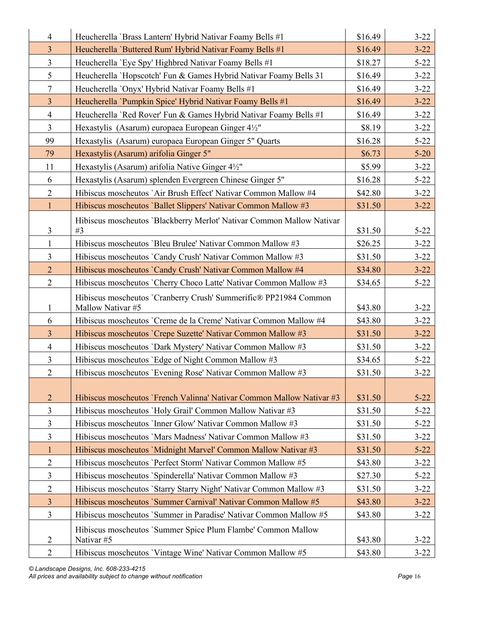| \$16.49<br>Heucherella 'Brass Lantern' Hybrid Nativar Foamy Bells #1<br>$\overline{3}$<br>Heucherella 'Buttered Rum' Hybrid Nativar Foamy Bells #1<br>\$16.49<br>$\overline{3}$<br>Heucherella 'Eye Spy' Highbred Nativar Foamy Bells #1<br>\$18.27<br>5<br>Heucherella 'Hopscotch' Fun & Games Hybrid Nativar Foamy Bells 31<br>\$16.49<br>$\tau$<br>Heucherella 'Onyx' Hybrid Nativar Foamy Bells #1<br>\$16.49 | $3 - 22$<br>$3 - 22$<br>$5 - 22$<br>$3 - 22$<br>$3 - 22$<br>$3 - 22$<br>$3 - 22$<br>$3 - 22$<br>$5 - 22$ |
|-------------------------------------------------------------------------------------------------------------------------------------------------------------------------------------------------------------------------------------------------------------------------------------------------------------------------------------------------------------------------------------------------------------------|----------------------------------------------------------------------------------------------------------|
|                                                                                                                                                                                                                                                                                                                                                                                                                   |                                                                                                          |
|                                                                                                                                                                                                                                                                                                                                                                                                                   |                                                                                                          |
|                                                                                                                                                                                                                                                                                                                                                                                                                   |                                                                                                          |
|                                                                                                                                                                                                                                                                                                                                                                                                                   |                                                                                                          |
| $\mathfrak{Z}$<br>Heucherella `Pumpkin Spice' Hybrid Nativar Foamy Bells #1<br>\$16.49                                                                                                                                                                                                                                                                                                                            |                                                                                                          |
| $\overline{4}$<br>Heucherella 'Red Rover' Fun & Games Hybrid Nativar Foamy Bells #1<br>\$16.49                                                                                                                                                                                                                                                                                                                    |                                                                                                          |
| $\overline{3}$<br>Hexastylis (Asarum) europaea European Ginger 4½"<br>\$8.19                                                                                                                                                                                                                                                                                                                                      |                                                                                                          |
| 99<br>\$16.28<br>Hexastylis (Asarum) europaea European Ginger 5" Quarts                                                                                                                                                                                                                                                                                                                                           |                                                                                                          |
| Hexastylis (Asarum) arifolia Ginger 5"<br>79<br>\$6.73                                                                                                                                                                                                                                                                                                                                                            | $5 - 20$                                                                                                 |
| 11<br>Hexastylis (Asarum) arifolia Native Ginger 4½"<br>\$5.99                                                                                                                                                                                                                                                                                                                                                    | $3 - 22$                                                                                                 |
| 6<br>Hexastylis (Asarum) splenden Evergreen Chinese Ginger 5"<br>\$16.28                                                                                                                                                                                                                                                                                                                                          | $5 - 22$                                                                                                 |
| $\overline{2}$<br>Hibiscus moscheutos `Air Brush Effect' Nativar Common Mallow #4<br>\$42.80                                                                                                                                                                                                                                                                                                                      | $3 - 22$                                                                                                 |
| $\mathbf{1}$<br>Hibiscus moscheutos 'Ballet Slippers' Nativar Common Mallow #3<br>\$31.50                                                                                                                                                                                                                                                                                                                         | $3 - 22$                                                                                                 |
| Hibiscus moscheutos 'Blackberry Merlot' Nativar Common Mallow Nativar                                                                                                                                                                                                                                                                                                                                             |                                                                                                          |
| $\overline{3}$<br>#3<br>\$31.50                                                                                                                                                                                                                                                                                                                                                                                   | $5 - 22$                                                                                                 |
| Hibiscus moscheutos 'Bleu Brulee' Nativar Common Mallow #3<br>$\mathbf{1}$<br>\$26.25                                                                                                                                                                                                                                                                                                                             | $3 - 22$                                                                                                 |
| $\overline{3}$<br>Hibiscus moscheutos 'Candy Crush' Nativar Common Mallow #3<br>\$31.50                                                                                                                                                                                                                                                                                                                           | $3 - 22$                                                                                                 |
| $\overline{2}$<br>Hibiscus moscheutos 'Candy Crush' Nativar Common Mallow #4<br>\$34.80                                                                                                                                                                                                                                                                                                                           | $3 - 22$                                                                                                 |
| $\overline{2}$<br>Hibiscus moscheutos 'Cherry Choco Latte' Nativar Common Mallow #3<br>\$34.65                                                                                                                                                                                                                                                                                                                    | $5 - 22$                                                                                                 |
| Hibiscus moscheutos 'Cranberry Crush' Summerific® PP21984 Common                                                                                                                                                                                                                                                                                                                                                  |                                                                                                          |
| Mallow Nativar #5<br>\$43.80<br>1                                                                                                                                                                                                                                                                                                                                                                                 | $3 - 22$                                                                                                 |
| 6<br>Hibiscus moscheutos 'Creme de la Creme' Nativar Common Mallow #4<br>\$43.80                                                                                                                                                                                                                                                                                                                                  | $3 - 22$                                                                                                 |
| $\overline{3}$<br>Hibiscus moscheutos 'Crepe Suzette' Nativar Common Mallow #3<br>\$31.50                                                                                                                                                                                                                                                                                                                         | $3 - 22$                                                                                                 |
| $\overline{4}$<br>Hibiscus moscheutos 'Dark Mystery' Nativar Common Mallow #3<br>\$31.50                                                                                                                                                                                                                                                                                                                          | $3 - 22$                                                                                                 |
| $\overline{3}$<br>Hibiscus moscheutos 'Edge of Night Common Mallow #3<br>\$34.65                                                                                                                                                                                                                                                                                                                                  | $5 - 22$                                                                                                 |
| $\overline{2}$<br>Hibiscus moscheutos 'Evening Rose' Nativar Common Mallow #3<br>\$31.50                                                                                                                                                                                                                                                                                                                          | $3 - 22$                                                                                                 |
|                                                                                                                                                                                                                                                                                                                                                                                                                   |                                                                                                          |
| $\overline{2}$<br>Hibiscus moscheutos 'French Valinna' Nativar Common Mallow Nativar #3<br>\$31.50                                                                                                                                                                                                                                                                                                                | $5 - 22$                                                                                                 |
| $\overline{3}$<br>Hibiscus moscheutos 'Holy Grail' Common Mallow Nativar #3<br>\$31.50                                                                                                                                                                                                                                                                                                                            | $5 - 22$                                                                                                 |
| 3<br>Hibiscus moscheutos 'Inner Glow' Nativar Common Mallow #3<br>\$31.50                                                                                                                                                                                                                                                                                                                                         | $5 - 22$                                                                                                 |
| 3<br>Hibiscus moscheutos 'Mars Madness' Nativar Common Mallow #3<br>\$31.50                                                                                                                                                                                                                                                                                                                                       | $3 - 22$                                                                                                 |
| Hibiscus moscheutos 'Midnight Marvel' Common Mallow Nativar #3<br>\$31.50<br>1                                                                                                                                                                                                                                                                                                                                    | $5 - 22$                                                                                                 |
| $\overline{2}$<br>Hibiscus moscheutos 'Perfect Storm' Nativar Common Mallow #5<br>\$43.80                                                                                                                                                                                                                                                                                                                         | $3 - 22$                                                                                                 |
| 3<br>Hibiscus moscheutos 'Spinderella' Nativar Common Mallow #3<br>\$27.30                                                                                                                                                                                                                                                                                                                                        | $5 - 22$                                                                                                 |
| $\mathbf{2}$<br>\$31.50<br>Hibiscus moscheutos `Starry Starry Night' Nativar Common Mallow #3                                                                                                                                                                                                                                                                                                                     | $3 - 22$                                                                                                 |
| $\overline{3}$<br>Hibiscus moscheutos 'Summer Carnival' Nativar Common Mallow #5<br>\$43.80                                                                                                                                                                                                                                                                                                                       | $3 - 22$                                                                                                 |
| $\overline{3}$<br>Hibiscus moscheutos 'Summer in Paradise' Nativar Common Mallow #5<br>\$43.80                                                                                                                                                                                                                                                                                                                    | $3 - 22$                                                                                                 |
| Hibiscus moscheutos 'Summer Spice Plum Flambe' Common Mallow<br>$\overline{2}$<br>Nativar <sub>#5</sub><br>\$43.80                                                                                                                                                                                                                                                                                                | $3 - 22$                                                                                                 |
| $\overline{2}$<br>Hibiscus moscheutos 'Vintage Wine' Nativar Common Mallow #5<br>\$43.80                                                                                                                                                                                                                                                                                                                          | $3 - 22$                                                                                                 |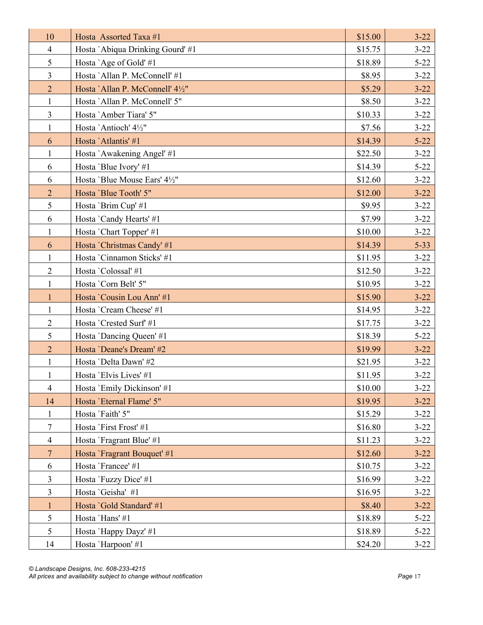| 10             | Hosta Assorted Taxa #1           | \$15.00 | $3 - 22$ |
|----------------|----------------------------------|---------|----------|
| $\overline{4}$ | Hosta `Abiqua Drinking Gourd' #1 | \$15.75 | $3 - 22$ |
| 5              | Hosta `Age of Gold'#1            | \$18.89 | $5 - 22$ |
| $\overline{3}$ | Hosta `Allan P. McConnell' #1    | \$8.95  | $3 - 22$ |
| $\overline{2}$ | Hosta `Allan P. McConnell' 41/2" | \$5.29  | $3 - 22$ |
| $\mathbf{1}$   | Hosta 'Allan P. McConnell' 5"    | \$8.50  | $3 - 22$ |
| $\overline{3}$ | Hosta `Amber Tiara' 5"           | \$10.33 | $3 - 22$ |
| $\mathbf{1}$   | Hosta 'Antioch' 4½"              | \$7.56  | $3 - 22$ |
| 6              | Hosta 'Atlantis' #1              | \$14.39 | $5 - 22$ |
| $\mathbf{1}$   | Hosta `Awakening Angel' #1       | \$22.50 | $3 - 22$ |
| 6              | Hosta 'Blue Ivory' #1            | \$14.39 | $5 - 22$ |
| 6              | Hosta 'Blue Mouse Ears' 4½"      | \$12.60 | $3 - 22$ |
| $\overline{2}$ | Hosta 'Blue Tooth' 5"            | \$12.00 | $3 - 22$ |
| 5              | Hosta 'Brim Cup' #1              | \$9.95  | $3 - 22$ |
| 6              | Hosta `Candy Hearts' #1          | \$7.99  | $3 - 22$ |
| $\mathbf{1}$   | Hosta 'Chart Topper' #1          | \$10.00 | $3 - 22$ |
| 6              | Hosta `Christmas Candy' #1       | \$14.39 | $5 - 33$ |
| $\mathbf{1}$   | Hosta 'Cinnamon Sticks' #1       | \$11.95 | $3 - 22$ |
| $\overline{2}$ | Hosta 'Colossal' #1              | \$12.50 | $3 - 22$ |
| $\mathbf{1}$   | Hosta 'Corn Belt' 5"             | \$10.95 | $3 - 22$ |
| $\mathbf{1}$   | Hosta 'Cousin Lou Ann' #1        | \$15.90 | $3 - 22$ |
| $\mathbf{1}$   | Hosta 'Cream Cheese' #1          | \$14.95 | $3 - 22$ |
| $\overline{2}$ | Hosta 'Crested Surf' #1          | \$17.75 | $3 - 22$ |
| 5              | Hosta 'Dancing Queen' #1         | \$18.39 | $5 - 22$ |
| $\overline{2}$ | Hosta 'Deane's Dream' #2         | \$19.99 | $3 - 22$ |
| $\mathbf{1}$   | Hosta 'Delta Dawn' #2            | \$21.95 | $3 - 22$ |
| $\mathbf{1}$   | Hosta 'Elvis Lives' #1           | \$11.95 | $3 - 22$ |
| $\overline{4}$ | Hosta 'Emily Dickinson' #1       | \$10.00 | $3 - 22$ |
| 14             | Hosta 'Eternal Flame' 5"         | \$19.95 | $3 - 22$ |
| 1              | Hosta 'Faith' 5"                 | \$15.29 | $3 - 22$ |
| $\tau$         | Hosta 'First Frost' #1           | \$16.80 | $3 - 22$ |
| $\overline{4}$ | Hosta `Fragrant Blue' #1         | \$11.23 | $3 - 22$ |
| $\overline{7}$ | Hosta `Fragrant Bouquet' #1      | \$12.60 | $3 - 22$ |
| 6              | Hosta 'Francee' #1               | \$10.75 | $3 - 22$ |
| 3              | Hosta `Fuzzy Dice' #1            | \$16.99 | $3 - 22$ |
| 3              | Hosta 'Geisha' #1                | \$16.95 | $3 - 22$ |
| $\mathbf{1}$   | Hosta 'Gold Standard' #1         | \$8.40  | $3 - 22$ |
| 5              | Hosta 'Hans' #1                  | \$18.89 | $5 - 22$ |
| 5              | Hosta `Happy Dayz' #1            | \$18.89 | $5 - 22$ |
| 14             | Hosta 'Harpoon' #1               | \$24.20 | $3 - 22$ |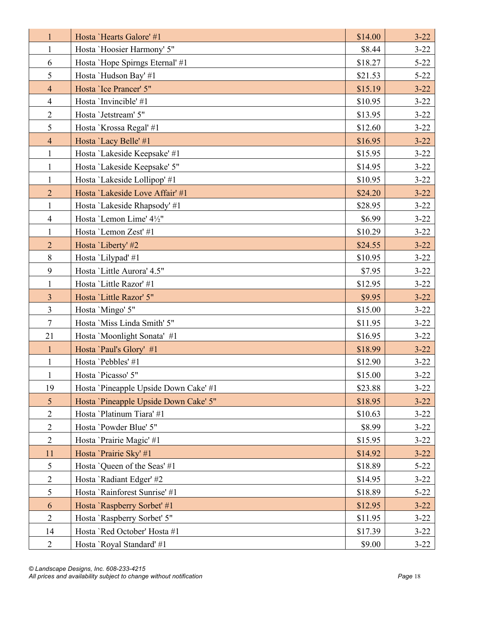| $\mathbf{1}$   | Hosta 'Hearts Galore' #1              | \$14.00 | $3 - 22$ |
|----------------|---------------------------------------|---------|----------|
| $\mathbf{1}$   | Hosta 'Hoosier Harmony' 5"            | \$8.44  | $3 - 22$ |
| 6              | Hosta 'Hope Spirngs Eternal' #1       | \$18.27 | $5 - 22$ |
| 5              | Hosta 'Hudson Bay' #1                 | \$21.53 | $5 - 22$ |
| $\overline{4}$ | Hosta 'Ice Prancer' 5"                | \$15.19 | $3 - 22$ |
| $\overline{4}$ | Hosta 'Invincible' #1                 | \$10.95 | $3 - 22$ |
| $\overline{2}$ | Hosta 'Jetstream' 5"                  | \$13.95 | $3 - 22$ |
| 5              | Hosta `Krossa Regal' #1               | \$12.60 | $3 - 22$ |
| $\overline{4}$ | Hosta 'Lacy Belle' #1                 | \$16.95 | $3 - 22$ |
| $\mathbf{1}$   | Hosta 'Lakeside Keepsake' #1          | \$15.95 | $3 - 22$ |
| $\mathbf{1}$   | Hosta 'Lakeside Keepsake' 5"          | \$14.95 | $3 - 22$ |
| $\mathbf{1}$   | Hosta 'Lakeside Lollipop' #1          | \$10.95 | $3 - 22$ |
| $\overline{2}$ | Hosta 'Lakeside Love Affair' #1       | \$24.20 | $3 - 22$ |
| $\mathbf{1}$   | Hosta 'Lakeside Rhapsody' #1          | \$28.95 | $3 - 22$ |
| $\overline{4}$ | Hosta 'Lemon Lime' 41/2"              | \$6.99  | $3 - 22$ |
| $\mathbf{1}$   | Hosta 'Lemon Zest' #1                 | \$10.29 | $3 - 22$ |
| $\overline{2}$ | Hosta 'Liberty' #2                    | \$24.55 | $3 - 22$ |
| 8              | Hosta 'Lilypad' #1                    | \$10.95 | $3 - 22$ |
| 9              | Hosta 'Little Aurora' 4.5"            | \$7.95  | $3 - 22$ |
| $\mathbf{1}$   | Hosta 'Little Razor' #1               | \$12.95 | $3 - 22$ |
| $\overline{3}$ | Hosta 'Little Razor' 5"               | \$9.95  | $3 - 22$ |
| $\overline{3}$ | Hosta 'Mingo' 5"                      | \$15.00 | $3 - 22$ |
| $\tau$         | Hosta 'Miss Linda Smith' 5"           | \$11.95 | $3 - 22$ |
| 21             | Hosta 'Moonlight Sonata' #1           | \$16.95 | $3 - 22$ |
| $\mathbf{1}$   | Hosta 'Paul's Glory' #1               | \$18.99 | $3 - 22$ |
| $\mathbf{1}$   | Hosta 'Pebbles' #1                    | \$12.90 | $3 - 22$ |
| $\mathbf{1}$   | Hosta 'Picasso' 5"                    | \$15.00 | $3 - 22$ |
| 19             | Hosta 'Pineapple Upside Down Cake' #1 | \$23.88 | $3 - 22$ |
| 5              | Hosta 'Pineapple Upside Down Cake' 5" | \$18.95 | $3 - 22$ |
| $\mathbf{2}$   | Hosta 'Platinum Tiara' #1             | \$10.63 | $3 - 22$ |
| $\overline{2}$ | Hosta 'Powder Blue' 5"                | \$8.99  | $3 - 22$ |
| $\overline{2}$ | Hosta 'Prairie Magic' #1              | \$15.95 | $3 - 22$ |
| 11             | Hosta 'Prairie Sky' #1                | \$14.92 | $3 - 22$ |
| 5              | Hosta 'Queen of the Seas' #1          | \$18.89 | $5 - 22$ |
| $\overline{2}$ | Hosta 'Radiant Edger' #2              | \$14.95 | $3 - 22$ |
| 5              | Hosta 'Rainforest Sunrise' #1         | \$18.89 | $5 - 22$ |
| 6              | Hosta 'Raspberry Sorbet' #1           | \$12.95 | $3 - 22$ |
| $\overline{2}$ | Hosta 'Raspberry Sorbet' 5"           | \$11.95 | $3 - 22$ |
| 14             | Hosta 'Red October' Hosta #1          | \$17.39 | $3 - 22$ |
| $\overline{2}$ | Hosta `Royal Standard' #1             | \$9.00  | $3 - 22$ |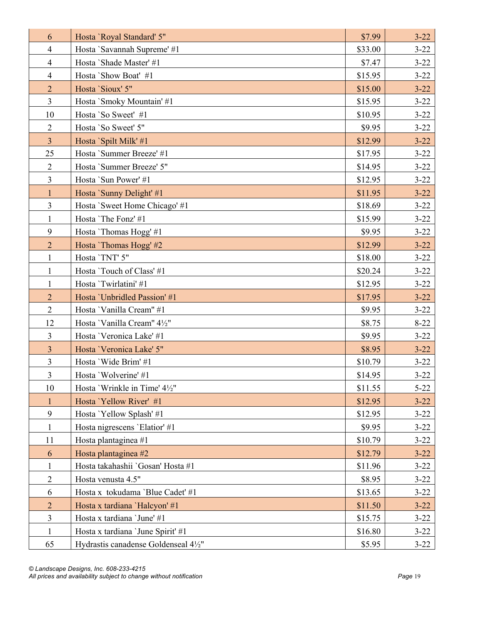| 6              | Hosta 'Royal Standard' 5"            | \$7.99  | $3 - 22$ |
|----------------|--------------------------------------|---------|----------|
| $\overline{4}$ | Hosta 'Savannah Supreme' #1          | \$33.00 | $3 - 22$ |
| $\overline{4}$ | Hosta 'Shade Master' #1              | \$7.47  | $3 - 22$ |
| $\overline{4}$ | Hosta 'Show Boat' #1                 | \$15.95 | $3 - 22$ |
| $\overline{2}$ | Hosta 'Sioux' 5"                     | \$15.00 | $3 - 22$ |
| $\overline{3}$ | Hosta `Smoky Mountain' #1            | \$15.95 | $3 - 22$ |
| 10             | Hosta 'So Sweet' #1                  | \$10.95 | $3 - 22$ |
| $\sqrt{2}$     | Hosta 'So Sweet' 5"                  | \$9.95  | $3 - 22$ |
| $\overline{3}$ | Hosta 'Spilt Milk' #1                | \$12.99 | $3 - 22$ |
| 25             | Hosta 'Summer Breeze' #1             | \$17.95 | $3 - 22$ |
| $\overline{2}$ | Hosta 'Summer Breeze' 5"             | \$14.95 | $3 - 22$ |
| $\overline{3}$ | Hosta 'Sun Power' #1                 | \$12.95 | $3 - 22$ |
| $\mathbf{1}$   | Hosta `Sunny Delight' #1             | \$11.95 | $3 - 22$ |
| $\overline{3}$ | Hosta 'Sweet Home Chicago' #1        | \$18.69 | $3 - 22$ |
| $\mathbf{1}$   | Hosta 'The Fonz' #1                  | \$15.99 | $3 - 22$ |
| 9              | Hosta 'Thomas Hogg' #1               | \$9.95  | $3 - 22$ |
| $\overline{2}$ | Hosta 'Thomas Hogg' #2               | \$12.99 | $3 - 22$ |
| $\mathbf{1}$   | Hosta 'TNT' 5"                       | \$18.00 | $3 - 22$ |
| $\mathbf{1}$   | Hosta 'Touch of Class' #1            | \$20.24 | $3 - 22$ |
| $\mathbf{1}$   | Hosta 'Twirlatini' #1                | \$12.95 | $3 - 22$ |
| $\overline{2}$ | Hosta 'Unbridled Passion' #1         | \$17.95 | $3 - 22$ |
| 2              | Hosta 'Vanilla Cream" #1             | \$9.95  | $3 - 22$ |
| 12             | Hosta 'Vanilla Cream" 41/2"          | \$8.75  | $8 - 22$ |
| $\overline{3}$ | Hosta 'Veronica Lake' #1             | \$9.95  | $3 - 22$ |
| $\overline{3}$ | Hosta 'Veronica Lake' 5"             | \$8.95  | $3 - 22$ |
| 3              | Hosta 'Wide Brim' #1                 | \$10.79 | $3 - 22$ |
| $\overline{3}$ | Hosta 'Wolverine' #1                 | \$14.95 | $3 - 22$ |
| 10             | Hosta 'Wrinkle in Time' 4½"          | \$11.55 | $5 - 22$ |
| $\mathbf{1}$   | Hosta 'Yellow River' #1              | \$12.95 | $3 - 22$ |
| 9              | Hosta 'Yellow Splash' #1             | \$12.95 | $3 - 22$ |
| $\mathbf{1}$   | Hosta nigrescens 'Elatior' #1        | \$9.95  | $3 - 22$ |
| 11             | Hosta plantaginea #1                 | \$10.79 | $3 - 22$ |
| 6              | Hosta plantaginea #2                 | \$12.79 | $3 - 22$ |
| 1              | Hosta takahashii 'Gosan' Hosta #1    | \$11.96 | $3 - 22$ |
| $\mathbf{2}$   | Hosta venusta 4.5"                   | \$8.95  | $3 - 22$ |
| 6              | Hosta x tokudama 'Blue Cadet' #1     | \$13.65 | $3 - 22$ |
| $\overline{2}$ | Hosta x tardiana 'Halcyon' #1        | \$11.50 | $3 - 22$ |
| 3              | Hosta x tardiana 'June' #1           | \$15.75 | $3 - 22$ |
| $\mathbf{1}$   | Hosta x tardiana 'June Spirit' #1    | \$16.80 | $3 - 22$ |
| 65             | Hydrastis canadense Goldenseal 41/2" | \$5.95  | $3 - 22$ |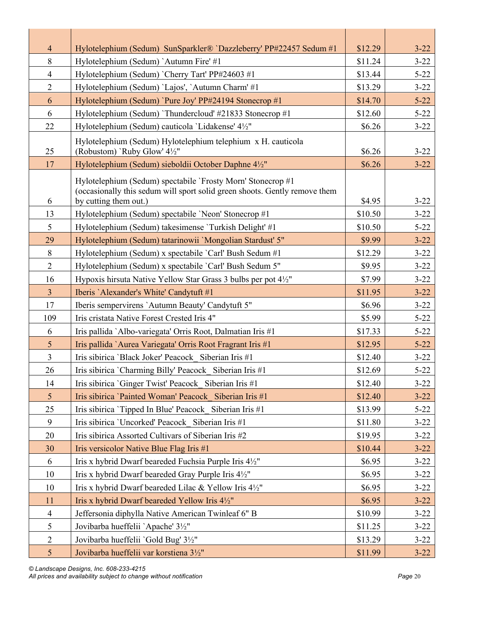| $\overline{4}$  | Hylotelephium (Sedum) SunSparkler® `Dazzleberry' PP#22457 Sedum #1                                                                                                 | \$12.29 | $3 - 22$ |
|-----------------|--------------------------------------------------------------------------------------------------------------------------------------------------------------------|---------|----------|
| 8               | Hylotelephium (Sedum) `Autumn Fire' #1                                                                                                                             | \$11.24 | $3 - 22$ |
| $\overline{4}$  | Hylotelephium (Sedum) 'Cherry Tart' PP#24603 #1                                                                                                                    | \$13.44 | $5 - 22$ |
| $\overline{2}$  | Hylotelephium (Sedum) 'Lajos', 'Autumn Charm' #1                                                                                                                   | \$13.29 | $3 - 22$ |
| 6               | Hylotelephium (Sedum) `Pure Joy' PP#24194 Stonecrop #1                                                                                                             | \$14.70 | $5 - 22$ |
| 6               | Hylotelephium (Sedum) 'Thundercloud' #21833 Stonecrop #1                                                                                                           | \$12.60 | $5 - 22$ |
| 22              | Hylotelephium (Sedum) cauticola 'Lidakense' 4½"                                                                                                                    | \$6.26  | $3 - 22$ |
| 25              | Hylotelephium (Sedum) Hylotelephium telephium x H. cauticola<br>(Robustom) 'Ruby Glow' 4½"                                                                         | \$6.26  | $3 - 22$ |
| 17              | Hylotelephium (Sedum) sieboldii October Daphne 4½"                                                                                                                 | \$6.26  | $3 - 22$ |
| 6               | Hylotelephium (Sedum) spectabile `Frosty Morn' Stonecrop #1<br>(occasionally this sedum will sport solid green shoots. Gently remove them<br>by cutting them out.) | \$4.95  | $3 - 22$ |
| 13              | Hylotelephium (Sedum) spectabile 'Neon' Stonecrop #1                                                                                                               | \$10.50 | $3 - 22$ |
| 5               | Hylotelephium (Sedum) takesimense 'Turkish Delight' #1                                                                                                             | \$10.50 | $5 - 22$ |
| 29              | Hylotelephium (Sedum) tatarinowii 'Mongolian Stardust' 5"                                                                                                          | \$9.99  | $3 - 22$ |
| 8               | Hylotelephium (Sedum) x spectabile 'Carl' Bush Sedum #1                                                                                                            | \$12.29 | $3 - 22$ |
| $\overline{2}$  | Hylotelephium (Sedum) x spectabile `Carl' Bush Sedum 5"                                                                                                            | \$9.95  | $3 - 22$ |
| 16              | Hypoxis hirsuta Native Yellow Star Grass 3 bulbs per pot 4½"                                                                                                       | \$7.99  | $3 - 22$ |
| $\overline{3}$  | Iberis 'Alexander's White' Candytuft #1                                                                                                                            | \$11.95 | $3 - 22$ |
| 17              | Iberis sempervirens 'Autumn Beauty' Candytuft 5"                                                                                                                   | \$6.96  | $3 - 22$ |
| 109             | Iris cristata Native Forest Crested Iris 4"                                                                                                                        | \$5.99  | $5 - 22$ |
| 6               | Iris pallida `Albo-variegata' Orris Root, Dalmatian Iris #1                                                                                                        | \$17.33 | $5 - 22$ |
| 5               | Iris pallida `Aurea Variegata' Orris Root Fragrant Iris #1                                                                                                         | \$12.95 | $5 - 22$ |
| $\overline{3}$  | Iris sibirica 'Black Joker' Peacock Siberian Iris #1                                                                                                               | \$12.40 | $3 - 22$ |
| 26              | Iris sibirica `Charming Billy' Peacock Siberian Iris #1                                                                                                            | \$12.69 | $5 - 22$ |
| 14              | Iris sibirica 'Ginger Twist' Peacock Siberian Iris #1                                                                                                              | \$12.40 | $3 - 22$ |
| $5\overline{)}$ | Iris sibirica 'Painted Woman' Peacock Siberian Iris #1                                                                                                             | \$12.40 | $3 - 22$ |
| 25              | Iris sibirica 'Tipped In Blue' Peacock Siberian Iris #1                                                                                                            | \$13.99 | $5 - 22$ |
| 9               | Iris sibirica 'Uncorked' Peacock Siberian Iris #1                                                                                                                  | \$11.80 | $3 - 22$ |
| 20              | Iris sibirica Assorted Cultivars of Siberian Iris #2                                                                                                               | \$19.95 | $3 - 22$ |
| 30              | Iris versicolor Native Blue Flag Iris #1                                                                                                                           | \$10.44 | $3 - 22$ |
| 6               | Iris x hybrid Dwarf beareded Fuchsia Purple Iris 4½"                                                                                                               | \$6.95  | $3 - 22$ |
| 10              | Iris x hybrid Dwarf beareded Gray Purple Iris 4½"                                                                                                                  | \$6.95  | $3 - 22$ |
| 10              | Iris x hybrid Dwarf beareded Lilac & Yellow Iris 41/2"                                                                                                             | \$6.95  | $3 - 22$ |
| 11              | Iris x hybrid Dwarf beareded Yellow Iris 41/2"                                                                                                                     | \$6.95  | $3 - 22$ |
| $\overline{4}$  | Jeffersonia diphylla Native American Twinleaf 6" B                                                                                                                 | \$10.99 | $3 - 22$ |
| 5               | Jovibarba hueffelii `Apache' 31/2"                                                                                                                                 | \$11.25 | $3 - 22$ |
| $\overline{2}$  | Jovibarba hueffelii `Gold Bug' 3½"                                                                                                                                 | \$13.29 | $3 - 22$ |
| $5\overline{)}$ | Jovibarba hueffelii var korstiena 3½"                                                                                                                              | \$11.99 | $3 - 22$ |

*© Landscape Designs, Inc. 608-233-4215 All prices and availability subject to change without notification Page* 20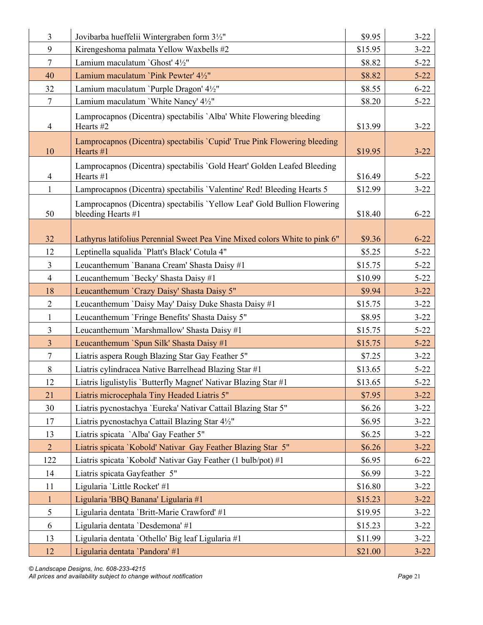| $\overline{3}$       | Jovibarba hueffelii Wintergraben form 3½"                                                      | \$9.95            | $3 - 22$             |
|----------------------|------------------------------------------------------------------------------------------------|-------------------|----------------------|
| 9                    | Kirengeshoma palmata Yellow Waxbells #2                                                        | \$15.95           | $3 - 22$             |
| $\tau$               | Lamium maculatum 'Ghost' 41/2"                                                                 | \$8.82            | $5 - 22$             |
| 40                   | Lamium maculatum `Pink Pewter' 41/2"                                                           | \$8.82            | $5 - 22$             |
| 32                   | Lamium maculatum 'Purple Dragon' 41/2"                                                         | \$8.55            | $6 - 22$             |
| $\overline{7}$       | Lamium maculatum 'White Nancy' 41/2"                                                           | \$8.20            | $5 - 22$             |
| $\overline{4}$       | Lamprocapnos (Dicentra) spectabilis 'Alba' White Flowering bleeding<br>Hearts #2               | \$13.99           | $3 - 22$             |
| 10                   | Lamprocapnos (Dicentra) spectabilis `Cupid' True Pink Flowering bleeding<br>Hearts #1          | \$19.95           | $3 - 22$             |
| 4                    | Lamprocapnos (Dicentra) spectabilis 'Gold Heart' Golden Leafed Bleeding<br>Hearts #1           | \$16.49           | $5 - 22$             |
| $\mathbf{1}$         | Lamprocapnos (Dicentra) spectabilis 'Valentine' Red! Bleeding Hearts 5                         | \$12.99           | $3 - 22$             |
| 50                   | Lamprocapnos (Dicentra) spectabilis 'Yellow Leaf' Gold Bullion Flowering<br>bleeding Hearts #1 | \$18.40           | $6 - 22$             |
|                      |                                                                                                |                   |                      |
| 32                   | Lathyrus latifolius Perennial Sweet Pea Vine Mixed colors White to pink 6"                     | \$9.36            | $6 - 22$             |
| 12                   | Leptinella squalida 'Platt's Black' Cotula 4"                                                  | \$5.25            | $5 - 22$             |
| 3                    | Leucanthemum 'Banana Cream' Shasta Daisy #1                                                    | \$15.75           | $5 - 22$             |
| $\overline{4}$       | Leucanthemum 'Becky' Shasta Daisy #1                                                           | \$10.99           | $5 - 22$             |
| 18<br>$\overline{2}$ | Leucanthemum 'Crazy Daisy' Shasta Daisy 5"                                                     | \$9.94<br>\$15.75 | $3 - 22$<br>$3 - 22$ |
|                      | Leucanthemum 'Daisy May' Daisy Duke Shasta Daisy #1                                            |                   |                      |
| $\mathbf{1}$<br>3    | Leucanthemum 'Fringe Benefits' Shasta Daisy 5"<br>Leucanthemum 'Marshmallow' Shasta Daisy #1   | \$8.95<br>\$15.75 | $3 - 22$<br>$5 - 22$ |
| $\overline{3}$       | Leucanthemum `Spun Silk' Shasta Daisy #1                                                       | \$15.75           | $5 - 22$             |
| $\tau$               | Liatris aspera Rough Blazing Star Gay Feather 5"                                               | \$7.25            | $3 - 22$             |
| $8\,$                | Liatris cylindracea Native Barrelhead Blazing Star #1                                          | \$13.65           | $5 - 22$             |
| 12                   | Liatris ligulistylis 'Butterfly Magnet' Nativar Blazing Star #1                                | \$13.65           | $5 - 22$             |
| 21                   | Liatris microcephala Tiny Headed Liatris 5"                                                    | \$7.95            | $3 - 22$             |
| 30                   | Liatris pycnostachya 'Eureka' Nativar Cattail Blazing Star 5"                                  | \$6.26            | $3 - 22$             |
| 17                   | Liatris pycnostachya Cattail Blazing Star 41/2"                                                | \$6.95            | $3 - 22$             |
| 13                   | Liatris spicata 'Alba' Gay Feather 5"                                                          | \$6.25            | $3 - 22$             |
| $\overline{2}$       | Liatris spicata 'Kobold' Nativar Gay Feather Blazing Star 5"                                   | \$6.26            | $3 - 22$             |
| 122                  | Liatris spicata `Kobold' Nativar Gay Feather (1 bulb/pot) #1                                   | \$6.95            | $6 - 22$             |
| 14                   | Liatris spicata Gayfeather 5"                                                                  | \$6.99            | $3 - 22$             |
| 11                   | Ligularia 'Little Rocket' #1                                                                   | \$16.80           | $3 - 22$             |
| $\mathbf{1}$         | Ligularia 'BBQ Banana' Ligularia #1                                                            | \$15.23           | $3 - 22$             |
| 5                    | Ligularia dentata 'Britt-Marie Crawford' #1                                                    | \$19.95           | $3 - 22$             |
| 6                    | Ligularia dentata 'Desdemona' #1                                                               | \$15.23           | $3 - 22$             |
| 13                   | Ligularia dentata 'Othello' Big leaf Ligularia #1                                              | \$11.99           | $3 - 22$             |
| 12                   | Ligularia dentata 'Pandora' #1                                                                 | \$21.00           | $3 - 22$             |

*© Landscape Designs, Inc. 608-233-4215 All prices and availability subject to change without notification Page* 21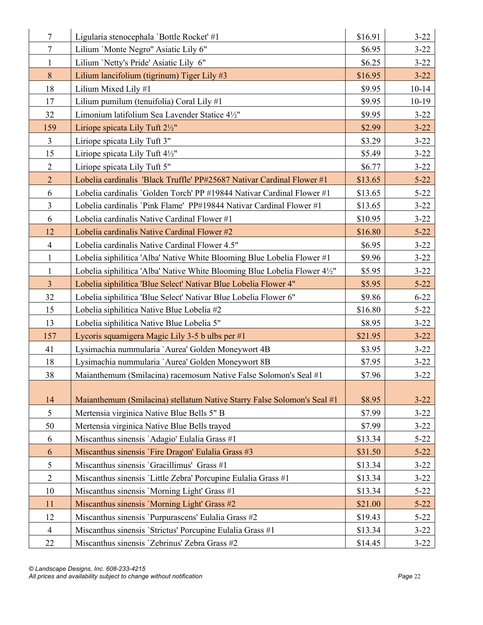| $\tau$         | Ligularia stenocephala 'Bottle Rocket' #1                                | \$16.91 | $3 - 22$  |
|----------------|--------------------------------------------------------------------------|---------|-----------|
| $\tau$         | Lilium 'Monte Negro" Asiatic Lily 6"                                     | \$6.95  | $3 - 22$  |
| $\mathbf{1}$   | Lilium 'Netty's Pride' Asiatic Lily 6"                                   | \$6.25  | $3 - 22$  |
| 8              | Lilium lancifolium (tigrinum) Tiger Lily #3                              | \$16.95 | $3 - 22$  |
| 18             | Lilium Mixed Lily #1                                                     | \$9.95  | $10 - 14$ |
| 17             | Lilium pumilum (tenuifolia) Coral Lily #1                                | \$9.95  | $10-19$   |
| 32             | Limonium latifolium Sea Lavender Statice 41/2"                           | \$9.95  | $3 - 22$  |
| 159            | Liriope spicata Lily Tuft 2½"                                            | \$2.99  | $3 - 22$  |
| $\overline{3}$ | Liriope spicata Lily Tuft 3"                                             | \$3.29  | $3 - 22$  |
| 15             | Liriope spicata Lily Tuft 4½"                                            | \$5.49  | $3 - 22$  |
| $\overline{2}$ | Liriope spicata Lily Tuft 5"                                             | \$6.77  | $3 - 22$  |
| $\overline{2}$ | Lobelia cardinalis 'Black Truffle' PP#25687 Nativar Cardinal Flower #1   | \$13.65 | $5 - 22$  |
| 6              | Lobelia cardinalis 'Golden Torch' PP #19844 Nativar Cardinal Flower #1   | \$13.65 | $5 - 22$  |
| $\overline{3}$ | Lobelia cardinalis 'Pink Flame' PP#19844 Nativar Cardinal Flower #1      | \$13.65 | $3 - 22$  |
| 6              | Lobelia cardinalis Native Cardinal Flower #1                             | \$10.95 | $3 - 22$  |
| 12             | Lobelia cardinalis Native Cardinal Flower #2                             | \$16.80 | $5 - 22$  |
| $\overline{4}$ | Lobelia cardinalis Native Cardinal Flower 4.5"                           | \$6.95  | $3 - 22$  |
| $\mathbf{1}$   | Lobelia siphilitica 'Alba' Native White Blooming Blue Lobelia Flower #1  | \$9.96  | $3 - 22$  |
| $\mathbf{1}$   | Lobelia siphilitica 'Alba' Native White Blooming Blue Lobelia Flower 4½" | \$5.95  | $3 - 22$  |
| $\overline{3}$ | Lobelia siphilitica 'Blue Select' Nativar Blue Lobelia Flower 4"         | \$5.95  | $5 - 22$  |
| 32             | Lobelia siphilitica 'Blue Select' Nativar Blue Lobelia Flower 6"         | \$9.86  | $6 - 22$  |
| 15             | Lobelia siphilitica Native Blue Lobelia #2                               | \$16.80 | $5 - 22$  |
| 13             | Lobelia siphilitica Native Blue Lobelia 5"                               | \$8.95  | $3 - 22$  |
| 157            | Lycoris squamigera Magic Lily 3-5 b ulbs per #1                          | \$21.95 | $3 - 22$  |
| 41             | Lysimachia nummularia 'Aurea' Golden Moneywort 4B                        | \$3.95  | $3 - 22$  |
| 18             | Lysimachia nummularia 'Aurea' Golden Moneywort 8B                        | \$7.95  | $3 - 22$  |
| 38             | Maianthemum (Smilacina) racemosum Native False Solomon's Seal #1         | \$7.96  | $3 - 22$  |
|                |                                                                          |         |           |
| 14             | Maianthemum (Smilacina) stellatum Native Starry False Solomon's Seal #1  | \$8.95  | $3 - 22$  |
| 5              | Mertensia virginica Native Blue Bells 5" B                               | \$7.99  | $3 - 22$  |
| 50             | Mertensia virginica Native Blue Bells trayed                             | \$7.99  | $3 - 22$  |
| 6              | Miscanthus sinensis 'Adagio' Eulalia Grass #1                            | \$13.34 | $5 - 22$  |
| 6              | Miscanthus sinensis `Fire Dragon' Eulalia Grass #3                       | \$31.50 | $5 - 22$  |
| 5              | Miscanthus sinensis 'Gracillimus' Grass #1                               | \$13.34 | $3 - 22$  |
| $\overline{2}$ | Miscanthus sinensis 'Little Zebra' Porcupine Eulalia Grass #1            | \$13.34 | $3 - 22$  |
| 10             | Miscanthus sinensis 'Morning Light' Grass #1                             | \$13.34 | $5 - 22$  |
| 11             | Miscanthus sinensis 'Morning Light' Grass #2                             | \$21.00 | $5 - 22$  |
| 12             | Miscanthus sinensis 'Purpurascens' Eulalia Grass #2                      | \$19.43 | $5 - 22$  |
| $\overline{4}$ | Miscanthus sinensis 'Strictus' Porcupine Eulalia Grass #1                | \$13.34 | $3 - 22$  |
| 22             | Miscanthus sinensis 'Zebrinus' Zebra Grass #2                            | \$14.45 | $3 - 22$  |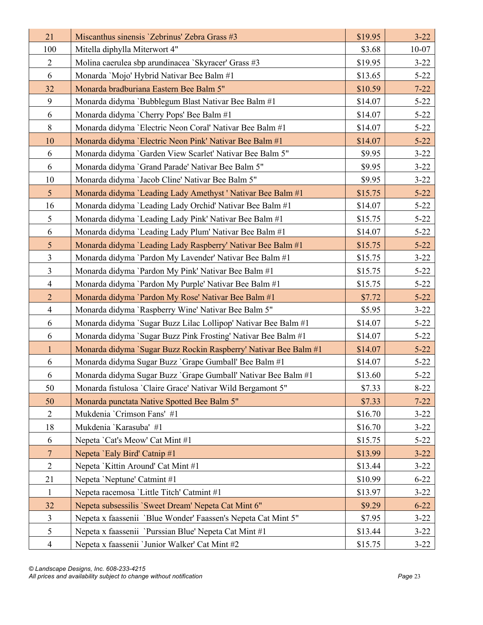| 21             | Miscanthus sinensis 'Zebrinus' Zebra Grass #3                    | \$19.95 | $3 - 22$  |
|----------------|------------------------------------------------------------------|---------|-----------|
| 100            | Mitella diphylla Miterwort 4"                                    | \$3.68  | $10 - 07$ |
| $\overline{2}$ | Molina caerulea sbp arundinacea 'Skyracer' Grass #3              | \$19.95 | $3 - 22$  |
| 6              | Monarda 'Mojo' Hybrid Nativar Bee Balm #1                        | \$13.65 | $5 - 22$  |
| 32             | Monarda bradburiana Eastern Bee Balm 5"                          | \$10.59 | $7 - 22$  |
| 9              | Monarda didyma `Bubblegum Blast Nativar Bee Balm #1              | \$14.07 | $5 - 22$  |
| 6              | Monarda didyma 'Cherry Pops' Bee Balm #1                         | \$14.07 | $5 - 22$  |
| 8              | Monarda didyma 'Electric Neon Coral' Nativar Bee Balm #1         | \$14.07 | $5 - 22$  |
| 10             | Monarda didyma 'Electric Neon Pink' Nativar Bee Balm #1          | \$14.07 | $5 - 22$  |
| 6              | Monarda didyma 'Garden View Scarlet' Nativar Bee Balm 5"         | \$9.95  | $3 - 22$  |
| 6              | Monarda didyma 'Grand Parade' Nativar Bee Balm 5"                | \$9.95  | $3 - 22$  |
| 10             | Monarda didyma 'Jacob Cline' Nativar Bee Balm 5"                 | \$9.95  | $3 - 22$  |
| 5 <sup>5</sup> | Monarda didyma 'Leading Lady Amethyst' Nativar Bee Balm #1       | \$15.75 | $5 - 22$  |
| 16             | Monarda didyma 'Leading Lady Orchid' Nativar Bee Balm #1         | \$14.07 | $5 - 22$  |
| 5              | Monarda didyma 'Leading Lady Pink' Nativar Bee Balm #1           | \$15.75 | $5 - 22$  |
| 6              | Monarda didyma 'Leading Lady Plum' Nativar Bee Balm #1           | \$14.07 | $5 - 22$  |
| 5 <sup>5</sup> | Monarda didyma 'Leading Lady Raspberry' Nativar Bee Balm #1      | \$15.75 | $5 - 22$  |
| 3              | Monarda didyma 'Pardon My Lavender' Nativar Bee Balm #1          | \$15.75 | $3 - 22$  |
| $\mathfrak{Z}$ | Monarda didyma 'Pardon My Pink' Nativar Bee Balm #1              | \$15.75 | $5 - 22$  |
| $\overline{4}$ | Monarda didyma 'Pardon My Purple' Nativar Bee Balm #1            | \$15.75 | $5 - 22$  |
| $\overline{2}$ | Monarda didyma 'Pardon My Rose' Nativar Bee Balm #1              | \$7.72  | $5 - 22$  |
| $\overline{4}$ | Monarda didyma 'Raspberry Wine' Nativar Bee Balm 5"              | \$5.95  | $3 - 22$  |
| 6              | Monarda didyma `Sugar Buzz Lilac Lollipop' Nativar Bee Balm #1   | \$14.07 | $5 - 22$  |
| 6              | Monarda didyma 'Sugar Buzz Pink Frosting' Nativar Bee Balm #1    | \$14.07 | $5 - 22$  |
| $\mathbf{1}$   | Monarda didyma `Sugar Buzz Rockin Raspberry' Nativar Bee Balm #1 | \$14.07 | $5 - 22$  |
| 6              | Monarda didyma Sugar Buzz `Grape Gumball' Bee Balm #1            | \$14.07 | $5 - 22$  |
| 6              | Monarda didyma Sugar Buzz `Grape Gumball' Nativar Bee Balm #1    | \$13.60 | $5 - 22$  |
| 50             | Monarda fistulosa 'Claire Grace' Nativar Wild Bergamont 5"       | \$7.33  | $8-22$    |
| 50             | Monarda punctata Native Spotted Bee Balm 5"                      | \$7.33  | $7 - 22$  |
| $\overline{2}$ | Mukdenia 'Crimson Fans' #1                                       | \$16.70 | $3 - 22$  |
| 18             | Mukdenia 'Karasuba' #1                                           | \$16.70 | $3 - 22$  |
| 6              | Nepeta 'Cat's Meow' Cat Mint #1                                  | \$15.75 | $5 - 22$  |
| $\overline{7}$ | Nepeta 'Ealy Bird' Catnip #1                                     | \$13.99 | $3 - 22$  |
| $\overline{2}$ | Nepeta 'Kittin Around' Cat Mint #1                               | \$13.44 | $3 - 22$  |
| 21             | Nepeta 'Neptune' Catmint #1                                      | \$10.99 | $6 - 22$  |
| $\mathbf{1}$   | Nepeta racemosa 'Little Titch' Catmint #1                        | \$13.97 | $3 - 22$  |
| 32             | Nepeta subsessilis 'Sweet Dream' Nepeta Cat Mint 6"              | \$9.29  | $6 - 22$  |
| 3              | Nepeta x faassenii `Blue Wonder' Faassen's Nepeta Cat Mint 5"    | \$7.95  | $3 - 22$  |
| 5              | Nepeta x faassenii `Purssian Blue' Nepeta Cat Mint #1            | \$13.44 | $3 - 22$  |
| $\overline{4}$ | Nepeta x faassenii 'Junior Walker' Cat Mint #2                   | \$15.75 | $3 - 22$  |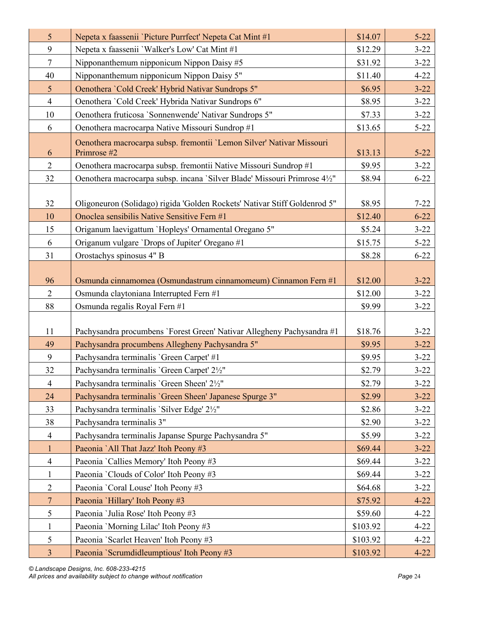| 5              | Nepeta x faassenii 'Picture Purrfect' Nepeta Cat Mint #1                                                                 | \$14.07           | $5 - 22$             |
|----------------|--------------------------------------------------------------------------------------------------------------------------|-------------------|----------------------|
| 9              | Nepeta x faassenii 'Walker's Low' Cat Mint #1                                                                            | \$12.29           | $3 - 22$             |
| $\tau$         | Nipponanthemum nipponicum Nippon Daisy #5                                                                                | \$31.92           | $3 - 22$             |
| 40             | Nipponanthemum nipponicum Nippon Daisy 5"                                                                                | \$11.40           | $4 - 22$             |
| 5              | Oenothera 'Cold Creek' Hybrid Nativar Sundrops 5"                                                                        | \$6.95            | $3 - 22$             |
| $\overline{4}$ | Oenothera 'Cold Creek' Hybrida Nativar Sundrops 6"                                                                       | \$8.95            | $3 - 22$             |
| 10             | Oenothera fruticosa 'Sonnenwende' Nativar Sundrops 5"                                                                    | \$7.33            | $3 - 22$             |
| 6              | Oenothera macrocarpa Native Missouri Sundrop #1                                                                          | \$13.65           | $5 - 22$             |
| 6              | Oenothera macrocarpa subsp. fremontii 'Lemon Silver' Nativar Missouri<br>Primrose #2                                     | \$13.13           | $5 - 22$             |
| $\overline{2}$ | Oenothera macrocarpa subsp. fremontii Native Missouri Sundrop #1                                                         | \$9.95            | $3 - 22$             |
| 32             | Oenothera macrocarpa subsp. incana 'Silver Blade' Missouri Primrose 41/2"                                                | \$8.94            | $6 - 22$             |
| 32<br>10       | Oligoneuron (Solidago) rigida 'Golden Rockets' Nativar Stiff Goldenrod 5"<br>Onoclea sensibilis Native Sensitive Fern #1 | \$8.95<br>\$12.40 | $7 - 22$<br>$6 - 22$ |
| 15             | Origanum laevigattum 'Hopleys' Ornamental Oregano 5"                                                                     | \$5.24            | $3 - 22$             |
| 6              | Origanum vulgare 'Drops of Jupiter' Oregano #1                                                                           | \$15.75           | $5 - 22$             |
| 31             | Orostachys spinosus 4" B                                                                                                 | \$8.28            | $6 - 22$             |
| 96             | Osmunda cinnamomea (Osmundastrum cinnamomeum) Cinnamon Fern #1                                                           | \$12.00           | $3 - 22$             |
| $\overline{2}$ | Osmunda claytoniana Interrupted Fern #1                                                                                  | \$12.00           | $3 - 22$             |
| 88             | Osmunda regalis Royal Fern #1                                                                                            | \$9.99            | $3 - 22$             |
|                |                                                                                                                          |                   |                      |
| 11             | Pachysandra procumbens 'Forest Green' Nativar Allegheny Pachysandra #1                                                   | \$18.76           | $3 - 22$             |
| 49             | Pachysandra procumbens Allegheny Pachysandra 5"                                                                          | \$9.95            | $3 - 22$             |
| 9              | Pachysandra terminalis 'Green Carpet' #1                                                                                 | \$9.95            | $3 - 22$             |
| 32             | Pachysandra terminalis 'Green Carpet' 21/2"                                                                              | \$2.79            | $3 - 22$             |
| $\overline{4}$ | Pachysandra terminalis 'Green Sheen' 21/2"                                                                               | \$2.79            | $3 - 22$             |
| 24             | Pachysandra terminalis 'Green Sheen' Japanese Spurge 3"                                                                  | \$2.99            | $3 - 22$             |
| 33             | Pachysandra terminalis 'Silver Edge' 21/2"                                                                               | \$2.86            | $3 - 22$             |
| 38             | Pachysandra terminalis 3"                                                                                                | \$2.90            | $3 - 22$             |
| 4              | Pachysandra terminalis Japanse Spurge Pachysandra 5"                                                                     | \$5.99            | $3 - 22$             |
| $\mathbf{1}$   | Paeonia `All That Jazz' Itoh Peony #3                                                                                    | \$69.44           | $3 - 22$             |
| $\overline{4}$ | Paeonia 'Callies Memory' Itoh Peony #3                                                                                   | \$69.44           | $3 - 22$             |
| $\mathbf{1}$   | Paeonia 'Clouds of Color' Itoh Peony #3                                                                                  | \$69.44           | $3 - 22$             |
| $\overline{2}$ | Paeonia 'Coral Louse' Itoh Peony #3                                                                                      | \$64.68           | $3 - 22$             |
| $\overline{7}$ | Paeonia 'Hillary' Itoh Peony #3                                                                                          | \$75.92           | $4 - 22$             |
| 5              | Paeonia 'Julia Rose' Itoh Peony #3                                                                                       | \$59.60           | $4 - 22$             |
| $\mathbf{1}$   | Paeonia 'Morning Lilac' Itoh Peony #3                                                                                    | \$103.92          | $4 - 22$             |
| 5              | Paeonia `Scarlet Heaven' Itoh Peony #3                                                                                   | \$103.92          | $4 - 22$             |
| $\overline{3}$ | Paeonia `Scrumdidleumptious' Itoh Peony #3                                                                               | \$103.92          | $4 - 22$             |

*© Landscape Designs, Inc. 608-233-4215 All prices and availability subject to change without notification Page* 24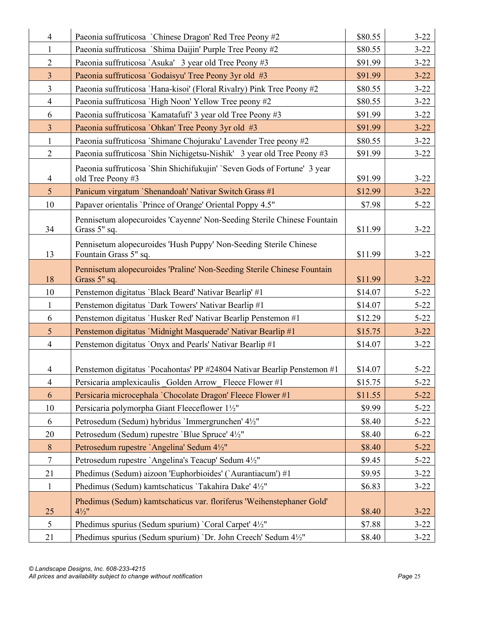| $\overline{4}$  | Paeonia suffruticosa 'Chinese Dragon' Red Tree Peony #2                                       | \$80.55 | $3 - 22$ |
|-----------------|-----------------------------------------------------------------------------------------------|---------|----------|
| 1               | Paeonia suffruticosa `Shima Daijin' Purple Tree Peony #2                                      | \$80.55 | $3 - 22$ |
| $\mathbf{2}$    | Paeonia suffruticosa `Asuka' 3 year old Tree Peony #3                                         | \$91.99 | $3 - 22$ |
| $\overline{3}$  | Paeonia suffruticosa 'Godaisyu' Tree Peony 3yr old #3                                         | \$91.99 | $3 - 22$ |
| $\overline{3}$  | Paeonia suffruticosa 'Hana-kisoi' (Floral Rivalry) Pink Tree Peony #2                         | \$80.55 | $3 - 22$ |
| $\overline{4}$  | Paeonia suffruticosa 'High Noon' Yellow Tree peony #2                                         | \$80.55 | $3 - 22$ |
| 6               | Paeonia suffruticosa 'Kamatafufi' 3 year old Tree Peony #3                                    | \$91.99 | $3 - 22$ |
| $\overline{3}$  | Paeonia suffruticosa 'Ohkan' Tree Peony 3yr old #3                                            | \$91.99 | $3 - 22$ |
| $\mathbf{1}$    | Paeonia suffruticosa `Shimane Chojuraku' Lavender Tree peony #2                               | \$80.55 | $3 - 22$ |
| $\overline{2}$  | Paeonia suffruticosa `Shin Nichigetsu-Nishik' 3 year old Tree Peony #3                        | \$91.99 | $3 - 22$ |
| 4               | Paeonia suffruticosa 'Shin Shichifukujin' 'Seven Gods of Fortune' 3 year<br>old Tree Peony #3 | \$91.99 | $3 - 22$ |
| $5\overline{)}$ | Panicum virgatum `Shenandoah' Nativar Switch Grass #1                                         | \$12.99 | $3 - 22$ |
| 10              | Papaver orientalis 'Prince of Orange' Oriental Poppy 4.5"                                     | \$7.98  | $5 - 22$ |
| 34              | Pennisetum alopecuroides 'Cayenne' Non-Seeding Sterile Chinese Fountain<br>Grass 5" sq.       | \$11.99 | $3 - 22$ |
| 13              | Pennisetum alopecuroides 'Hush Puppy' Non-Seeding Sterile Chinese<br>Fountain Grass 5" sq.    | \$11.99 | $3 - 22$ |
| 18              | Pennisetum alopecuroides 'Praline' Non-Seeding Sterile Chinese Fountain<br>Grass 5" sq.       | \$11.99 | $3 - 22$ |
| 10              | Penstemon digitatus 'Black Beard' Nativar Bearlip' #1                                         | \$14.07 | $5 - 22$ |
| 1               | Penstemon digitatus 'Dark Towers' Nativar Bearlip #1                                          | \$14.07 | $5 - 22$ |
| 6               | Penstemon digitatus 'Husker Red' Nativar Bearlip Penstemon #1                                 | \$12.29 | $5 - 22$ |
| 5               | Penstemon digitatus 'Midnight Masquerade' Nativar Bearlip #1                                  | \$15.75 | $3 - 22$ |
| $\overline{4}$  | Penstemon digitatus `Onyx and Pearls' Nativar Bearlip #1                                      | \$14.07 | $3 - 22$ |
| $\overline{4}$  | Penstemon digitatus 'Pocahontas' PP #24804 Nativar Bearlip Penstemon #1                       | \$14.07 | $5 - 22$ |
| $\overline{4}$  | Persicaria amplexicaulis Golden Arrow Fleece Flower #1                                        | \$15.75 | $5 - 22$ |
| 6               | Persicaria microcephala 'Chocolate Dragon' Fleece Flower #1                                   | \$11.55 | $5 - 22$ |
| 10              | Persicaria polymorpha Giant Fleeceflower 1½"                                                  | \$9.99  | $5 - 22$ |
| 6               | Petrosedum (Sedum) hybridus 'Immergrunchen' 4½"                                               | \$8.40  | $5 - 22$ |
| 20              | Petrosedum (Sedum) rupestre 'Blue Spruce' 4½"                                                 | \$8.40  | $6 - 22$ |
| $8\phantom{.}$  | Petrosedum rupestre `Angelina' Sedum 4½"                                                      | \$8.40  | $5 - 22$ |
| $\tau$          | Petrosedum rupestre `Angelina's Teacup' Sedum 4½"                                             | \$9.45  | $5 - 22$ |
| 21              | Phedimus (Sedum) aizoon 'Euphorbioides' (`Aurantiacum') #1                                    | \$9.95  | $3 - 22$ |
| $\mathbf{1}$    | Phedimus (Sedum) kamtschaticus 'Takahira Dake' 4½"                                            | \$6.83  | $3 - 22$ |
| 25              | Phedimus (Sedum) kamtschaticus var. floriferus 'Weihenstephaner Gold'<br>$4\frac{1}{2}$ "     | \$8.40  | $3 - 22$ |
| 5               | Phedimus spurius (Sedum spurium) `Coral Carpet' 4½"                                           | \$7.88  | $3 - 22$ |
| 21              | Phedimus spurius (Sedum spurium) 'Dr. John Creech' Sedum 4½"                                  | \$8.40  | $3 - 22$ |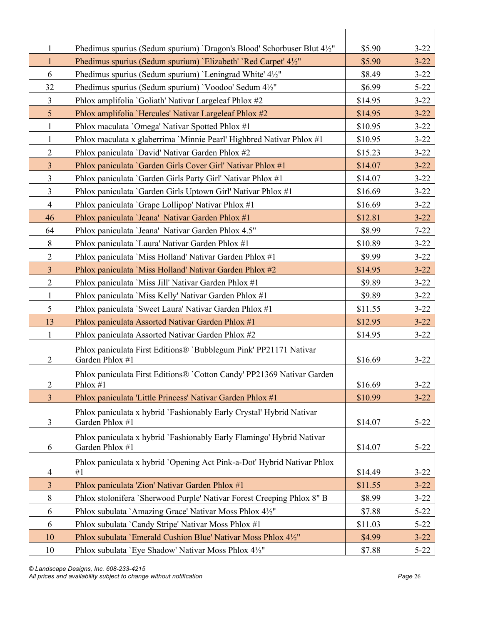| Phedimus spurius (Sedum spurium) 'Dragon's Blood' Schorbuser Blut 4½"<br>\$5.90<br>1<br>Phedimus spurius (Sedum spurium) `Elizabeth' `Red Carpet' 4½"<br>$3 - 22$<br>$\mathbf{1}$<br>\$5.90<br>Phedimus spurius (Sedum spurium) 'Leningrad White' 4½"<br>\$8.49<br>6<br>32<br>Phedimus spurius (Sedum spurium) 'Voodoo' Sedum 4½"<br>\$6.99<br>$\overline{3}$<br>Phlox amplifolia 'Goliath' Nativar Largeleaf Phlox #2<br>\$14.95<br>5<br>Phlox amplifolia 'Hercules' Nativar Largeleaf Phlox #2<br>\$14.95<br>Phlox maculata 'Omega' Nativar Spotted Phlox #1<br>\$10.95<br>$3 - 22$<br>$\mathbf{1}$<br>$\mathbf{1}$<br>Phlox maculata x glaberrima 'Minnie Pearl' Highbred Nativar Phlox #1<br>\$10.95<br>$\overline{2}$<br>Phlox paniculata 'David' Nativar Garden Phlox #2<br>\$15.23<br>$\overline{3}$<br>Phlox paniculata 'Garden Girls Cover Girl' Nativar Phlox #1<br>\$14.07<br>$3 - 22$<br>$\mathfrak{Z}$<br>$3 - 22$<br>Phlox paniculata `Garden Girls Party Girl' Nativar Phlox #1<br>\$14.07<br>$\overline{3}$<br>Phlox paniculata 'Garden Girls Uptown Girl' Nativar Phlox #1<br>\$16.69<br>$\overline{4}$<br>Phlox paniculata 'Grape Lollipop' Nativar Phlox #1<br>\$16.69<br>Phlox paniculata 'Jeana' Nativar Garden Phlox #1<br>\$12.81<br>$3 - 22$<br>46<br>Phlox paniculata 'Jeana' Nativar Garden Phlox 4.5"<br>\$8.99<br>64<br>$7 - 22$<br>$\,8\,$<br>Phlox paniculata 'Laura' Nativar Garden Phlox #1<br>\$10.89<br>$3 - 22$<br>$\overline{2}$<br>Phlox paniculata 'Miss Holland' Nativar Garden Phlox #1<br>\$9.99<br>$3 - 22$<br>$\overline{3}$<br>Phlox paniculata 'Miss Holland' Nativar Garden Phlox #2<br>\$14.95<br>$3 - 22$<br>$\overline{2}$<br>Phlox paniculata 'Miss Jill' Nativar Garden Phlox #1<br>\$9.89<br>$3 - 22$<br>$\mathbf{1}$<br>Phlox paniculata 'Miss Kelly' Nativar Garden Phlox #1<br>\$9.89<br>$3 - 22$<br>5<br>Phlox paniculata 'Sweet Laura' Nativar Garden Phlox #1<br>$3 - 22$<br>\$11.55<br>13<br>Phlox paniculata Assorted Nativar Garden Phlox #1<br>\$12.95<br>$3 - 22$<br>$3 - 22$<br>1<br>Phlox paniculata Assorted Nativar Garden Phlox #2<br>\$14.95<br>Phlox paniculata First Editions® `Bubblegum Pink' PP21171 Nativar<br>Garden Phlox #1<br>$\overline{2}$<br>\$16.69<br>$3 - 22$<br>Phlox paniculata First Editions® `Cotton Candy' PP21369 Nativar Garden<br>$\overline{2}$<br>$3 - 22$<br>\$16.69<br>Phlox $#1$<br>Phlox paniculata 'Little Princess' Nativar Garden Phlox #1<br>$\overline{3}$<br>\$10.99<br>$3 - 22$<br>Phlox paniculata x hybrid `Fashionably Early Crystal' Hybrid Nativar<br>Garden Phlox #1<br>3<br>\$14.07<br>$5 - 22$<br>Phlox paniculata x hybrid 'Fashionably Early Flamingo' Hybrid Nativar<br>Garden Phlox #1<br>6<br>$5 - 22$<br>\$14.07<br>Phlox paniculata x hybrid `Opening Act Pink-a-Dot' Hybrid Nativar Phlox<br>\$14.49<br>#1<br>$3 - 22$<br>$\overline{4}$<br>$\overline{3}$<br>Phlox paniculata 'Zion' Nativar Garden Phlox #1<br>\$11.55<br>$3 - 22$<br>Phlox stolonifera 'Sherwood Purple' Nativar Forest Creeping Phlox 8" B<br>8<br>\$8.99<br>$3 - 22$<br>Phlox subulata `Amazing Grace' Nativar Moss Phlox 4½"<br>6<br>\$7.88<br>$5 - 22$<br>Phlox subulata `Candy Stripe' Nativar Moss Phlox #1<br>\$11.03<br>6<br>$5 - 22$<br>Phlox subulata `Emerald Cushion Blue' Nativar Moss Phlox 41/2"<br>\$4.99<br>$3 - 22$<br>10 |    |                                                      |        |          |
|-------------------------------------------------------------------------------------------------------------------------------------------------------------------------------------------------------------------------------------------------------------------------------------------------------------------------------------------------------------------------------------------------------------------------------------------------------------------------------------------------------------------------------------------------------------------------------------------------------------------------------------------------------------------------------------------------------------------------------------------------------------------------------------------------------------------------------------------------------------------------------------------------------------------------------------------------------------------------------------------------------------------------------------------------------------------------------------------------------------------------------------------------------------------------------------------------------------------------------------------------------------------------------------------------------------------------------------------------------------------------------------------------------------------------------------------------------------------------------------------------------------------------------------------------------------------------------------------------------------------------------------------------------------------------------------------------------------------------------------------------------------------------------------------------------------------------------------------------------------------------------------------------------------------------------------------------------------------------------------------------------------------------------------------------------------------------------------------------------------------------------------------------------------------------------------------------------------------------------------------------------------------------------------------------------------------------------------------------------------------------------------------------------------------------------------------------------------------------------------------------------------------------------------------------------------------------------------------------------------------------------------------------------------------------------------------------------------------------------------------------------------------------------------------------------------------------------------------------------------------------------------------------------------------------------------------------------------------------------------------------------------------------------------------------------------------------------------------------------------------------------------------------------------------------------------------------------------------------------------------------------------------------------------------------------------------------------------------|----|------------------------------------------------------|--------|----------|
|                                                                                                                                                                                                                                                                                                                                                                                                                                                                                                                                                                                                                                                                                                                                                                                                                                                                                                                                                                                                                                                                                                                                                                                                                                                                                                                                                                                                                                                                                                                                                                                                                                                                                                                                                                                                                                                                                                                                                                                                                                                                                                                                                                                                                                                                                                                                                                                                                                                                                                                                                                                                                                                                                                                                                                                                                                                                                                                                                                                                                                                                                                                                                                                                                                                                                                                                           |    |                                                      |        | $3 - 22$ |
|                                                                                                                                                                                                                                                                                                                                                                                                                                                                                                                                                                                                                                                                                                                                                                                                                                                                                                                                                                                                                                                                                                                                                                                                                                                                                                                                                                                                                                                                                                                                                                                                                                                                                                                                                                                                                                                                                                                                                                                                                                                                                                                                                                                                                                                                                                                                                                                                                                                                                                                                                                                                                                                                                                                                                                                                                                                                                                                                                                                                                                                                                                                                                                                                                                                                                                                                           |    |                                                      |        |          |
|                                                                                                                                                                                                                                                                                                                                                                                                                                                                                                                                                                                                                                                                                                                                                                                                                                                                                                                                                                                                                                                                                                                                                                                                                                                                                                                                                                                                                                                                                                                                                                                                                                                                                                                                                                                                                                                                                                                                                                                                                                                                                                                                                                                                                                                                                                                                                                                                                                                                                                                                                                                                                                                                                                                                                                                                                                                                                                                                                                                                                                                                                                                                                                                                                                                                                                                                           |    |                                                      |        | $3 - 22$ |
|                                                                                                                                                                                                                                                                                                                                                                                                                                                                                                                                                                                                                                                                                                                                                                                                                                                                                                                                                                                                                                                                                                                                                                                                                                                                                                                                                                                                                                                                                                                                                                                                                                                                                                                                                                                                                                                                                                                                                                                                                                                                                                                                                                                                                                                                                                                                                                                                                                                                                                                                                                                                                                                                                                                                                                                                                                                                                                                                                                                                                                                                                                                                                                                                                                                                                                                                           |    |                                                      |        | $5 - 22$ |
|                                                                                                                                                                                                                                                                                                                                                                                                                                                                                                                                                                                                                                                                                                                                                                                                                                                                                                                                                                                                                                                                                                                                                                                                                                                                                                                                                                                                                                                                                                                                                                                                                                                                                                                                                                                                                                                                                                                                                                                                                                                                                                                                                                                                                                                                                                                                                                                                                                                                                                                                                                                                                                                                                                                                                                                                                                                                                                                                                                                                                                                                                                                                                                                                                                                                                                                                           |    |                                                      |        | $3 - 22$ |
|                                                                                                                                                                                                                                                                                                                                                                                                                                                                                                                                                                                                                                                                                                                                                                                                                                                                                                                                                                                                                                                                                                                                                                                                                                                                                                                                                                                                                                                                                                                                                                                                                                                                                                                                                                                                                                                                                                                                                                                                                                                                                                                                                                                                                                                                                                                                                                                                                                                                                                                                                                                                                                                                                                                                                                                                                                                                                                                                                                                                                                                                                                                                                                                                                                                                                                                                           |    |                                                      |        | $3 - 22$ |
|                                                                                                                                                                                                                                                                                                                                                                                                                                                                                                                                                                                                                                                                                                                                                                                                                                                                                                                                                                                                                                                                                                                                                                                                                                                                                                                                                                                                                                                                                                                                                                                                                                                                                                                                                                                                                                                                                                                                                                                                                                                                                                                                                                                                                                                                                                                                                                                                                                                                                                                                                                                                                                                                                                                                                                                                                                                                                                                                                                                                                                                                                                                                                                                                                                                                                                                                           |    |                                                      |        |          |
|                                                                                                                                                                                                                                                                                                                                                                                                                                                                                                                                                                                                                                                                                                                                                                                                                                                                                                                                                                                                                                                                                                                                                                                                                                                                                                                                                                                                                                                                                                                                                                                                                                                                                                                                                                                                                                                                                                                                                                                                                                                                                                                                                                                                                                                                                                                                                                                                                                                                                                                                                                                                                                                                                                                                                                                                                                                                                                                                                                                                                                                                                                                                                                                                                                                                                                                                           |    |                                                      |        | $3 - 22$ |
|                                                                                                                                                                                                                                                                                                                                                                                                                                                                                                                                                                                                                                                                                                                                                                                                                                                                                                                                                                                                                                                                                                                                                                                                                                                                                                                                                                                                                                                                                                                                                                                                                                                                                                                                                                                                                                                                                                                                                                                                                                                                                                                                                                                                                                                                                                                                                                                                                                                                                                                                                                                                                                                                                                                                                                                                                                                                                                                                                                                                                                                                                                                                                                                                                                                                                                                                           |    |                                                      |        | $3 - 22$ |
|                                                                                                                                                                                                                                                                                                                                                                                                                                                                                                                                                                                                                                                                                                                                                                                                                                                                                                                                                                                                                                                                                                                                                                                                                                                                                                                                                                                                                                                                                                                                                                                                                                                                                                                                                                                                                                                                                                                                                                                                                                                                                                                                                                                                                                                                                                                                                                                                                                                                                                                                                                                                                                                                                                                                                                                                                                                                                                                                                                                                                                                                                                                                                                                                                                                                                                                                           |    |                                                      |        |          |
|                                                                                                                                                                                                                                                                                                                                                                                                                                                                                                                                                                                                                                                                                                                                                                                                                                                                                                                                                                                                                                                                                                                                                                                                                                                                                                                                                                                                                                                                                                                                                                                                                                                                                                                                                                                                                                                                                                                                                                                                                                                                                                                                                                                                                                                                                                                                                                                                                                                                                                                                                                                                                                                                                                                                                                                                                                                                                                                                                                                                                                                                                                                                                                                                                                                                                                                                           |    |                                                      |        |          |
|                                                                                                                                                                                                                                                                                                                                                                                                                                                                                                                                                                                                                                                                                                                                                                                                                                                                                                                                                                                                                                                                                                                                                                                                                                                                                                                                                                                                                                                                                                                                                                                                                                                                                                                                                                                                                                                                                                                                                                                                                                                                                                                                                                                                                                                                                                                                                                                                                                                                                                                                                                                                                                                                                                                                                                                                                                                                                                                                                                                                                                                                                                                                                                                                                                                                                                                                           |    |                                                      |        | $3 - 22$ |
|                                                                                                                                                                                                                                                                                                                                                                                                                                                                                                                                                                                                                                                                                                                                                                                                                                                                                                                                                                                                                                                                                                                                                                                                                                                                                                                                                                                                                                                                                                                                                                                                                                                                                                                                                                                                                                                                                                                                                                                                                                                                                                                                                                                                                                                                                                                                                                                                                                                                                                                                                                                                                                                                                                                                                                                                                                                                                                                                                                                                                                                                                                                                                                                                                                                                                                                                           |    |                                                      |        | $3 - 22$ |
|                                                                                                                                                                                                                                                                                                                                                                                                                                                                                                                                                                                                                                                                                                                                                                                                                                                                                                                                                                                                                                                                                                                                                                                                                                                                                                                                                                                                                                                                                                                                                                                                                                                                                                                                                                                                                                                                                                                                                                                                                                                                                                                                                                                                                                                                                                                                                                                                                                                                                                                                                                                                                                                                                                                                                                                                                                                                                                                                                                                                                                                                                                                                                                                                                                                                                                                                           |    |                                                      |        |          |
|                                                                                                                                                                                                                                                                                                                                                                                                                                                                                                                                                                                                                                                                                                                                                                                                                                                                                                                                                                                                                                                                                                                                                                                                                                                                                                                                                                                                                                                                                                                                                                                                                                                                                                                                                                                                                                                                                                                                                                                                                                                                                                                                                                                                                                                                                                                                                                                                                                                                                                                                                                                                                                                                                                                                                                                                                                                                                                                                                                                                                                                                                                                                                                                                                                                                                                                                           |    |                                                      |        |          |
|                                                                                                                                                                                                                                                                                                                                                                                                                                                                                                                                                                                                                                                                                                                                                                                                                                                                                                                                                                                                                                                                                                                                                                                                                                                                                                                                                                                                                                                                                                                                                                                                                                                                                                                                                                                                                                                                                                                                                                                                                                                                                                                                                                                                                                                                                                                                                                                                                                                                                                                                                                                                                                                                                                                                                                                                                                                                                                                                                                                                                                                                                                                                                                                                                                                                                                                                           |    |                                                      |        |          |
|                                                                                                                                                                                                                                                                                                                                                                                                                                                                                                                                                                                                                                                                                                                                                                                                                                                                                                                                                                                                                                                                                                                                                                                                                                                                                                                                                                                                                                                                                                                                                                                                                                                                                                                                                                                                                                                                                                                                                                                                                                                                                                                                                                                                                                                                                                                                                                                                                                                                                                                                                                                                                                                                                                                                                                                                                                                                                                                                                                                                                                                                                                                                                                                                                                                                                                                                           |    |                                                      |        |          |
|                                                                                                                                                                                                                                                                                                                                                                                                                                                                                                                                                                                                                                                                                                                                                                                                                                                                                                                                                                                                                                                                                                                                                                                                                                                                                                                                                                                                                                                                                                                                                                                                                                                                                                                                                                                                                                                                                                                                                                                                                                                                                                                                                                                                                                                                                                                                                                                                                                                                                                                                                                                                                                                                                                                                                                                                                                                                                                                                                                                                                                                                                                                                                                                                                                                                                                                                           |    |                                                      |        |          |
|                                                                                                                                                                                                                                                                                                                                                                                                                                                                                                                                                                                                                                                                                                                                                                                                                                                                                                                                                                                                                                                                                                                                                                                                                                                                                                                                                                                                                                                                                                                                                                                                                                                                                                                                                                                                                                                                                                                                                                                                                                                                                                                                                                                                                                                                                                                                                                                                                                                                                                                                                                                                                                                                                                                                                                                                                                                                                                                                                                                                                                                                                                                                                                                                                                                                                                                                           |    |                                                      |        |          |
|                                                                                                                                                                                                                                                                                                                                                                                                                                                                                                                                                                                                                                                                                                                                                                                                                                                                                                                                                                                                                                                                                                                                                                                                                                                                                                                                                                                                                                                                                                                                                                                                                                                                                                                                                                                                                                                                                                                                                                                                                                                                                                                                                                                                                                                                                                                                                                                                                                                                                                                                                                                                                                                                                                                                                                                                                                                                                                                                                                                                                                                                                                                                                                                                                                                                                                                                           |    |                                                      |        |          |
|                                                                                                                                                                                                                                                                                                                                                                                                                                                                                                                                                                                                                                                                                                                                                                                                                                                                                                                                                                                                                                                                                                                                                                                                                                                                                                                                                                                                                                                                                                                                                                                                                                                                                                                                                                                                                                                                                                                                                                                                                                                                                                                                                                                                                                                                                                                                                                                                                                                                                                                                                                                                                                                                                                                                                                                                                                                                                                                                                                                                                                                                                                                                                                                                                                                                                                                                           |    |                                                      |        |          |
|                                                                                                                                                                                                                                                                                                                                                                                                                                                                                                                                                                                                                                                                                                                                                                                                                                                                                                                                                                                                                                                                                                                                                                                                                                                                                                                                                                                                                                                                                                                                                                                                                                                                                                                                                                                                                                                                                                                                                                                                                                                                                                                                                                                                                                                                                                                                                                                                                                                                                                                                                                                                                                                                                                                                                                                                                                                                                                                                                                                                                                                                                                                                                                                                                                                                                                                                           |    |                                                      |        |          |
|                                                                                                                                                                                                                                                                                                                                                                                                                                                                                                                                                                                                                                                                                                                                                                                                                                                                                                                                                                                                                                                                                                                                                                                                                                                                                                                                                                                                                                                                                                                                                                                                                                                                                                                                                                                                                                                                                                                                                                                                                                                                                                                                                                                                                                                                                                                                                                                                                                                                                                                                                                                                                                                                                                                                                                                                                                                                                                                                                                                                                                                                                                                                                                                                                                                                                                                                           |    |                                                      |        |          |
|                                                                                                                                                                                                                                                                                                                                                                                                                                                                                                                                                                                                                                                                                                                                                                                                                                                                                                                                                                                                                                                                                                                                                                                                                                                                                                                                                                                                                                                                                                                                                                                                                                                                                                                                                                                                                                                                                                                                                                                                                                                                                                                                                                                                                                                                                                                                                                                                                                                                                                                                                                                                                                                                                                                                                                                                                                                                                                                                                                                                                                                                                                                                                                                                                                                                                                                                           |    |                                                      |        |          |
|                                                                                                                                                                                                                                                                                                                                                                                                                                                                                                                                                                                                                                                                                                                                                                                                                                                                                                                                                                                                                                                                                                                                                                                                                                                                                                                                                                                                                                                                                                                                                                                                                                                                                                                                                                                                                                                                                                                                                                                                                                                                                                                                                                                                                                                                                                                                                                                                                                                                                                                                                                                                                                                                                                                                                                                                                                                                                                                                                                                                                                                                                                                                                                                                                                                                                                                                           |    |                                                      |        |          |
|                                                                                                                                                                                                                                                                                                                                                                                                                                                                                                                                                                                                                                                                                                                                                                                                                                                                                                                                                                                                                                                                                                                                                                                                                                                                                                                                                                                                                                                                                                                                                                                                                                                                                                                                                                                                                                                                                                                                                                                                                                                                                                                                                                                                                                                                                                                                                                                                                                                                                                                                                                                                                                                                                                                                                                                                                                                                                                                                                                                                                                                                                                                                                                                                                                                                                                                                           |    |                                                      |        |          |
|                                                                                                                                                                                                                                                                                                                                                                                                                                                                                                                                                                                                                                                                                                                                                                                                                                                                                                                                                                                                                                                                                                                                                                                                                                                                                                                                                                                                                                                                                                                                                                                                                                                                                                                                                                                                                                                                                                                                                                                                                                                                                                                                                                                                                                                                                                                                                                                                                                                                                                                                                                                                                                                                                                                                                                                                                                                                                                                                                                                                                                                                                                                                                                                                                                                                                                                                           |    |                                                      |        |          |
|                                                                                                                                                                                                                                                                                                                                                                                                                                                                                                                                                                                                                                                                                                                                                                                                                                                                                                                                                                                                                                                                                                                                                                                                                                                                                                                                                                                                                                                                                                                                                                                                                                                                                                                                                                                                                                                                                                                                                                                                                                                                                                                                                                                                                                                                                                                                                                                                                                                                                                                                                                                                                                                                                                                                                                                                                                                                                                                                                                                                                                                                                                                                                                                                                                                                                                                                           |    |                                                      |        |          |
|                                                                                                                                                                                                                                                                                                                                                                                                                                                                                                                                                                                                                                                                                                                                                                                                                                                                                                                                                                                                                                                                                                                                                                                                                                                                                                                                                                                                                                                                                                                                                                                                                                                                                                                                                                                                                                                                                                                                                                                                                                                                                                                                                                                                                                                                                                                                                                                                                                                                                                                                                                                                                                                                                                                                                                                                                                                                                                                                                                                                                                                                                                                                                                                                                                                                                                                                           |    |                                                      |        |          |
|                                                                                                                                                                                                                                                                                                                                                                                                                                                                                                                                                                                                                                                                                                                                                                                                                                                                                                                                                                                                                                                                                                                                                                                                                                                                                                                                                                                                                                                                                                                                                                                                                                                                                                                                                                                                                                                                                                                                                                                                                                                                                                                                                                                                                                                                                                                                                                                                                                                                                                                                                                                                                                                                                                                                                                                                                                                                                                                                                                                                                                                                                                                                                                                                                                                                                                                                           |    |                                                      |        |          |
|                                                                                                                                                                                                                                                                                                                                                                                                                                                                                                                                                                                                                                                                                                                                                                                                                                                                                                                                                                                                                                                                                                                                                                                                                                                                                                                                                                                                                                                                                                                                                                                                                                                                                                                                                                                                                                                                                                                                                                                                                                                                                                                                                                                                                                                                                                                                                                                                                                                                                                                                                                                                                                                                                                                                                                                                                                                                                                                                                                                                                                                                                                                                                                                                                                                                                                                                           |    |                                                      |        |          |
|                                                                                                                                                                                                                                                                                                                                                                                                                                                                                                                                                                                                                                                                                                                                                                                                                                                                                                                                                                                                                                                                                                                                                                                                                                                                                                                                                                                                                                                                                                                                                                                                                                                                                                                                                                                                                                                                                                                                                                                                                                                                                                                                                                                                                                                                                                                                                                                                                                                                                                                                                                                                                                                                                                                                                                                                                                                                                                                                                                                                                                                                                                                                                                                                                                                                                                                                           |    |                                                      |        |          |
|                                                                                                                                                                                                                                                                                                                                                                                                                                                                                                                                                                                                                                                                                                                                                                                                                                                                                                                                                                                                                                                                                                                                                                                                                                                                                                                                                                                                                                                                                                                                                                                                                                                                                                                                                                                                                                                                                                                                                                                                                                                                                                                                                                                                                                                                                                                                                                                                                                                                                                                                                                                                                                                                                                                                                                                                                                                                                                                                                                                                                                                                                                                                                                                                                                                                                                                                           |    |                                                      |        |          |
|                                                                                                                                                                                                                                                                                                                                                                                                                                                                                                                                                                                                                                                                                                                                                                                                                                                                                                                                                                                                                                                                                                                                                                                                                                                                                                                                                                                                                                                                                                                                                                                                                                                                                                                                                                                                                                                                                                                                                                                                                                                                                                                                                                                                                                                                                                                                                                                                                                                                                                                                                                                                                                                                                                                                                                                                                                                                                                                                                                                                                                                                                                                                                                                                                                                                                                                                           |    |                                                      |        |          |
|                                                                                                                                                                                                                                                                                                                                                                                                                                                                                                                                                                                                                                                                                                                                                                                                                                                                                                                                                                                                                                                                                                                                                                                                                                                                                                                                                                                                                                                                                                                                                                                                                                                                                                                                                                                                                                                                                                                                                                                                                                                                                                                                                                                                                                                                                                                                                                                                                                                                                                                                                                                                                                                                                                                                                                                                                                                                                                                                                                                                                                                                                                                                                                                                                                                                                                                                           | 10 | Phlox subulata 'Eye Shadow' Nativar Moss Phlox 41/2" | \$7.88 | $5 - 22$ |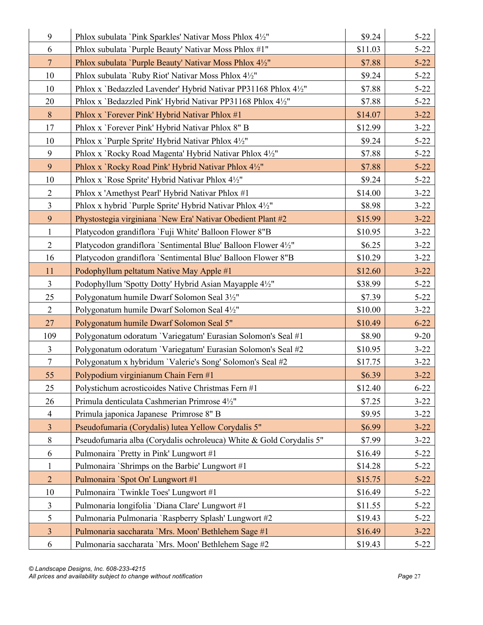| 9                       | Phlox subulata 'Pink Sparkles' Nativar Moss Phlox 4½"               | \$9.24  | $5 - 22$ |
|-------------------------|---------------------------------------------------------------------|---------|----------|
| 6                       | Phlox subulata 'Purple Beauty' Nativar Moss Phlox #1"               | \$11.03 | $5 - 22$ |
| $7\phantom{.0}$         | Phlox subulata 'Purple Beauty' Nativar Moss Phlox 4½"               | \$7.88  | $5 - 22$ |
| 10                      | Phlox subulata `Ruby Riot' Nativar Moss Phlox 41/2"                 | \$9.24  | $5 - 22$ |
| 10                      | Phlox x 'Bedazzled Lavender' Hybrid Nativar PP31168 Phlox 41/2"     | \$7.88  | $5 - 22$ |
| 20                      | Phlox x 'Bedazzled Pink' Hybrid Nativar PP31168 Phlox 4½"           | \$7.88  | $5 - 22$ |
| $8\,$                   | Phlox x `Forever Pink' Hybrid Nativar Phlox #1                      | \$14.07 | $3 - 22$ |
| 17                      | Phlox x 'Forever Pink' Hybrid Nativar Phlox 8" B                    | \$12.99 | $3 - 22$ |
| 10                      | Phlox x 'Purple Sprite' Hybrid Nativar Phlox 4½"                    | \$9.24  | $5 - 22$ |
| 9                       | Phlox x 'Rocky Road Magenta' Hybrid Nativar Phlox 41/2"             | \$7.88  | $5 - 22$ |
| 9                       | Phlox x 'Rocky Road Pink' Hybrid Nativar Phlox 41/2"                | \$7.88  | $5 - 22$ |
| 10                      | Phlox x 'Rose Sprite' Hybrid Nativar Phlox 41/2"                    | \$9.24  | $5 - 22$ |
| $\mathbf{2}$            | Phlox x 'Amethyst Pearl' Hybrid Nativar Phlox #1                    | \$14.00 | $3 - 22$ |
| $\overline{3}$          | Phlox x hybrid 'Purple Sprite' Hybrid Nativar Phlox 4½"             | \$8.98  | $3 - 22$ |
| 9                       | Phystostegia virginiana 'New Era' Nativar Obedient Plant #2         | \$15.99 | $3 - 22$ |
| $\mathbf{1}$            | Platycodon grandiflora `Fuji White' Balloon Flower 8"B              | \$10.95 | $3 - 22$ |
| $\overline{2}$          | Platycodon grandiflora 'Sentimental Blue' Balloon Flower 4½"        | \$6.25  | $3 - 22$ |
| 16                      | Platycodon grandiflora 'Sentimental Blue' Balloon Flower 8"B        | \$10.29 | $3 - 22$ |
| 11                      | Podophyllum peltatum Native May Apple #1                            | \$12.60 | $3 - 22$ |
| $\overline{3}$          | Podophyllum 'Spotty Dotty' Hybrid Asian Mayapple 41/2"              | \$38.99 | $5 - 22$ |
| 25                      | Polygonatum humile Dwarf Solomon Seal 31/2"                         | \$7.39  | $5 - 22$ |
| $\overline{2}$          | Polygonatum humile Dwarf Solomon Seal 4½"                           | \$10.00 | $3 - 22$ |
| 27                      | Polygonatum humile Dwarf Solomon Seal 5"                            | \$10.49 | $6 - 22$ |
| 109                     | Polygonatum odoratum 'Variegatum' Eurasian Solomon's Seal #1        | \$8.90  | $9 - 20$ |
| $\mathfrak{Z}$          | Polygonatum odoratum 'Variegatum' Eurasian Solomon's Seal #2        | \$10.95 | $3 - 22$ |
| $\tau$                  | Polygonatum x hybridum 'Valerie's Song' Solomon's Seal #2           | \$17.75 | $3 - 22$ |
| 55                      | Polypodium virginianum Chain Fern #1                                | \$6.39  | $3 - 22$ |
| 25                      | Polystichum acrosticoides Native Christmas Fern #1                  | \$12.40 | $6 - 22$ |
| 26                      | Primula denticulata Cashmerian Primrose 41/2"                       | \$7.25  | $3 - 22$ |
| $\overline{4}$          | Primula japonica Japanese Primrose 8" B                             | \$9.95  | $3 - 22$ |
| $\overline{3}$          | Pseudofumaria (Corydalis) lutea Yellow Corydalis 5"                 | \$6.99  | $3 - 22$ |
| $8\,$                   | Pseudofumaria alba (Corydalis ochroleuca) White & Gold Corydalis 5" | \$7.99  | $3 - 22$ |
| 6                       | Pulmonaira 'Pretty in Pink' Lungwort #1                             | \$16.49 | $5 - 22$ |
| $\mathbf{1}$            | Pulmonaira `Shrimps on the Barbie' Lungwort #1                      | \$14.28 | $5 - 22$ |
| $\overline{2}$          | Pulmonaira 'Spot On' Lungwort #1                                    | \$15.75 | $5 - 22$ |
| 10                      | Pulmonaira 'Twinkle Toes' Lungwort #1                               | \$16.49 | $5 - 22$ |
| 3                       | Pulmonaria longifolia 'Diana Clare' Lungwort #1                     | \$11.55 | $5 - 22$ |
| 5                       | Pulmonaria Pulmonaria `Raspberry Splash' Lungwort #2                | \$19.43 | $5 - 22$ |
| $\overline{\mathbf{3}}$ | Pulmonaria saccharata 'Mrs. Moon' Bethlehem Sage #1                 | \$16.49 | $3 - 22$ |
| 6                       | Pulmonaria saccharata 'Mrs. Moon' Bethlehem Sage #2                 | \$19.43 | $5 - 22$ |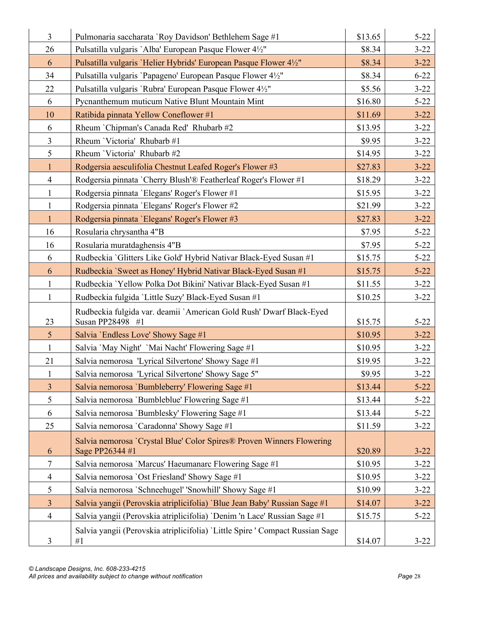| $\overline{3}$  | Pulmonaria saccharata 'Roy Davidson' Bethlehem Sage #1                                   | \$13.65 | $5 - 22$ |
|-----------------|------------------------------------------------------------------------------------------|---------|----------|
| 26              | Pulsatilla vulgaris `Alba' European Pasque Flower 41/2"                                  | \$8.34  | $3 - 22$ |
| 6               | Pulsatilla vulgaris 'Helier Hybrids' European Pasque Flower 41/2"                        | \$8.34  | $3 - 22$ |
| 34              | Pulsatilla vulgaris 'Papageno' European Pasque Flower 41/2"                              | \$8.34  | $6 - 22$ |
| 22              | Pulsatilla vulgaris 'Rubra' European Pasque Flower 4½"                                   | \$5.56  | $3 - 22$ |
| 6               | Pycnanthemum muticum Native Blunt Mountain Mint                                          | \$16.80 | $5 - 22$ |
| 10              | Ratibida pinnata Yellow Coneflower #1                                                    | \$11.69 | $3 - 22$ |
| 6               | Rheum `Chipman's Canada Red' Rhubarb #2                                                  | \$13.95 | $3 - 22$ |
| $\overline{3}$  | Rheum 'Victoria' Rhubarb #1                                                              | \$9.95  | $3 - 22$ |
| 5               | Rheum 'Victoria' Rhubarb #2                                                              | \$14.95 | $3 - 22$ |
| $\mathbf{1}$    | Rodgersia aesculifolia Chestnut Leafed Roger's Flower #3                                 | \$27.83 | $3 - 22$ |
| $\overline{4}$  | Rodgersia pinnata `Cherry Blush'® Featherleaf Roger's Flower #1                          | \$18.29 | $3 - 22$ |
| $\mathbf{1}$    | Rodgersia pinnata 'Elegans' Roger's Flower #1                                            | \$15.95 | $3 - 22$ |
| $\mathbf{1}$    | Rodgersia pinnata 'Elegans' Roger's Flower #2                                            | \$21.99 | $3 - 22$ |
| $\mathbf{1}$    | Rodgersia pinnata 'Elegans' Roger's Flower #3                                            | \$27.83 | $3 - 22$ |
| 16              | Rosularia chrysantha 4"B                                                                 | \$7.95  | $5 - 22$ |
| 16              | Rosularia muratdaghensis 4"B                                                             | \$7.95  | $5 - 22$ |
| 6               | Rudbeckia 'Glitters Like Gold' Hybrid Nativar Black-Eyed Susan #1                        | \$15.75 | $5 - 22$ |
| 6               | Rudbeckia `Sweet as Honey' Hybrid Nativar Black-Eyed Susan #1                            | \$15.75 | $5 - 22$ |
| $\mathbf{1}$    | Rudbeckia 'Yellow Polka Dot Bikini' Nativar Black-Eyed Susan #1                          | \$11.55 | $3 - 22$ |
| $\mathbf{1}$    | Rudbeckia fulgida 'Little Suzy' Black-Eyed Susan #1                                      | \$10.25 | $3 - 22$ |
| 23              | Rudbeckia fulgida var. deamii `American Gold Rush' Dwarf Black-Eyed<br>Susan PP28498 #1  | \$15.75 | $5 - 22$ |
| $5\overline{)}$ | Salvia 'Endless Love' Showy Sage #1                                                      | \$10.95 | $3 - 22$ |
| $\mathbf{1}$    | Salvia 'May Night' 'Mai Nacht' Flowering Sage #1                                         | \$10.95 | $3 - 22$ |
| 21              | Salvia nemorosa 'Lyrical Silvertone' Showy Sage #1                                       | \$19.95 | $3 - 22$ |
| $\mathbf{1}$    | Salvia nemorosa 'Lyrical Silvertone' Showy Sage 5"                                       | \$9.95  | $3 - 22$ |
| $\overline{3}$  | Salvia nemorosa 'Bumbleberry' Flowering Sage #1                                          | \$13.44 | $5 - 22$ |
| 5               | Salvia nemorosa 'Bumbleblue' Flowering Sage #1                                           | \$13.44 | $5 - 22$ |
| 6               | Salvia nemorosa 'Bumblesky' Flowering Sage #1                                            | \$13.44 | $5 - 22$ |
| 25              | Salvia nemorosa 'Caradonna' Showy Sage #1                                                | \$11.59 | $3 - 22$ |
| 6               | Salvia nemorosa `Crystal Blue' Color Spires® Proven Winners Flowering<br>Sage PP26344 #1 | \$20.89 | $3 - 22$ |
| $\tau$          | Salvia nemorosa 'Marcus' Haeumanarc Flowering Sage #1                                    | \$10.95 | $3 - 22$ |
| $\overline{4}$  | Salvia nemorosa 'Ost Friesland' Showy Sage #1                                            | \$10.95 | $3 - 22$ |
| 5               | Salvia nemorosa 'Schneehugel' 'Snowhill' Showy Sage #1                                   | \$10.99 | $3 - 22$ |
| $\overline{3}$  | Salvia yangii (Perovskia atriplicifolia) 'Blue Jean Baby' Russian Sage #1                | \$14.07 | $3 - 22$ |
| $\overline{4}$  | Salvia yangii (Perovskia atriplicifolia) 'Denim 'n Lace' Russian Sage #1                 | \$15.75 | $5 - 22$ |
| 3               | Salvia yangii (Perovskia atriplicifolia) 'Little Spire ' Compact Russian Sage<br>#1      | \$14.07 | $3 - 22$ |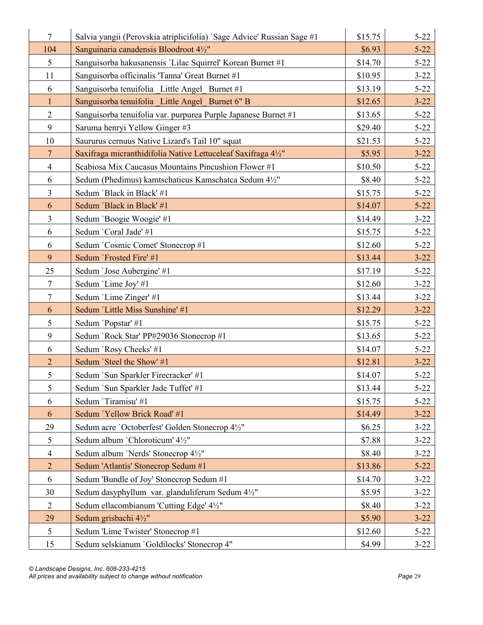| $\overline{7}$  | Salvia yangii (Perovskia atriplicifolia) `Sage Advice' Russian Sage #1 | \$15.75 | $5 - 22$ |
|-----------------|------------------------------------------------------------------------|---------|----------|
| 104             | Sanguinaria canadensis Bloodroot 41/2"                                 | \$6.93  | $5 - 22$ |
| 5               | Sanguisorba hakusanensis 'Lilac Squirrel' Korean Burnet #1             | \$14.70 | $5 - 22$ |
| 11              | Sanguisorba officinalis 'Tanna' Great Burnet #1                        | \$10.95 | $3 - 22$ |
| 6               | Sanguisorba tenuifolia Little Angel Burnet #1                          | \$13.19 | $5 - 22$ |
| $\mathbf{1}$    | Sanguisorba tenuifolia Little Angel Burnet 6" B                        | \$12.65 | $3 - 22$ |
| $\overline{2}$  | Sanguisorba tenuifolia var. purpurea Purple Japanese Burnet #1         | \$13.65 | $5 - 22$ |
| 9               | Saruma henryi Yellow Ginger #3                                         | \$29.40 | $5 - 22$ |
| 10              | Saururus cernuus Native Lizard's Tail 10" squat                        | \$21.53 | $5 - 22$ |
| $7\phantom{.0}$ | Saxifraga micranthidifolia Native Lettuceleaf Saxifraga 41/2"          | \$5.95  | $3 - 22$ |
| $\overline{4}$  | Scabiosa Mix Caucasus Mountains Pincushion Flower #1                   | \$10.50 | $5 - 22$ |
| 6               | Sedum (Phedimus) kamtschaticus Kamschatca Sedum 4½"                    | \$8.40  | $5 - 22$ |
| $\overline{3}$  | Sedum 'Black in Black' #1                                              | \$15.75 | $5 - 22$ |
| 6               | Sedum 'Black in Black' #1                                              | \$14.07 | $5 - 22$ |
| $\overline{3}$  | Sedum 'Boogie Woogie' #1                                               | \$14.49 | $3 - 22$ |
| 6               | Sedum 'Coral Jade' #1                                                  | \$15.75 | $5 - 22$ |
| 6               | Sedum 'Cosmic Comet' Stonecrop #1                                      | \$12.60 | $5 - 22$ |
| 9               | Sedum `Frosted Fire' #1                                                | \$13.44 | $3 - 22$ |
| 25              | Sedum 'Jose Aubergine' #1                                              | \$17.19 | $5 - 22$ |
| $\tau$          | Sedum 'Lime Joy' #1                                                    | \$12.60 | $3 - 22$ |
| $\tau$          | Sedum 'Lime Zinger' #1                                                 | \$13.44 | $3 - 22$ |
| 6               | Sedum 'Little Miss Sunshine' #1                                        | \$12.29 | $3 - 22$ |
| 5               | Sedum 'Popstar' #1                                                     | \$15.75 | $5 - 22$ |
| 9               | Sedum 'Rock Star' PP#29036 Stonecrop #1                                | \$13.65 | $5 - 22$ |
| 6               | Sedum 'Rosy Cheeks' #1                                                 | \$14.07 | $5 - 22$ |
| $\overline{2}$  | Sedum 'Steel the Show' #1                                              | \$12.81 | $3 - 22$ |
| 5               | Sedum `Sun Sparkler Firecracker' #1                                    | \$14.07 | $5 - 22$ |
| 5               | Sedum `Sun Sparkler Jade Tuffet' #1                                    | \$13.44 | $5 - 22$ |
| 6               | Sedum 'Tiramisu' #1                                                    | \$15.75 | $5 - 22$ |
| 6               | Sedum 'Yellow Brick Road' #1                                           | \$14.49 | $3 - 22$ |
| 29              | Sedum acre 'Octoberfest' Golden Stonecrop 4½"                          | \$6.25  | $3 - 22$ |
| 5               | Sedum album 'Chloroticum' 41/2"                                        | \$7.88  | $3 - 22$ |
| $\overline{4}$  | Sedum album 'Nerds' Stonecrop 4½"                                      | \$8.40  | $3 - 22$ |
| $\overline{2}$  | Sedum 'Atlantis' Stonecrop Sedum #1                                    | \$13.86 | $5 - 22$ |
| 6               | Sedum 'Bundle of Joy' Stonecrop Sedum #1                               | \$14.70 | $3 - 22$ |
| 30              | Sedum dasyphyllum var. glanduliferum Sedum 41/2"                       | \$5.95  | $3 - 22$ |
| $\overline{2}$  | Sedum ellacombianum 'Cutting Edge' 41/2"                               | \$8.40  | $3 - 22$ |
| 29              | Sedum grisbachi 41/2"                                                  | \$5.90  | $3 - 22$ |
| 5               | Sedum 'Lime Twister' Stonecrop #1                                      | \$12.60 | $5 - 22$ |
| 15              | Sedum selskianum 'Goldilocks' Stonecrop 4"                             | \$4.99  | $3 - 22$ |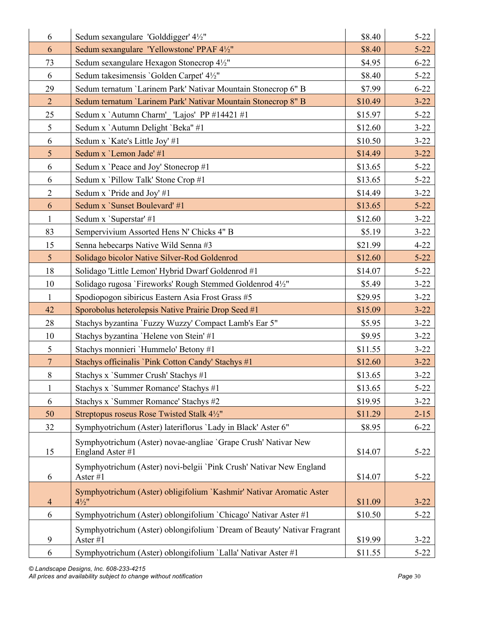| 6                        | Sedum sexangulare 'Golddigger' 4½"                                                       | \$8.40  | $5 - 22$ |
|--------------------------|------------------------------------------------------------------------------------------|---------|----------|
| 6                        | Sedum sexangulare 'Yellowstone' PPAF 41/2"                                               | \$8.40  | $5 - 22$ |
| 73                       | Sedum sexangulare Hexagon Stonecrop 4½"                                                  | \$4.95  | $6 - 22$ |
| 6                        | Sedum takesimensis 'Golden Carpet' 41/2"                                                 | \$8.40  | $5 - 22$ |
| 29                       | Sedum ternatum 'Larinem Park' Nativar Mountain Stonecrop 6" B                            | \$7.99  | $6 - 22$ |
| $\overline{2}$           | Sedum ternatum 'Larinem Park' Nativar Mountain Stonecrop 8" B                            | \$10.49 | $3 - 22$ |
| 25                       | Sedum x `Autumn Charm' 'Lajos' PP #14421 #1                                              | \$15.97 | $5 - 22$ |
| $\mathfrak{S}$           | Sedum x 'Autumn Delight 'Beka" #1                                                        | \$12.60 | $3 - 22$ |
| 6                        | Sedum x 'Kate's Little Joy' #1                                                           | \$10.50 | $3 - 22$ |
| $5\overline{)}$          | Sedum x 'Lemon Jade' #1                                                                  | \$14.49 | $3 - 22$ |
| 6                        | Sedum x 'Peace and Joy' Stonecrop #1                                                     | \$13.65 | $5 - 22$ |
| 6                        | Sedum x 'Pillow Talk' Stone Crop #1                                                      | \$13.65 | $5 - 22$ |
| $\overline{2}$           | Sedum x 'Pride and Joy' #1                                                               | \$14.49 | $3 - 22$ |
| 6                        | Sedum x 'Sunset Boulevard' #1                                                            | \$13.65 | $5 - 22$ |
| $\mathbf{1}$             | Sedum x `Superstar' #1                                                                   | \$12.60 | $3 - 22$ |
| 83                       | Sempervivium Assorted Hens N' Chicks 4" B                                                | \$5.19  | $3 - 22$ |
| 15                       | Senna hebecarps Native Wild Senna #3                                                     | \$21.99 | $4 - 22$ |
| 5 <sup>5</sup>           | Solidago bicolor Native Silver-Rod Goldenrod                                             | \$12.60 | $5 - 22$ |
| 18                       | Solidago 'Little Lemon' Hybrid Dwarf Goldenrod #1                                        | \$14.07 | $5 - 22$ |
| 10                       | Solidago rugosa 'Fireworks' Rough Stemmed Goldenrod 4½"                                  | \$5.49  | $3 - 22$ |
| $\mathbf{1}$             | Spodiopogon sibiricus Eastern Asia Frost Grass #5                                        | \$29.95 | $3 - 22$ |
| 42                       | Sporobolus heterolepsis Native Prairie Drop Seed #1                                      | \$15.09 | $3 - 22$ |
| 28                       | Stachys byzantina `Fuzzy Wuzzy' Compact Lamb's Ear 5"                                    | \$5.95  | $3 - 22$ |
| 10                       | Stachys byzantina 'Helene von Stein' #1                                                  | \$9.95  | $3 - 22$ |
| 5                        | Stachys monnieri 'Hummelo' Betony #1                                                     | \$11.55 | $3 - 22$ |
| $\overline{7}$           | Stachys officinalis 'Pink Cotton Candy' Stachys #1                                       | \$12.60 | $3 - 22$ |
| $8\,$                    | Stachys x 'Summer Crush' Stachys #1                                                      | \$13.65 | $3 - 22$ |
| $\mathbf{1}$             | Stachys x 'Summer Romance' Stachys #1                                                    | \$13.65 | $5 - 22$ |
| 6                        | Stachys x 'Summer Romance' Stachys #2                                                    | \$19.95 | $3 - 22$ |
| 50                       | Streptopus roseus Rose Twisted Stalk 41/2"                                               | \$11.29 | $2 - 15$ |
| 32                       | Symphyotrichum (Aster) lateriflorus 'Lady in Black' Aster 6"                             | \$8.95  | $6 - 22$ |
| 15                       | Symphyotrichum (Aster) novae-angliae 'Grape Crush' Nativar New<br>England Aster #1       | \$14.07 | $5 - 22$ |
| 6                        | Symphyotrichum (Aster) novi-belgii 'Pink Crush' Nativar New England<br>Aster #1          | \$14.07 | $5 - 22$ |
| $\overline{\mathcal{A}}$ | Symphyotrichum (Aster) obligifolium 'Kashmir' Nativar Aromatic Aster<br>$4\frac{1}{2}$ " | \$11.09 | $3 - 22$ |
| 6                        | Symphyotrichum (Aster) oblongifolium 'Chicago' Nativar Aster #1                          | \$10.50 | $5 - 22$ |
|                          | Symphyotrichum (Aster) oblongifolium 'Dream of Beauty' Nativar Fragrant                  |         |          |
| 9                        | Aster #1                                                                                 | \$19.99 | $3 - 22$ |
| 6                        | Symphyotrichum (Aster) oblongifolium 'Lalla' Nativar Aster #1                            | \$11.55 | $5 - 22$ |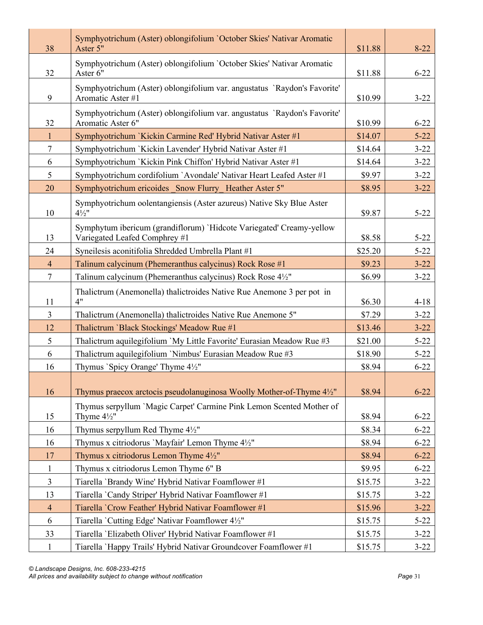| 38             | Symphyotrichum (Aster) oblongifolium 'October Skies' Nativar Aromatic<br>Aster 5"                     | \$11.88 | $8-22$   |
|----------------|-------------------------------------------------------------------------------------------------------|---------|----------|
| 32             | Symphyotrichum (Aster) oblongifolium 'October Skies' Nativar Aromatic<br>Aster 6"                     | \$11.88 | $6 - 22$ |
| 9              | Symphyotrichum (Aster) oblongifolium var. angustatus `Raydon's Favorite'<br>Aromatic Aster #1         | \$10.99 | $3 - 22$ |
| 32             | Symphyotrichum (Aster) oblongifolium var. angustatus `Raydon's Favorite'<br>Aromatic Aster 6"         | \$10.99 | $6 - 22$ |
| $\mathbf{1}$   | Symphyotrichum `Kickin Carmine Red' Hybrid Nativar Aster #1                                           | \$14.07 | $5 - 22$ |
| $\tau$         | Symphyotrichum `Kickin Lavender' Hybrid Nativar Aster #1                                              | \$14.64 | $3 - 22$ |
| 6              | Symphyotrichum `Kickin Pink Chiffon' Hybrid Nativar Aster #1                                          | \$14.64 | $3 - 22$ |
| 5              | Symphyotrichum cordifolium `Avondale' Nativar Heart Leafed Aster #1                                   | \$9.97  | $3 - 22$ |
| 20             | Symphyotrichum ericoides Snow Flurry_Heather Aster 5"                                                 | \$8.95  | $3 - 22$ |
| 10             | Symphyotrichum oolentangiensis (Aster azureus) Native Sky Blue Aster<br>$4\frac{1}{2}$ "              | \$9.87  | $5 - 22$ |
| 13             | Symphytum ibericum (grandiflorum) 'Hidcote Variegated' Creamy-yellow<br>Variegated Leafed Comphrey #1 | \$8.58  | $5 - 22$ |
| 24             | Syneilesis aconitifolia Shredded Umbrella Plant #1                                                    | \$25.20 | $5 - 22$ |
| $\overline{4}$ | Talinum calycinum (Phemeranthus calycinus) Rock Rose #1                                               | \$9.23  | $3 - 22$ |
| $\tau$         | Talinum calycinum (Phemeranthus calycinus) Rock Rose 4½"                                              | \$6.99  | $3 - 22$ |
| 11             | Thalictrum (Anemonella) thalictroides Native Rue Anemone 3 per pot in<br>4"                           | \$6.30  | $4 - 18$ |
| $\overline{3}$ | Thalictrum (Anemonella) thalictroides Native Rue Anemone 5"                                           | \$7.29  | $3 - 22$ |
| 12             | Thalictrum 'Black Stockings' Meadow Rue #1                                                            | \$13.46 | $3 - 22$ |
| 5              | Thalictrum aquilegifolium `My Little Favorite' Eurasian Meadow Rue #3                                 | \$21.00 | $5 - 22$ |
| 6              | Thalictrum aquilegifolium 'Nimbus' Eurasian Meadow Rue #3                                             | \$18.90 | $5 - 22$ |
| 16             | Thymus `Spicy Orange' Thyme 4½"                                                                       | \$8.94  | $6 - 22$ |
| 16             | Thymus praecox arctocis pseudolanuginosa Woolly Mother-of-Thyme 41/2"                                 | \$8.94  | $6 - 22$ |
| 15             | Thymus serpyllum 'Magic Carpet' Carmine Pink Lemon Scented Mother of<br>Thyme $4\frac{1}{2}$ "        | \$8.94  | $6 - 22$ |
| 16             | Thymus serpyllum Red Thyme 41/2"                                                                      | \$8.34  | $6 - 22$ |
| 16             | Thymus x citriodorus 'Mayfair' Lemon Thyme 41/2"                                                      | \$8.94  | $6 - 22$ |
| 17             | Thymus x citriodorus Lemon Thyme $4\frac{1}{2}$ "                                                     | \$8.94  | $6 - 22$ |
| $\mathbf{1}$   | Thymus x citriodorus Lemon Thyme 6" B                                                                 | \$9.95  | $6 - 22$ |
| $\overline{3}$ | Tiarella 'Brandy Wine' Hybrid Nativar Foamflower #1                                                   | \$15.75 | $3 - 22$ |
| 13             | Tiarella 'Candy Striper' Hybrid Nativar Foamflower #1                                                 | \$15.75 | $3 - 22$ |
| $\overline{4}$ | Tiarella 'Crow Feather' Hybrid Nativar Foamflower #1                                                  | \$15.96 | $3 - 22$ |
| 6              | Tiarella 'Cutting Edge' Nativar Foamflower 4½"                                                        | \$15.75 | $5 - 22$ |
| 33             | Tiarella 'Elizabeth Oliver' Hybrid Nativar Foamflower #1                                              | \$15.75 | $3 - 22$ |
| $\mathbf{1}$   | Tiarella `Happy Trails' Hybrid Nativar Groundcover Foamflower #1                                      | \$15.75 | $3 - 22$ |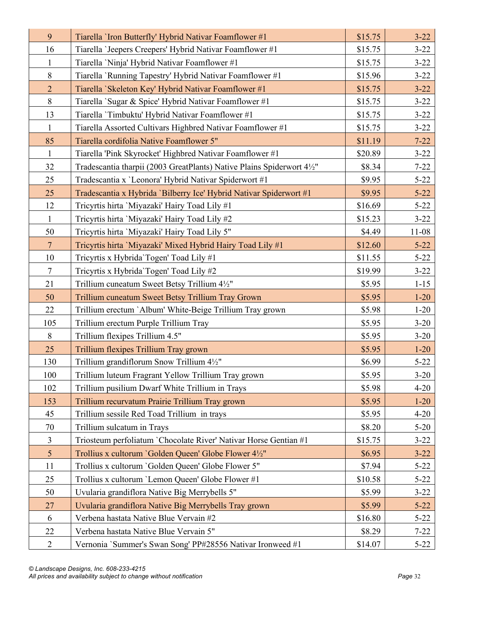| 9              | Tiarella 'Iron Butterfly' Hybrid Nativar Foamflower #1               | \$15.75 | $3 - 22$  |
|----------------|----------------------------------------------------------------------|---------|-----------|
| 16             | Tiarella 'Jeepers Creepers' Hybrid Nativar Foamflower #1             | \$15.75 | $3 - 22$  |
| $\mathbf{1}$   | Tiarella 'Ninja' Hybrid Nativar Foamflower #1                        | \$15.75 | $3 - 22$  |
| $8\,$          | Tiarella 'Running Tapestry' Hybrid Nativar Foamflower #1             | \$15.96 | $3 - 22$  |
| $\overline{2}$ | Tiarella 'Skeleton Key' Hybrid Nativar Foamflower #1                 | \$15.75 | $3 - 22$  |
| $8\,$          | Tiarella 'Sugar & Spice' Hybrid Nativar Foamflower #1                | \$15.75 | $3 - 22$  |
| 13             | Tiarella 'Timbuktu' Hybrid Nativar Foamflower #1                     | \$15.75 | $3 - 22$  |
| $\mathbf{1}$   | Tiarella Assorted Cultivars Highbred Nativar Foamflower #1           | \$15.75 | $3 - 22$  |
| 85             | Tiarella cordifolia Native Foamflower 5"                             | \$11.19 | $7 - 22$  |
| 1              | Tiarella 'Pink Skyrocket' Highbred Nativar Foamflower #1             | \$20.89 | $3 - 22$  |
| 32             | Tradescantia tharpii (2003 GreatPlants) Native Plains Spiderwort 4½" | \$8.34  | $7 - 22$  |
| 25             | Tradescantia x 'Leonora' Hybrid Nativar Spiderwort #1                | \$9.95  | $5 - 22$  |
| 25             | Tradescantia x Hybrida 'Bilberry Ice' Hybrid Nativar Spiderwort #1   | \$9.95  | $5 - 22$  |
| 12             | Tricyrtis hirta 'Miyazaki' Hairy Toad Lily #1                        | \$16.69 | $5 - 22$  |
| $\mathbf{1}$   | Tricyrtis hirta 'Miyazaki' Hairy Toad Lily #2                        | \$15.23 | $3 - 22$  |
| 50             | Tricyrtis hirta 'Miyazaki' Hairy Toad Lily 5"                        | \$4.49  | $11 - 08$ |
| $\overline{7}$ | Tricyrtis hirta 'Miyazaki' Mixed Hybrid Hairy Toad Lily #1           | \$12.60 | $5 - 22$  |
| 10             | Tricyrtis x Hybrida'Togen' Toad Lily #1                              | \$11.55 | $5 - 22$  |
| $\tau$         | Tricyrtis x Hybrida Togen' Toad Lily #2                              | \$19.99 | $3 - 22$  |
| 21             | Trillium cuneatum Sweet Betsy Trillium 41/2"                         | \$5.95  | $1 - 15$  |
| 50             | Trillium cuneatum Sweet Betsy Trillium Tray Grown                    | \$5.95  | $1 - 20$  |
| 22             | Trillium erectum `Album' White-Beige Trillium Tray grown             | \$5.98  | $1-20$    |
| 105            | Trillium erectum Purple Trillium Tray                                | \$5.95  | $3 - 20$  |
| $8\,$          | Trillium flexipes Trillium 4.5"                                      | \$5.95  | $3 - 20$  |
| 25             | Trillium flexipes Trillium Tray grown                                | \$5.95  | $1 - 20$  |
| 130            | Trillium grandiflorum Snow Trillium 41/2"                            | \$6.99  | $5 - 22$  |
| 100            | Trillium luteum Fragrant Yellow Trillium Tray grown                  | \$5.95  | $3 - 20$  |
| 102            | Trillium pusilium Dwarf White Trillium in Trays                      | \$5.98  | $4 - 20$  |
| 153            | Trillium recurvatum Prairie Trillium Tray grown                      | \$5.95  | $1 - 20$  |
| 45             | Trillium sessile Red Toad Trillium in trays                          | \$5.95  | $4 - 20$  |
| 70             | Trillium sulcatum in Trays                                           | \$8.20  | $5-20$    |
| $\mathfrak{Z}$ | Triosteum perfoliatum `Chocolate River' Nativar Horse Gentian #1     | \$15.75 | $3 - 22$  |
| 5              | Trollius x cultorum 'Golden Queen' Globe Flower 41/2"                | \$6.95  | $3 - 22$  |
| 11             | Trollius x cultorum 'Golden Queen' Globe Flower 5"                   | \$7.94  | $5 - 22$  |
| 25             | Trollius x cultorum 'Lemon Queen' Globe Flower #1                    | \$10.58 | $5 - 22$  |
| 50             | Uvularia grandiflora Native Big Merrybells 5"                        | \$5.99  | $3 - 22$  |
| 27             | Uvularia grandiflora Native Big Merrybells Tray grown                | \$5.99  | $5 - 22$  |
| 6              | Verbena hastata Native Blue Vervain #2                               | \$16.80 | $5 - 22$  |
| 22             | Verbena hastata Native Blue Vervain 5"                               | \$8.29  | $7 - 22$  |
| $\mathbf{2}$   | Vernonia `Summer's Swan Song' PP#28556 Nativar Ironweed #1           | \$14.07 | $5 - 22$  |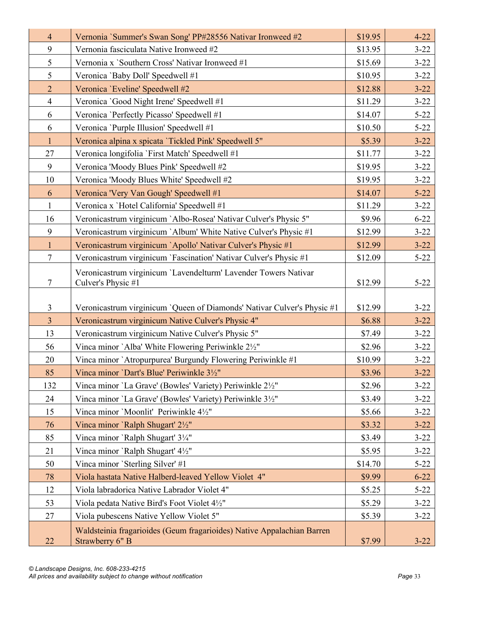| $\overline{4}$ | Vernonia `Summer's Swan Song' PP#28556 Nativar Ironweed #2                            | \$19.95 | $4 - 22$ |
|----------------|---------------------------------------------------------------------------------------|---------|----------|
| 9              | Vernonia fasciculata Native Ironweed #2                                               | \$13.95 | $3 - 22$ |
| 5              | Vernonia x 'Southern Cross' Nativar Ironweed #1                                       | \$15.69 | $3 - 22$ |
| 5              | Veronica 'Baby Doll' Speedwell #1                                                     | \$10.95 | $3 - 22$ |
| $\overline{2}$ | Veronica 'Eveline' Speedwell #2                                                       | \$12.88 | $3 - 22$ |
| $\overline{4}$ | Veronica 'Good Night Irene' Speedwell #1                                              | \$11.29 | $3 - 22$ |
| 6              | Veronica 'Perfectly Picasso' Speedwell #1                                             | \$14.07 | $5 - 22$ |
| 6              | Veronica 'Purple Illusion' Speedwell #1                                               | \$10.50 | $5 - 22$ |
| $\mathbf{1}$   | Veronica alpina x spicata 'Tickled Pink' Speedwell 5"                                 | \$5.39  | $3 - 22$ |
| 27             | Veronica longifolia 'First Match' Speedwell #1                                        | \$11.77 | $3 - 22$ |
| 9              | Veronica 'Moody Blues Pink' Speedwell #2                                              | \$19.95 | $3 - 22$ |
| 10             | Veronica 'Moody Blues White' Speedwell #2                                             | \$19.95 | $3 - 22$ |
| 6              | Veronica 'Very Van Gough' Speedwell #1                                                | \$14.07 | $5 - 22$ |
| $\mathbf{1}$   | Veronica x 'Hotel California' Speedwell #1                                            | \$11.29 | $3 - 22$ |
| 16             | Veronicastrum virginicum `Albo-Rosea' Nativar Culver's Physic 5"                      | \$9.96  | $6 - 22$ |
| 9              | Veronicastrum virginicum `Album' White Native Culver's Physic #1                      | \$12.99 | $3 - 22$ |
| $\mathbf{1}$   | Veronicastrum virginicum `Apollo' Nativar Culver's Physic #1                          | \$12.99 | $3 - 22$ |
| $\tau$         | Veronicastrum virginicum `Fascination' Nativar Culver's Physic #1                     | \$12.09 | $5 - 22$ |
| $\tau$         | Veronicastrum virginicum 'Lavendelturm' Lavender Towers Nativar<br>Culver's Physic #1 | \$12.99 | $5 - 22$ |
| 3              | Veronicastrum virginicum `Queen of Diamonds' Nativar Culver's Physic #1               | \$12.99 | $3 - 22$ |
| $\overline{3}$ | Veronicastrum virginicum Native Culver's Physic 4"                                    | \$6.88  | $3 - 22$ |
| 13             | Veronicastrum virginicum Native Culver's Physic 5"                                    | \$7.49  | $3 - 22$ |
| 56             | Vinca minor `Alba' White Flowering Periwinkle 21/2"                                   | \$2.96  | $3 - 22$ |
| 20             | Vinca minor `Atropurpurea' Burgundy Flowering Periwinkle #1                           | \$10.99 | $3 - 22$ |
| 85             | Vinca minor 'Dart's Blue' Periwinkle 31/2"                                            | \$3.96  | $3 - 22$ |
| 132            | Vinca minor 'La Grave' (Bowles' Variety) Periwinkle 21/2"                             | \$2.96  | $3 - 22$ |
| 24             | Vinca minor 'La Grave' (Bowles' Variety) Periwinkle 31/2"                             | \$3.49  | $3 - 22$ |
| 15             | Vinca minor 'Moonlit' Periwinkle 41/2"                                                | \$5.66  | $3 - 22$ |
| 76             | Vinca minor 'Ralph Shugart' 21/2"                                                     | \$3.32  | $3 - 22$ |
| 85             | Vinca minor `Ralph Shugart' 31/4"                                                     | \$3.49  | $3 - 22$ |
| 21             | Vinca minor `Ralph Shugart' 4½"                                                       | \$5.95  | $3 - 22$ |
| 50             | Vinca minor 'Sterling Silver' #1                                                      | \$14.70 | $5 - 22$ |
| 78             | Viola hastata Native Halberd-leaved Yellow Violet 4"                                  | \$9.99  | $6 - 22$ |
| 12             | Viola labradorica Native Labrador Violet 4"                                           | \$5.25  | $5 - 22$ |
| 53             | Viola pedata Native Bird's Foot Violet 41/2"                                          | \$5.29  | $3 - 22$ |
| 27             | Viola pubescens Native Yellow Violet 5"                                               | \$5.39  | $3 - 22$ |
|                | Waldsteinia fragarioides (Geum fragarioides) Native Appalachian Barren                |         |          |